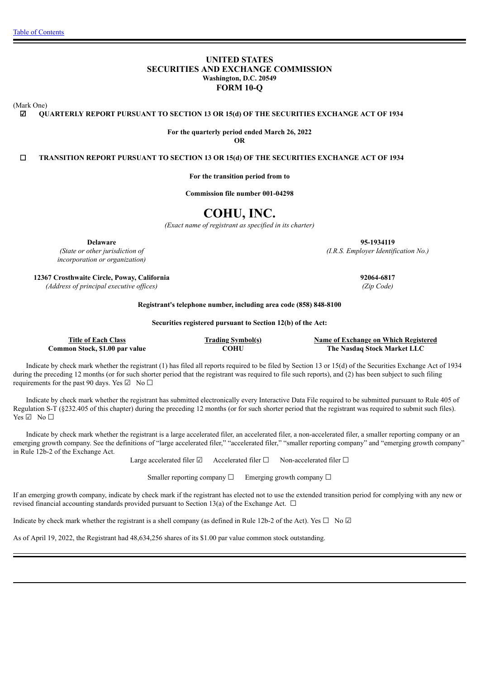# **UNITED STATES SECURITIES AND EXCHANGE COMMISSION Washington, D.C. 20549 FORM 10-Q**

(Mark One)

☑ **QUARTERLY REPORT PURSUANT TO SECTION 13 OR 15(d) OF THE SECURITIES EXCHANGE ACT OF 1934**

**For the quarterly period ended March 26, 2022 OR**

☐ **TRANSITION REPORT PURSUANT TO SECTION 13 OR 15(d) OF THE SECURITIES EXCHANGE ACT OF 1934**

**For the transition period from to**

**Commission file number 001-04298**

# **COHU, INC.**

*(Exact name of registrant as specified in its charter)*

*(State or other jurisdiction of incorporation or organization)*

**12367 Crosthwaite Circle, Poway, California 92064-6817** *(Address of principal executive of ices) (Zip Code)*

**Registrant's telephone number, including area code (858) 848-8100**

#### **Securities registered pursuant to Section 12(b) of the Act:**

**Title of Each Class Trading Symbol(s) Name of Exchange on Which Registered Common Stock, \$1.00 par value COHU The Nasdaq Stock Market LLC**

Indicate by check mark whether the registrant (1) has filed all reports required to be filed by Section 13 or 15(d) of the Securities Exchange Act of 1934 during the preceding 12 months (or for such shorter period that the registrant was required to file such reports), and (2) has been subject to such filing requirements for the past 90 days. Yes  $\boxtimes$  No  $\Box$ 

Indicate by check mark whether the registrant has submitted electronically every Interactive Data File required to be submitted pursuant to Rule 405 of Regulation S-T (§232.405 of this chapter) during the preceding 12 months (or for such shorter period that the registrant was required to submit such files). Yes ☑ No □

Indicate by check mark whether the registrant is a large accelerated filer, an accelerated filer, a non-accelerated filer, a smaller reporting company or an emerging growth company. See the definitions of "large accelerated filer," "accelerated filer," "smaller reporting company" and "emerging growth company" in Rule 12b-2 of the Exchange Act.

Large accelerated filer ☑ Accelerated filer □ Non-accelerated filer □

Smaller reporting company  $\Box$  Emerging growth company  $\Box$ 

If an emerging growth company, indicate by check mark if the registrant has elected not to use the extended transition period for complying with any new or revised financial accounting standards provided pursuant to Section 13(a) of the Exchange Act.  $\Box$ 

Indicate by check mark whether the registrant is a shell company (as defined in Rule 12b-2 of the Act). Yes  $\Box$  No  $\Box$ 

As of April 19, 2022, the Registrant had 48,634,256 shares of its \$1.00 par value common stock outstanding.

**Delaware 95-1934119** *(I.R.S. Employer Identification No.)*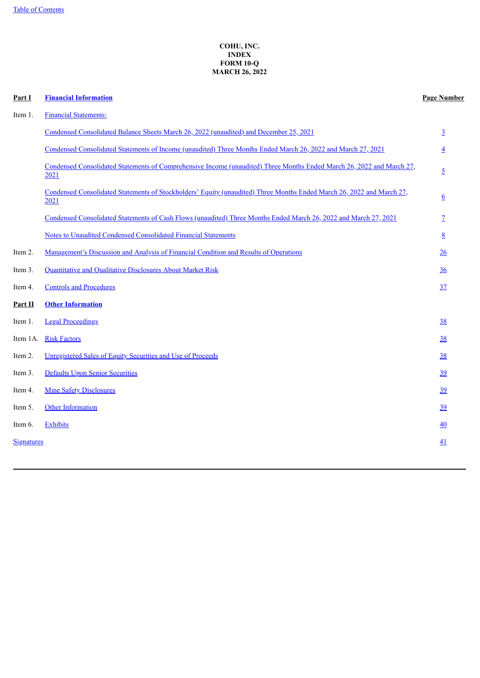# **COHU, INC. INDEX FORM 10-Q MARCH 26, 2022**

<span id="page-1-0"></span>

| Part I            | <b>Financial Information</b>                                                                                                  | <b>Page Number</b> |
|-------------------|-------------------------------------------------------------------------------------------------------------------------------|--------------------|
| Item 1.           | <b>Financial Statements:</b>                                                                                                  |                    |
|                   | Condensed Consolidated Balance Sheets March 26, 2022 (unaudited) and December 25, 2021                                        | $\overline{3}$     |
|                   | Condensed Consolidated Statements of Income (unaudited) Three Months Ended March 26, 2022 and March 27, 2021                  | $\overline{4}$     |
|                   | Condensed Consolidated Statements of Comprehensive Income (unaudited) Three Months Ended March 26, 2022 and March 27,<br>2021 | $\overline{5}$     |
|                   | Condensed Consolidated Statements of Stockholders' Equity (unaudited) Three Months Ended March 26, 2022 and March 27,<br>2021 | <u>6</u>           |
|                   | Condensed Consolidated Statements of Cash Flows (unaudited) Three Months Ended March 26, 2022 and March 27, 2021              | 7                  |
|                   | <b>Notes to Unaudited Condensed Consolidated Financial Statements</b>                                                         | 8                  |
| Item 2.           | Management's Discussion and Analysis of Financial Condition and Results of Operations                                         | 26                 |
| Item 3.           | Quantitative and Qualitative Disclosures About Market Risk                                                                    | 36                 |
| Item 4.           | <b>Controls and Procedures</b>                                                                                                | 37                 |
| Part II           | <b>Other Information</b>                                                                                                      |                    |
| Item 1.           | <b>Legal Proceedings</b>                                                                                                      | 38                 |
| Item 1A.          | <b>Risk Factors</b>                                                                                                           | 38                 |
| Item 2.           | Unregistered Sales of Equity Securities and Use of Proceeds                                                                   | <u>38</u>          |
| Item 3.           | <b>Defaults Upon Senior Securities</b>                                                                                        | 39                 |
| Item 4.           | <b>Mine Safety Disclosures</b>                                                                                                | 39                 |
| Item 5.           | Other Information                                                                                                             | 39                 |
| Item 6.           | <b>Exhibits</b>                                                                                                               | 40                 |
| <b>Signatures</b> |                                                                                                                               | 41                 |
|                   |                                                                                                                               |                    |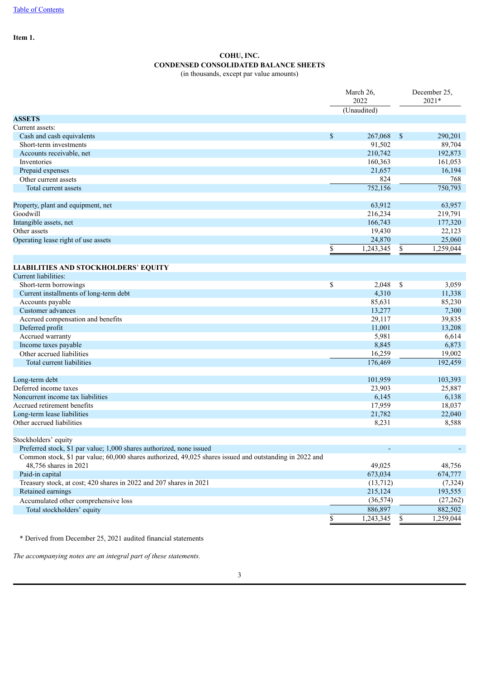<span id="page-2-0"></span>**Item 1.**

# **COHU, INC. CONDENSED CONSOLIDATED BALANCE SHEETS** (in thousands, except par value amounts)

| (Unaudited)<br>\$<br>Cash and cash equivalents<br>267,068<br>- \$<br>290,201<br>Short-term investments<br>91,502<br>89,704<br>210,742<br>192,873<br>Accounts receivable, net<br>Inventories<br>160,363<br>161,053<br>Prepaid expenses<br>21,657<br>16,194<br>824<br>Other current assets<br>768<br>750,793<br>752,156<br>Total current assets<br>Property, plant and equipment, net<br>63,912<br>63,957<br>Goodwill<br>216,234<br>219,791<br>Intangible assets, net<br>166,743<br>177,320<br>Other assets<br>19,430<br>22,123<br>25,060<br>24,870<br>Operating lease right of use assets<br>$\overline{\$}$<br>1,259,044<br>1,243,345<br>\$<br><b>LIABILITIES AND STOCKHOLDERS' EQUITY</b><br>Current liabilities:<br>\$<br>Short-term borrowings<br>2,048<br>\$<br>3,059<br>4,310<br>Current installments of long-term debt<br>11,338<br>Accounts payable<br>85,631<br>85,230<br>13,277<br>7,300<br>Customer advances<br>Accrued compensation and benefits<br>39,835<br>29,117<br>Deferred profit<br>11,001<br>13,208<br>Accrued warranty<br>5,981<br>6,614<br>6,873<br>Income taxes payable<br>8,845<br>16,259<br>19,002<br>Other accrued liabilities<br>192,459<br>176,469<br>Total current liabilities<br>Long-term debt<br>101,959<br>103,393<br>Deferred income taxes<br>25,887<br>23,903<br>Noncurrent income tax liabilities<br>6,138<br>6,145<br>Accrued retirement benefits<br>17,959<br>18,037<br>Long-term lease liabilities<br>21,782<br>22,040<br>Other accrued liabilities<br>8,588<br>8,231<br>Preferred stock, \$1 par value; 1,000 shares authorized, none issued<br>Common stock, \$1 par value; 60,000 shares authorized, 49,025 shares issued and outstanding in 2022 and<br>48,756 shares in 2021<br>49,025<br>48,756<br>674,777<br>Paid-in capital<br>673,034<br>Treasury stock, at cost; 420 shares in 2022 and 207 shares in 2021<br>(13,712)<br>(7, 324)<br>Retained earnings<br>215,124<br>193,555<br>Accumulated other comprehensive loss<br>(36, 574)<br>(27, 262)<br>886,897<br>882,502<br>Total stockholders' equity<br>1,243,345<br>1,259,044<br>\$<br>S. |                      | March 26,<br>2022 | December 25.<br>$2021*$ |  |  |
|-------------------------------------------------------------------------------------------------------------------------------------------------------------------------------------------------------------------------------------------------------------------------------------------------------------------------------------------------------------------------------------------------------------------------------------------------------------------------------------------------------------------------------------------------------------------------------------------------------------------------------------------------------------------------------------------------------------------------------------------------------------------------------------------------------------------------------------------------------------------------------------------------------------------------------------------------------------------------------------------------------------------------------------------------------------------------------------------------------------------------------------------------------------------------------------------------------------------------------------------------------------------------------------------------------------------------------------------------------------------------------------------------------------------------------------------------------------------------------------------------------------------------------------------------------------------------------------------------------------------------------------------------------------------------------------------------------------------------------------------------------------------------------------------------------------------------------------------------------------------------------------------------------------------------------------------------------------------------------------------------------------------------------------------------------------------------------------------|----------------------|-------------------|-------------------------|--|--|
|                                                                                                                                                                                                                                                                                                                                                                                                                                                                                                                                                                                                                                                                                                                                                                                                                                                                                                                                                                                                                                                                                                                                                                                                                                                                                                                                                                                                                                                                                                                                                                                                                                                                                                                                                                                                                                                                                                                                                                                                                                                                                           |                      |                   |                         |  |  |
|                                                                                                                                                                                                                                                                                                                                                                                                                                                                                                                                                                                                                                                                                                                                                                                                                                                                                                                                                                                                                                                                                                                                                                                                                                                                                                                                                                                                                                                                                                                                                                                                                                                                                                                                                                                                                                                                                                                                                                                                                                                                                           | <b>ASSETS</b>        |                   |                         |  |  |
|                                                                                                                                                                                                                                                                                                                                                                                                                                                                                                                                                                                                                                                                                                                                                                                                                                                                                                                                                                                                                                                                                                                                                                                                                                                                                                                                                                                                                                                                                                                                                                                                                                                                                                                                                                                                                                                                                                                                                                                                                                                                                           | Current assets:      |                   |                         |  |  |
|                                                                                                                                                                                                                                                                                                                                                                                                                                                                                                                                                                                                                                                                                                                                                                                                                                                                                                                                                                                                                                                                                                                                                                                                                                                                                                                                                                                                                                                                                                                                                                                                                                                                                                                                                                                                                                                                                                                                                                                                                                                                                           |                      |                   |                         |  |  |
|                                                                                                                                                                                                                                                                                                                                                                                                                                                                                                                                                                                                                                                                                                                                                                                                                                                                                                                                                                                                                                                                                                                                                                                                                                                                                                                                                                                                                                                                                                                                                                                                                                                                                                                                                                                                                                                                                                                                                                                                                                                                                           |                      |                   |                         |  |  |
|                                                                                                                                                                                                                                                                                                                                                                                                                                                                                                                                                                                                                                                                                                                                                                                                                                                                                                                                                                                                                                                                                                                                                                                                                                                                                                                                                                                                                                                                                                                                                                                                                                                                                                                                                                                                                                                                                                                                                                                                                                                                                           |                      |                   |                         |  |  |
|                                                                                                                                                                                                                                                                                                                                                                                                                                                                                                                                                                                                                                                                                                                                                                                                                                                                                                                                                                                                                                                                                                                                                                                                                                                                                                                                                                                                                                                                                                                                                                                                                                                                                                                                                                                                                                                                                                                                                                                                                                                                                           |                      |                   |                         |  |  |
|                                                                                                                                                                                                                                                                                                                                                                                                                                                                                                                                                                                                                                                                                                                                                                                                                                                                                                                                                                                                                                                                                                                                                                                                                                                                                                                                                                                                                                                                                                                                                                                                                                                                                                                                                                                                                                                                                                                                                                                                                                                                                           |                      |                   |                         |  |  |
|                                                                                                                                                                                                                                                                                                                                                                                                                                                                                                                                                                                                                                                                                                                                                                                                                                                                                                                                                                                                                                                                                                                                                                                                                                                                                                                                                                                                                                                                                                                                                                                                                                                                                                                                                                                                                                                                                                                                                                                                                                                                                           |                      |                   |                         |  |  |
|                                                                                                                                                                                                                                                                                                                                                                                                                                                                                                                                                                                                                                                                                                                                                                                                                                                                                                                                                                                                                                                                                                                                                                                                                                                                                                                                                                                                                                                                                                                                                                                                                                                                                                                                                                                                                                                                                                                                                                                                                                                                                           |                      |                   |                         |  |  |
|                                                                                                                                                                                                                                                                                                                                                                                                                                                                                                                                                                                                                                                                                                                                                                                                                                                                                                                                                                                                                                                                                                                                                                                                                                                                                                                                                                                                                                                                                                                                                                                                                                                                                                                                                                                                                                                                                                                                                                                                                                                                                           |                      |                   |                         |  |  |
|                                                                                                                                                                                                                                                                                                                                                                                                                                                                                                                                                                                                                                                                                                                                                                                                                                                                                                                                                                                                                                                                                                                                                                                                                                                                                                                                                                                                                                                                                                                                                                                                                                                                                                                                                                                                                                                                                                                                                                                                                                                                                           |                      |                   |                         |  |  |
|                                                                                                                                                                                                                                                                                                                                                                                                                                                                                                                                                                                                                                                                                                                                                                                                                                                                                                                                                                                                                                                                                                                                                                                                                                                                                                                                                                                                                                                                                                                                                                                                                                                                                                                                                                                                                                                                                                                                                                                                                                                                                           |                      |                   |                         |  |  |
|                                                                                                                                                                                                                                                                                                                                                                                                                                                                                                                                                                                                                                                                                                                                                                                                                                                                                                                                                                                                                                                                                                                                                                                                                                                                                                                                                                                                                                                                                                                                                                                                                                                                                                                                                                                                                                                                                                                                                                                                                                                                                           |                      |                   |                         |  |  |
|                                                                                                                                                                                                                                                                                                                                                                                                                                                                                                                                                                                                                                                                                                                                                                                                                                                                                                                                                                                                                                                                                                                                                                                                                                                                                                                                                                                                                                                                                                                                                                                                                                                                                                                                                                                                                                                                                                                                                                                                                                                                                           |                      |                   |                         |  |  |
|                                                                                                                                                                                                                                                                                                                                                                                                                                                                                                                                                                                                                                                                                                                                                                                                                                                                                                                                                                                                                                                                                                                                                                                                                                                                                                                                                                                                                                                                                                                                                                                                                                                                                                                                                                                                                                                                                                                                                                                                                                                                                           |                      |                   |                         |  |  |
|                                                                                                                                                                                                                                                                                                                                                                                                                                                                                                                                                                                                                                                                                                                                                                                                                                                                                                                                                                                                                                                                                                                                                                                                                                                                                                                                                                                                                                                                                                                                                                                                                                                                                                                                                                                                                                                                                                                                                                                                                                                                                           |                      |                   |                         |  |  |
|                                                                                                                                                                                                                                                                                                                                                                                                                                                                                                                                                                                                                                                                                                                                                                                                                                                                                                                                                                                                                                                                                                                                                                                                                                                                                                                                                                                                                                                                                                                                                                                                                                                                                                                                                                                                                                                                                                                                                                                                                                                                                           |                      |                   |                         |  |  |
|                                                                                                                                                                                                                                                                                                                                                                                                                                                                                                                                                                                                                                                                                                                                                                                                                                                                                                                                                                                                                                                                                                                                                                                                                                                                                                                                                                                                                                                                                                                                                                                                                                                                                                                                                                                                                                                                                                                                                                                                                                                                                           |                      |                   |                         |  |  |
|                                                                                                                                                                                                                                                                                                                                                                                                                                                                                                                                                                                                                                                                                                                                                                                                                                                                                                                                                                                                                                                                                                                                                                                                                                                                                                                                                                                                                                                                                                                                                                                                                                                                                                                                                                                                                                                                                                                                                                                                                                                                                           |                      |                   |                         |  |  |
|                                                                                                                                                                                                                                                                                                                                                                                                                                                                                                                                                                                                                                                                                                                                                                                                                                                                                                                                                                                                                                                                                                                                                                                                                                                                                                                                                                                                                                                                                                                                                                                                                                                                                                                                                                                                                                                                                                                                                                                                                                                                                           |                      |                   |                         |  |  |
|                                                                                                                                                                                                                                                                                                                                                                                                                                                                                                                                                                                                                                                                                                                                                                                                                                                                                                                                                                                                                                                                                                                                                                                                                                                                                                                                                                                                                                                                                                                                                                                                                                                                                                                                                                                                                                                                                                                                                                                                                                                                                           |                      |                   |                         |  |  |
|                                                                                                                                                                                                                                                                                                                                                                                                                                                                                                                                                                                                                                                                                                                                                                                                                                                                                                                                                                                                                                                                                                                                                                                                                                                                                                                                                                                                                                                                                                                                                                                                                                                                                                                                                                                                                                                                                                                                                                                                                                                                                           |                      |                   |                         |  |  |
|                                                                                                                                                                                                                                                                                                                                                                                                                                                                                                                                                                                                                                                                                                                                                                                                                                                                                                                                                                                                                                                                                                                                                                                                                                                                                                                                                                                                                                                                                                                                                                                                                                                                                                                                                                                                                                                                                                                                                                                                                                                                                           |                      |                   |                         |  |  |
|                                                                                                                                                                                                                                                                                                                                                                                                                                                                                                                                                                                                                                                                                                                                                                                                                                                                                                                                                                                                                                                                                                                                                                                                                                                                                                                                                                                                                                                                                                                                                                                                                                                                                                                                                                                                                                                                                                                                                                                                                                                                                           |                      |                   |                         |  |  |
|                                                                                                                                                                                                                                                                                                                                                                                                                                                                                                                                                                                                                                                                                                                                                                                                                                                                                                                                                                                                                                                                                                                                                                                                                                                                                                                                                                                                                                                                                                                                                                                                                                                                                                                                                                                                                                                                                                                                                                                                                                                                                           |                      |                   |                         |  |  |
|                                                                                                                                                                                                                                                                                                                                                                                                                                                                                                                                                                                                                                                                                                                                                                                                                                                                                                                                                                                                                                                                                                                                                                                                                                                                                                                                                                                                                                                                                                                                                                                                                                                                                                                                                                                                                                                                                                                                                                                                                                                                                           |                      |                   |                         |  |  |
|                                                                                                                                                                                                                                                                                                                                                                                                                                                                                                                                                                                                                                                                                                                                                                                                                                                                                                                                                                                                                                                                                                                                                                                                                                                                                                                                                                                                                                                                                                                                                                                                                                                                                                                                                                                                                                                                                                                                                                                                                                                                                           |                      |                   |                         |  |  |
|                                                                                                                                                                                                                                                                                                                                                                                                                                                                                                                                                                                                                                                                                                                                                                                                                                                                                                                                                                                                                                                                                                                                                                                                                                                                                                                                                                                                                                                                                                                                                                                                                                                                                                                                                                                                                                                                                                                                                                                                                                                                                           |                      |                   |                         |  |  |
|                                                                                                                                                                                                                                                                                                                                                                                                                                                                                                                                                                                                                                                                                                                                                                                                                                                                                                                                                                                                                                                                                                                                                                                                                                                                                                                                                                                                                                                                                                                                                                                                                                                                                                                                                                                                                                                                                                                                                                                                                                                                                           |                      |                   |                         |  |  |
|                                                                                                                                                                                                                                                                                                                                                                                                                                                                                                                                                                                                                                                                                                                                                                                                                                                                                                                                                                                                                                                                                                                                                                                                                                                                                                                                                                                                                                                                                                                                                                                                                                                                                                                                                                                                                                                                                                                                                                                                                                                                                           |                      |                   |                         |  |  |
|                                                                                                                                                                                                                                                                                                                                                                                                                                                                                                                                                                                                                                                                                                                                                                                                                                                                                                                                                                                                                                                                                                                                                                                                                                                                                                                                                                                                                                                                                                                                                                                                                                                                                                                                                                                                                                                                                                                                                                                                                                                                                           |                      |                   |                         |  |  |
|                                                                                                                                                                                                                                                                                                                                                                                                                                                                                                                                                                                                                                                                                                                                                                                                                                                                                                                                                                                                                                                                                                                                                                                                                                                                                                                                                                                                                                                                                                                                                                                                                                                                                                                                                                                                                                                                                                                                                                                                                                                                                           |                      |                   |                         |  |  |
|                                                                                                                                                                                                                                                                                                                                                                                                                                                                                                                                                                                                                                                                                                                                                                                                                                                                                                                                                                                                                                                                                                                                                                                                                                                                                                                                                                                                                                                                                                                                                                                                                                                                                                                                                                                                                                                                                                                                                                                                                                                                                           |                      |                   |                         |  |  |
|                                                                                                                                                                                                                                                                                                                                                                                                                                                                                                                                                                                                                                                                                                                                                                                                                                                                                                                                                                                                                                                                                                                                                                                                                                                                                                                                                                                                                                                                                                                                                                                                                                                                                                                                                                                                                                                                                                                                                                                                                                                                                           |                      |                   |                         |  |  |
|                                                                                                                                                                                                                                                                                                                                                                                                                                                                                                                                                                                                                                                                                                                                                                                                                                                                                                                                                                                                                                                                                                                                                                                                                                                                                                                                                                                                                                                                                                                                                                                                                                                                                                                                                                                                                                                                                                                                                                                                                                                                                           |                      |                   |                         |  |  |
|                                                                                                                                                                                                                                                                                                                                                                                                                                                                                                                                                                                                                                                                                                                                                                                                                                                                                                                                                                                                                                                                                                                                                                                                                                                                                                                                                                                                                                                                                                                                                                                                                                                                                                                                                                                                                                                                                                                                                                                                                                                                                           |                      |                   |                         |  |  |
|                                                                                                                                                                                                                                                                                                                                                                                                                                                                                                                                                                                                                                                                                                                                                                                                                                                                                                                                                                                                                                                                                                                                                                                                                                                                                                                                                                                                                                                                                                                                                                                                                                                                                                                                                                                                                                                                                                                                                                                                                                                                                           | Stockholders' equity |                   |                         |  |  |
|                                                                                                                                                                                                                                                                                                                                                                                                                                                                                                                                                                                                                                                                                                                                                                                                                                                                                                                                                                                                                                                                                                                                                                                                                                                                                                                                                                                                                                                                                                                                                                                                                                                                                                                                                                                                                                                                                                                                                                                                                                                                                           |                      |                   |                         |  |  |
|                                                                                                                                                                                                                                                                                                                                                                                                                                                                                                                                                                                                                                                                                                                                                                                                                                                                                                                                                                                                                                                                                                                                                                                                                                                                                                                                                                                                                                                                                                                                                                                                                                                                                                                                                                                                                                                                                                                                                                                                                                                                                           |                      |                   |                         |  |  |
|                                                                                                                                                                                                                                                                                                                                                                                                                                                                                                                                                                                                                                                                                                                                                                                                                                                                                                                                                                                                                                                                                                                                                                                                                                                                                                                                                                                                                                                                                                                                                                                                                                                                                                                                                                                                                                                                                                                                                                                                                                                                                           |                      |                   |                         |  |  |
|                                                                                                                                                                                                                                                                                                                                                                                                                                                                                                                                                                                                                                                                                                                                                                                                                                                                                                                                                                                                                                                                                                                                                                                                                                                                                                                                                                                                                                                                                                                                                                                                                                                                                                                                                                                                                                                                                                                                                                                                                                                                                           |                      |                   |                         |  |  |
|                                                                                                                                                                                                                                                                                                                                                                                                                                                                                                                                                                                                                                                                                                                                                                                                                                                                                                                                                                                                                                                                                                                                                                                                                                                                                                                                                                                                                                                                                                                                                                                                                                                                                                                                                                                                                                                                                                                                                                                                                                                                                           |                      |                   |                         |  |  |
|                                                                                                                                                                                                                                                                                                                                                                                                                                                                                                                                                                                                                                                                                                                                                                                                                                                                                                                                                                                                                                                                                                                                                                                                                                                                                                                                                                                                                                                                                                                                                                                                                                                                                                                                                                                                                                                                                                                                                                                                                                                                                           |                      |                   |                         |  |  |
|                                                                                                                                                                                                                                                                                                                                                                                                                                                                                                                                                                                                                                                                                                                                                                                                                                                                                                                                                                                                                                                                                                                                                                                                                                                                                                                                                                                                                                                                                                                                                                                                                                                                                                                                                                                                                                                                                                                                                                                                                                                                                           |                      |                   |                         |  |  |
|                                                                                                                                                                                                                                                                                                                                                                                                                                                                                                                                                                                                                                                                                                                                                                                                                                                                                                                                                                                                                                                                                                                                                                                                                                                                                                                                                                                                                                                                                                                                                                                                                                                                                                                                                                                                                                                                                                                                                                                                                                                                                           |                      |                   |                         |  |  |
|                                                                                                                                                                                                                                                                                                                                                                                                                                                                                                                                                                                                                                                                                                                                                                                                                                                                                                                                                                                                                                                                                                                                                                                                                                                                                                                                                                                                                                                                                                                                                                                                                                                                                                                                                                                                                                                                                                                                                                                                                                                                                           |                      |                   |                         |  |  |

\* Derived from December 25, 2021 audited financial statements

*The accompanying notes are an integral part of these statements.*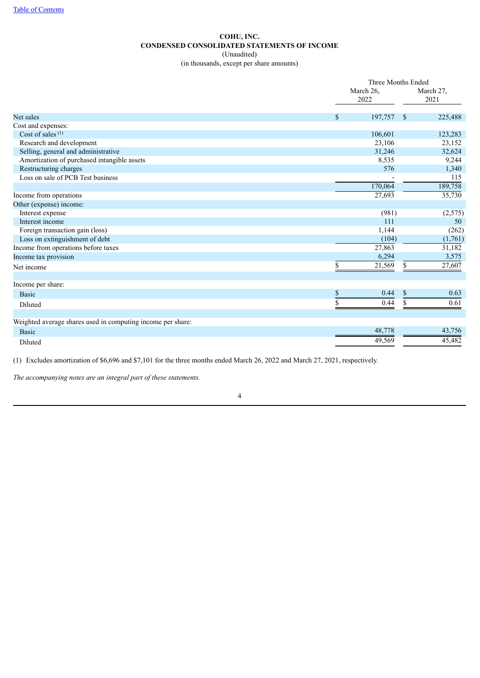# **COHU, INC. CONDENSED CONSOLIDATED STATEMENTS OF INCOME** (Unaudited)

(in thousands, except per share amounts)

<span id="page-3-0"></span>

|                                                             |              | Three Months Ended  |                         |  |  |
|-------------------------------------------------------------|--------------|---------------------|-------------------------|--|--|
|                                                             |              | March 26,<br>2022   | March 27,<br>2021       |  |  |
| Net sales                                                   | $\mathbf{s}$ | 197,757             | 225,488<br><sup>S</sup> |  |  |
| Cost and expenses:                                          |              |                     |                         |  |  |
| Cost of sales $(1)$                                         |              | 106,601             | 123,283                 |  |  |
| Research and development                                    |              | 23,106              | 23,152                  |  |  |
| Selling, general and administrative                         |              | 31,246              | 32,624                  |  |  |
| Amortization of purchased intangible assets                 |              | 8,535               | 9,244                   |  |  |
| Restructuring charges                                       |              | 576                 | 1,340                   |  |  |
| Loss on sale of PCB Test business                           |              |                     | 115                     |  |  |
|                                                             |              | 170,064             | 189,758                 |  |  |
| Income from operations                                      |              | 27,693              | 35,730                  |  |  |
| Other (expense) income:                                     |              |                     |                         |  |  |
| Interest expense                                            |              | (981)               | (2,575)                 |  |  |
| Interest income                                             |              | 111                 | 50                      |  |  |
| Foreign transaction gain (loss)                             |              | 1,144               | (262)                   |  |  |
| Loss on extinguishment of debt                              |              | (104)               | (1,761)                 |  |  |
| Income from operations before taxes                         |              | $27,\overline{863}$ | 31,182                  |  |  |
| Income tax provision                                        |              | 6,294               | 3,575                   |  |  |
| Net income                                                  | \$           | 21,569              | 27,607<br>\$            |  |  |
| Income per share:                                           |              |                     |                         |  |  |
| <b>Basic</b>                                                | \$           | 0.44                | \$<br>0.63              |  |  |
| Diluted                                                     | \$           | 0.44                | 0.61<br>\$              |  |  |
| Weighted average shares used in computing income per share: |              |                     |                         |  |  |
|                                                             |              | 48,778              | 43,756                  |  |  |
| <b>Basic</b>                                                |              |                     |                         |  |  |
| Diluted                                                     |              | 49,569              | 45,482                  |  |  |

(1) Excludes amortization of \$6,696 and \$7,101 for the three months ended March 26, 2022 and March 27, 2021, respectively.

*The accompanying notes are an integral part of these statements.*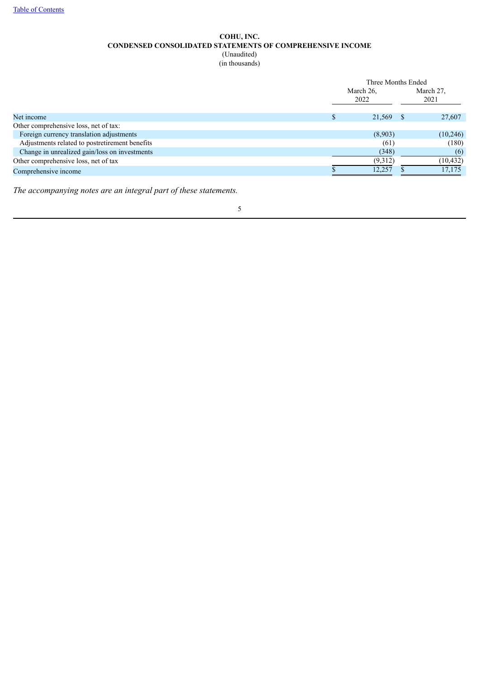# **COHU, INC. CONDENSED CONSOLIDATED STATEMENTS OF COMPREHENSIVE INCOME** (Unaudited)

(in thousands)

<span id="page-4-0"></span>

|                                                | Three Months Ended |  |                   |  |  |
|------------------------------------------------|--------------------|--|-------------------|--|--|
|                                                | March 26,<br>2022  |  | March 27,<br>2021 |  |  |
| Net income                                     | 21,569             |  | 27,607            |  |  |
| Other comprehensive loss, net of tax:          |                    |  |                   |  |  |
| Foreign currency translation adjustments       | (8,903)            |  | (10,246)          |  |  |
| Adjustments related to postretirement benefits | (61)               |  | (180)             |  |  |
| Change in unrealized gain/loss on investments  | (348)              |  | (6)               |  |  |
| Other comprehensive loss, net of tax           | (9,312)            |  | (10, 432)         |  |  |
| Comprehensive income                           | 12.257             |  | 17.175            |  |  |

*The accompanying notes are an integral part of these statements.*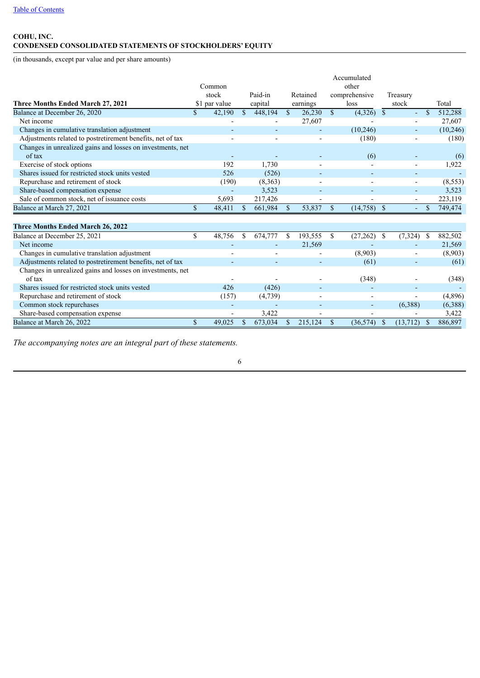# <span id="page-5-0"></span>**COHU, INC. CONDENSED CONSOLIDATED STATEMENTS OF STOCKHOLDERS' EQUITY**

(in thousands, except par value and per share amounts)

|                                                            |             |               |               |         |               |          |              | Accumulated   |              |                          |             |           |
|------------------------------------------------------------|-------------|---------------|---------------|---------|---------------|----------|--------------|---------------|--------------|--------------------------|-------------|-----------|
|                                                            |             | Common        |               |         |               |          |              | other         |              |                          |             |           |
|                                                            |             | stock         |               | Paid-in |               | Retained |              | comprehensive |              | Treasury                 |             |           |
| Three Months Ended March 27, 2021                          |             | \$1 par value |               | capital |               | earnings |              | loss          |              | stock                    |             | Total     |
| Balance at December 26, 2020                               | $\mathbf S$ | 42,190        | $\mathcal{S}$ | 448,194 | $\mathcal{S}$ | 26,230   | $\mathbb{S}$ | $(4,326)$ \$  |              | $\overline{\phantom{0}}$ | $\mathbf S$ | 512,288   |
| Net income                                                 |             |               |               |         |               | 27,607   |              |               |              |                          |             | 27,607    |
| Changes in cumulative translation adjustment               |             |               |               |         |               |          |              | (10, 246)     |              | $\overline{\phantom{a}}$ |             | (10, 246) |
| Adjustments related to postretirement benefits, net of tax |             |               |               |         |               |          |              | (180)         |              |                          |             | (180)     |
| Changes in unrealized gains and losses on investments, net |             |               |               |         |               |          |              |               |              |                          |             |           |
| of tax                                                     |             |               |               |         |               |          |              | (6)           |              |                          |             | (6)       |
| Exercise of stock options                                  |             | 192           |               | 1,730   |               |          |              |               |              |                          |             | 1,922     |
| Shares issued for restricted stock units vested            |             | 526           |               | (526)   |               |          |              |               |              |                          |             |           |
| Repurchase and retirement of stock                         |             | (190)         |               | (8,363) |               |          |              |               |              |                          |             | (8, 553)  |
| Share-based compensation expense                           |             |               |               | 3,523   |               |          |              |               |              |                          |             | 3,523     |
| Sale of common stock, net of issuance costs                |             | 5,693         |               | 217,426 |               |          |              |               |              |                          |             | 223,119   |
| Balance at March 27, 2021                                  | $\mathbf S$ | 48,411        | \$.           | 661,984 | <sup>\$</sup> | 53,837   | $\mathbb{S}$ | $(14,758)$ \$ |              |                          | \$          | 749,474   |
|                                                            |             |               |               |         |               |          |              |               |              |                          |             |           |
| <b>Three Months Ended March 26, 2022</b>                   |             |               |               |         |               |          |              |               |              |                          |             |           |
| Balance at December 25, 2021                               | \$          | 48,756        | \$.           | 674,777 | \$            | 193,555  | <sup>S</sup> | (27, 262)     | -S           | (7,324)                  | -S          | 882,502   |
| Net income                                                 |             |               |               |         |               | 21,569   |              |               |              |                          |             | 21,569    |
| Changes in cumulative translation adjustment               |             |               |               |         |               |          |              | (8,903)       |              |                          |             | (8,903)   |
| Adjustments related to postretirement benefits, net of tax |             |               |               |         |               |          |              | (61)          |              |                          |             | (61)      |
| Changes in unrealized gains and losses on investments, net |             |               |               |         |               |          |              |               |              |                          |             |           |
| of tax                                                     |             |               |               |         |               |          |              | (348)         |              |                          |             | (348)     |
| Shares issued for restricted stock units vested            |             | 426           |               | (426)   |               |          |              |               |              |                          |             |           |
| Repurchase and retirement of stock                         |             | (157)         |               | (4,739) |               |          |              |               |              |                          |             | (4,896)   |
| Common stock repurchases                                   |             |               |               |         |               |          |              |               |              | (6,388)                  |             | (6,388)   |
| Share-based compensation expense                           |             |               |               | 3,422   |               |          |              |               |              |                          |             | 3,422     |
| Balance at March 26, 2022                                  | \$          | 49,025        | S             | 673,034 | <sup>\$</sup> | 215,124  | $\mathbb{S}$ | (36, 574)     | <sup>S</sup> | (13, 712)                | - \$        | 886,897   |

*The accompanying notes are an integral part of these statements.*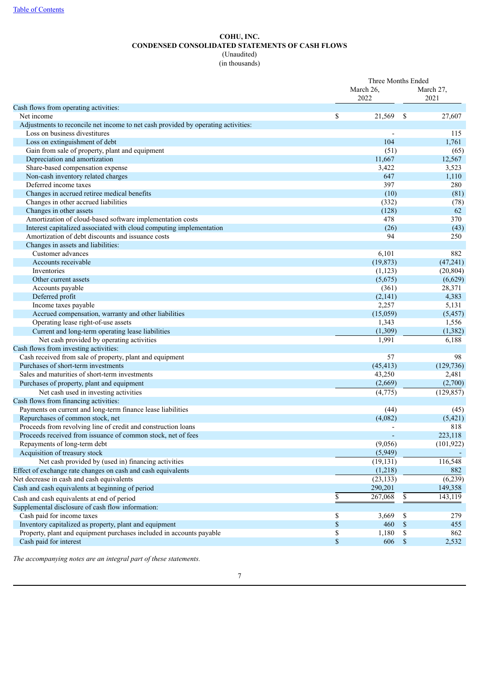# **COHU, INC. CONDENSED CONSOLIDATED STATEMENTS OF CASH FLOWS** (Unaudited)

(in thousands)

<span id="page-6-0"></span>

|                                                                                   | Three Months Ended<br>March 26, |                |                   | March 27,  |
|-----------------------------------------------------------------------------------|---------------------------------|----------------|-------------------|------------|
| Cash flows from operating activities:                                             |                                 | 2022           |                   | 2021       |
| Net income                                                                        | \$                              | 21,569         | -\$               | 27,607     |
| Adjustments to reconcile net income to net cash provided by operating activities: |                                 |                |                   |            |
| Loss on business divestitures                                                     |                                 |                |                   | 115        |
| Loss on extinguishment of debt                                                    |                                 | 104            |                   | 1,761      |
| Gain from sale of property, plant and equipment                                   |                                 | (51)           |                   | (65)       |
| Depreciation and amortization                                                     |                                 | 11,667         |                   | 12,567     |
| Share-based compensation expense                                                  |                                 | 3,422          |                   | 3,523      |
| Non-cash inventory related charges                                                |                                 | 647            |                   | 1,110      |
| Deferred income taxes                                                             |                                 | 397            |                   | 280        |
| Changes in accrued retiree medical benefits                                       |                                 | (10)           |                   | (81)       |
| Changes in other accrued liabilities                                              |                                 | (332)          |                   | (78)       |
| Changes in other assets                                                           |                                 | (128)          |                   | 62         |
| Amortization of cloud-based software implementation costs                         |                                 | 478            |                   | 370        |
| Interest capitalized associated with cloud computing implementation               |                                 | (26)           |                   | (43)       |
| Amortization of debt discounts and issuance costs                                 |                                 | 94             |                   | 250        |
| Changes in assets and liabilities:                                                |                                 |                |                   |            |
| Customer advances                                                                 |                                 | 6,101          |                   | 882        |
| Accounts receivable                                                               |                                 | (19, 873)      |                   | (47, 241)  |
| Inventories                                                                       |                                 | (1, 123)       |                   | (20, 804)  |
| Other current assets                                                              |                                 | (5,675)        |                   | (6,629)    |
| Accounts payable                                                                  |                                 | (361)          |                   | 28,371     |
| Deferred profit                                                                   |                                 | (2,141)        |                   | 4,383      |
| Income taxes payable                                                              |                                 | 2,257          |                   | 5,131      |
| Accrued compensation, warranty and other liabilities                              |                                 | (15,059)       |                   | (5, 457)   |
| Operating lease right-of-use assets                                               |                                 | 1,343          |                   | 1,556      |
| Current and long-term operating lease liabilities                                 |                                 | (1,309)        |                   | (1, 382)   |
| Net cash provided by operating activities                                         |                                 | 1,991          |                   | 6,188      |
| Cash flows from investing activities:                                             |                                 |                |                   |            |
| Cash received from sale of property, plant and equipment                          |                                 | 57             |                   | 98         |
| Purchases of short-term investments                                               |                                 | (45, 413)      |                   | (129, 736) |
| Sales and maturities of short-term investments                                    |                                 | 43,250         |                   | 2,481      |
| Purchases of property, plant and equipment                                        |                                 | (2,669)        |                   | (2,700)    |
| Net cash used in investing activities                                             |                                 | $\sqrt{4,775}$ |                   | (129, 857) |
| Cash flows from financing activities:                                             |                                 |                |                   |            |
| Payments on current and long-term finance lease liabilities                       |                                 | (44)           |                   | (45)       |
| Repurchases of common stock, net                                                  |                                 | (4,082)        |                   | (5, 421)   |
| Proceeds from revolving line of credit and construction loans                     |                                 |                |                   | 818        |
| Proceeds received from issuance of common stock, net of fees                      |                                 |                |                   | 223,118    |
| Repayments of long-term debt                                                      |                                 | (9,056)        |                   | (101, 922) |
| Acquisition of treasury stock                                                     |                                 | (5,949)        |                   |            |
| Net cash provided by (used in) financing activities                               |                                 | (19, 131)      |                   | 116,548    |
| Effect of exchange rate changes on cash and cash equivalents                      |                                 | (1,218)        |                   | 882        |
| Net decrease in cash and cash equivalents                                         |                                 | (23, 133)      |                   | (6,239)    |
| Cash and cash equivalents at beginning of period                                  |                                 | 290,201        |                   | 149,358    |
| Cash and cash equivalents at end of period                                        | \$                              | 267,068        | \$                | 143,119    |
| Supplemental disclosure of cash flow information:                                 |                                 |                |                   |            |
| Cash paid for income taxes                                                        | \$                              | 3,669          | \$                | 279        |
| Inventory capitalized as property, plant and equipment                            | $\mathbb S$                     | 460            | $\mathcal{S}$     | 455        |
| Property, plant and equipment purchases included in accounts payable              | \$                              | 1,180          | \$                | 862        |
| Cash paid for interest                                                            | $\mathbb S$                     | 606            | $\boldsymbol{\$}$ | 2,532      |

*The accompanying notes are an integral part of these statements.*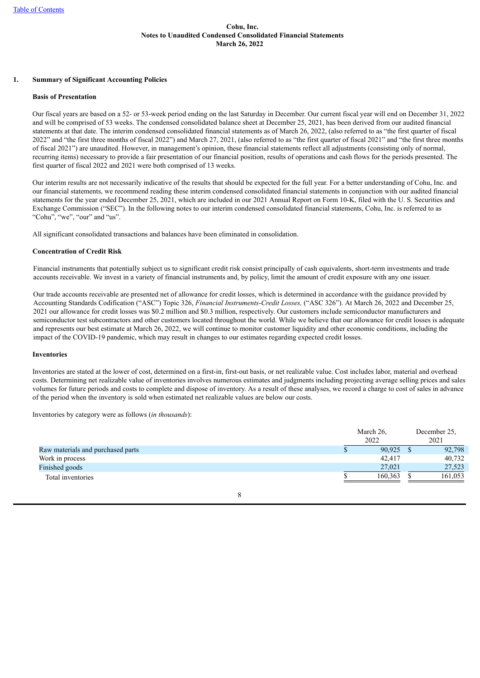## <span id="page-7-0"></span>**1. Summary of Significant Accounting Policies**

#### **Basis of Presentation**

Our fiscal years are based on a 52- or 53-week period ending on the last Saturday in December. Our current fiscal year will end on December 31, 2022 and will be comprised of 53 weeks. The condensed consolidated balance sheet at December 25, 2021, has been derived from our audited financial statements at that date. The interim condensed consolidated financial statements as of March 26, 2022, (also referred to as "the first quarter of fiscal 2022" and "the first three months of fiscal 2022") and March 27, 2021, (also referred to as "the first quarter of fiscal 2021" and "the first three months of fiscal 2021") are unaudited. However, in management's opinion, these financial statements reflect all adjustments (consisting only of normal, recurring items) necessary to provide a fair presentation of our financial position, results of operations and cash flows for the periods presented. The first quarter of fiscal 2022 and 2021 were both comprised of 13 weeks.

Our interim results are not necessarily indicative of the results that should be expected for the full year. For a better understanding of Cohu, Inc. and our financial statements, we recommend reading these interim condensed consolidated financial statements in conjunction with our audited financial statements for the year ended December 25, 2021, which are included in our 2021 Annual Report on Form 10-K, filed with the U. S. Securities and Exchange Commission ("SEC"). In the following notes to our interim condensed consolidated financial statements, Cohu, Inc. is referred to as "Cohu", "we", "our" and "us".

All significant consolidated transactions and balances have been eliminated in consolidation.

## **Concentration of Credit Risk**

Financial instruments that potentially subject us to significant credit risk consist principally of cash equivalents, short-term investments and trade accounts receivable. We invest in a variety of financial instruments and, by policy, limit the amount of credit exposure with any one issuer.

Our trade accounts receivable are presented net of allowance for credit losses, which is determined in accordance with the guidance provided by Accounting Standards Codification ("ASC") Topic 326, *Financial Instruments-Credit Losses,* ("ASC 326"). At March 26, 2022 and December 25, 2021 our allowance for credit losses was \$0.2 million and \$0.3 million, respectively. Our customers include semiconductor manufacturers and semiconductor test subcontractors and other customers located throughout the world. While we believe that our allowance for credit losses is adequate and represents our best estimate at March 26, 2022, we will continue to monitor customer liquidity and other economic conditions, including the impact of the COVID-19 pandemic, which may result in changes to our estimates regarding expected credit losses.

#### **Inventories**

Inventories are stated at the lower of cost, determined on a first-in, first-out basis, or net realizable value. Cost includes labor, material and overhead costs. Determining net realizable value of inventories involves numerous estimates and judgments including projecting average selling prices and sales volumes for future periods and costs to complete and dispose of inventory. As a result of these analyses, we record a charge to cost of sales in advance of the period when the inventory is sold when estimated net realizable values are below our costs.

Inventories by category were as follows (*in thousands*):

|                                   | March 26.<br>2022 | December 25,<br>2021 |
|-----------------------------------|-------------------|----------------------|
| Raw materials and purchased parts | 90,925            | 92,798               |
| Work in process                   | 42,417            | 40,732               |
| Finished goods                    | 27.021            | 27,523               |
| Total inventories                 | 160,363           | 161,053              |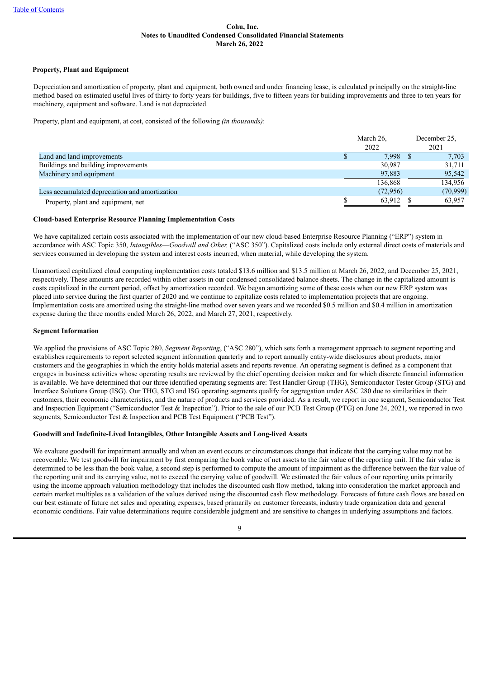### **Property, Plant and Equipment**

Depreciation and amortization of property, plant and equipment, both owned and under financing lease, is calculated principally on the straight-line method based on estimated useful lives of thirty to forty years for buildings, five to fifteen years for building improvements and three to ten years for machinery, equipment and software. Land is not depreciated.

Property, plant and equipment, at cost, consisted of the following *(in thousands)*:

|                                                | March 26. |            | December 25. |
|------------------------------------------------|-----------|------------|--------------|
|                                                | 2022      |            | 2021         |
| Land and land improvements                     |           | $7.998$ \$ | 7,703        |
| Buildings and building improvements            |           | 30,987     | 31,711       |
| Machinery and equipment                        |           | 97.883     | 95,542       |
|                                                |           | 136.868    | 134,956      |
| Less accumulated depreciation and amortization |           | (72, 956)  | (70,999)     |
| Property, plant and equipment, net             |           | 63,912     | 63,957       |

#### **Cloud-based Enterprise Resource Planning Implementation Costs**

We have capitalized certain costs associated with the implementation of our new cloud-based Enterprise Resource Planning ("ERP") system in accordance with ASC Topic 350, *Intangibles*—*Goodwill and Other,* ("ASC 350"). Capitalized costs include only external direct costs of materials and services consumed in developing the system and interest costs incurred, when material, while developing the system.

Unamortized capitalized cloud computing implementation costs totaled \$13.6 million and \$13.5 million at March 26, 2022, and December 25, 2021, respectively. These amounts are recorded within other assets in our condensed consolidated balance sheets. The change in the capitalized amount is costs capitalized in the current period, offset by amortization recorded. We began amortizing some of these costs when our new ERP system was placed into service during the first quarter of 2020 and we continue to capitalize costs related to implementation projects that are ongoing. Implementation costs are amortized using the straight-line method over seven years and we recorded \$0.5 million and \$0.4 million in amortization expense during the three months ended March 26, 2022, and March 27, 2021, respectively.

#### **Segment Information**

We applied the provisions of ASC Topic 280, *Segment Reporting*, ("ASC 280"), which sets forth a management approach to segment reporting and establishes requirements to report selected segment information quarterly and to report annually entity-wide disclosures about products, major customers and the geographies in which the entity holds material assets and reports revenue. An operating segment is defined as a component that engages in business activities whose operating results are reviewed by the chief operating decision maker and for which discrete financial information is available. We have determined that our three identified operating segments are: Test Handler Group (THG), Semiconductor Tester Group (STG) and Interface Solutions Group (ISG). Our THG, STG and ISG operating segments qualify for aggregation under ASC 280 due to similarities in their customers, their economic characteristics, and the nature of products and services provided. As a result, we report in one segment, Semiconductor Test and Inspection Equipment ("Semiconductor Test & Inspection"). Prior to the sale of our PCB Test Group (PTG) on June 24, 2021, we reported in two segments, Semiconductor Test & Inspection and PCB Test Equipment ("PCB Test").

## **Goodwill and Indefinite-Lived Intangibles, Other Intangible Assets and Long-lived Assets**

We evaluate goodwill for impairment annually and when an event occurs or circumstances change that indicate that the carrying value may not be recoverable. We test goodwill for impairment by first comparing the book value of net assets to the fair value of the reporting unit. If the fair value is determined to be less than the book value, a second step is performed to compute the amount of impairment as the difference between the fair value of the reporting unit and its carrying value, not to exceed the carrying value of goodwill. We estimated the fair values of our reporting units primarily using the income approach valuation methodology that includes the discounted cash flow method, taking into consideration the market approach and certain market multiples as a validation of the values derived using the discounted cash flow methodology. Forecasts of future cash flows are based on our best estimate of future net sales and operating expenses, based primarily on customer forecasts, industry trade organization data and general economic conditions. Fair value determinations require considerable judgment and are sensitive to changes in underlying assumptions and factors.

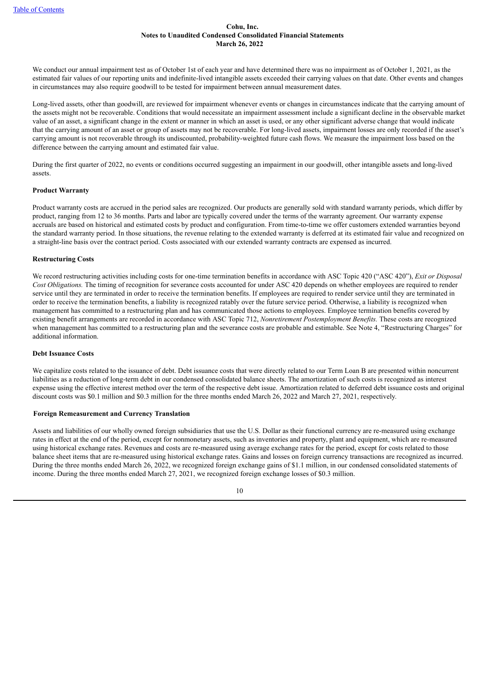We conduct our annual impairment test as of October 1st of each year and have determined there was no impairment as of October 1, 2021, as the estimated fair values of our reporting units and indefinite-lived intangible assets exceeded their carrying values on that date. Other events and changes in circumstances may also require goodwill to be tested for impairment between annual measurement dates.

Long-lived assets, other than goodwill, are reviewed for impairment whenever events or changes in circumstances indicate that the carrying amount of the assets might not be recoverable. Conditions that would necessitate an impairment assessment include a significant decline in the observable market value of an asset, a significant change in the extent or manner in which an asset is used, or any other significant adverse change that would indicate that the carrying amount of an asset or group of assets may not be recoverable. For long-lived assets, impairment losses are only recorded if the asset's carrying amount is not recoverable through its undiscounted, probability-weighted future cash flows. We measure the impairment loss based on the difference between the carrying amount and estimated fair value.

During the first quarter of 2022, no events or conditions occurred suggesting an impairment in our goodwill, other intangible assets and long-lived assets.

#### **Product Warranty**

Product warranty costs are accrued in the period sales are recognized. Our products are generally sold with standard warranty periods, which differ by product, ranging from 12 to 36 months. Parts and labor are typically covered under the terms of the warranty agreement. Our warranty expense accruals are based on historical and estimated costs by product and configuration. From time-to-time we offer customers extended warranties beyond the standard warranty period. In those situations, the revenue relating to the extended warranty is deferred at its estimated fair value and recognized on a straight-line basis over the contract period. Costs associated with our extended warranty contracts are expensed as incurred.

#### **Restructuring Costs**

We record restructuring activities including costs for one-time termination benefits in accordance with ASC Topic 420 ("ASC 420"), *Exit or Disposal Cost Obligations.* The timing of recognition for severance costs accounted for under ASC 420 depends on whether employees are required to render service until they are terminated in order to receive the termination benefits. If employees are required to render service until they are terminated in order to receive the termination benefits, a liability is recognized ratably over the future service period. Otherwise, a liability is recognized when management has committed to a restructuring plan and has communicated those actions to employees. Employee termination benefits covered by existing benefit arrangements are recorded in accordance with ASC Topic 712, *Nonretirement Postemployment Benefits.* These costs are recognized when management has committed to a restructuring plan and the severance costs are probable and estimable. See Note 4, "Restructuring Charges" for additional information.

#### **Debt Issuance Costs**

We capitalize costs related to the issuance of debt. Debt issuance costs that were directly related to our Term Loan B are presented within noncurrent liabilities as a reduction of long-term debt in our condensed consolidated balance sheets. The amortization of such costs is recognized as interest expense using the effective interest method over the term of the respective debt issue. Amortization related to deferred debt issuance costs and original discount costs was \$0.1 million and \$0.3 million for the three months ended March 26, 2022 and March 27, 2021, respectively.

#### **Foreign Remeasurement and Currency Translation**

Assets and liabilities of our wholly owned foreign subsidiaries that use the U.S. Dollar as their functional currency are re-measured using exchange rates in effect at the end of the period, except for nonmonetary assets, such as inventories and property, plant and equipment, which are re-measured using historical exchange rates. Revenues and costs are re-measured using average exchange rates for the period, except for costs related to those balance sheet items that are re-measured using historical exchange rates. Gains and losses on foreign currency transactions are recognized as incurred. During the three months ended March 26, 2022, we recognized foreign exchange gains of \$1.1 million, in our condensed consolidated statements of income. During the three months ended March 27, 2021, we recognized foreign exchange losses of \$0.3 million.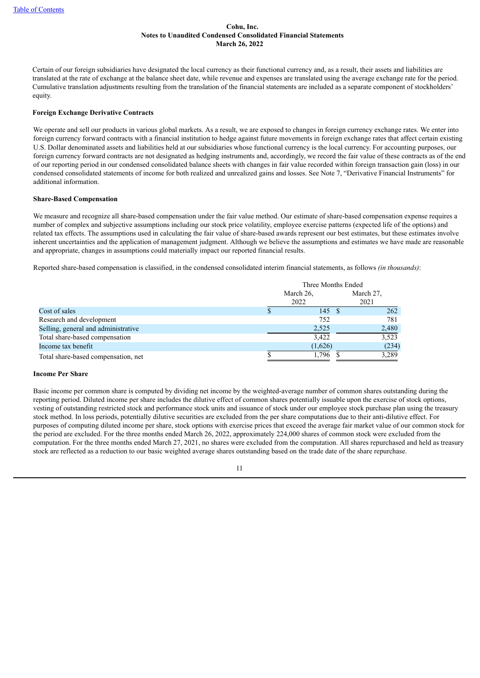Certain of our foreign subsidiaries have designated the local currency as their functional currency and, as a result, their assets and liabilities are translated at the rate of exchange at the balance sheet date, while revenue and expenses are translated using the average exchange rate for the period. Cumulative translation adjustments resulting from the translation of the financial statements are included as a separate component of stockholders' equity.

## **Foreign Exchange Derivative Contracts**

We operate and sell our products in various global markets. As a result, we are exposed to changes in foreign currency exchange rates. We enter into foreign currency forward contracts with a financial institution to hedge against future movements in foreign exchange rates that affect certain existing U.S. Dollar denominated assets and liabilities held at our subsidiaries whose functional currency is the local currency. For accounting purposes, our foreign currency forward contracts are not designated as hedging instruments and, accordingly, we record the fair value of these contracts as of the end of our reporting period in our condensed consolidated balance sheets with changes in fair value recorded within foreign transaction gain (loss) in our condensed consolidated statements of income for both realized and unrealized gains and losses. See Note 7, "Derivative Financial Instruments" for additional information.

## **Share-Based Compensation**

We measure and recognize all share-based compensation under the fair value method. Our estimate of share-based compensation expense requires a number of complex and subjective assumptions including our stock price volatility, employee exercise patterns (expected life of the options) and related tax effects. The assumptions used in calculating the fair value of share-based awards represent our best estimates, but these estimates involve inherent uncertainties and the application of management judgment. Although we believe the assumptions and estimates we have made are reasonable and appropriate, changes in assumptions could materially impact our reported financial results.

Reported share-based compensation is classified, in the condensed consolidated interim financial statements, as follows *(in thousands)*:

|                                     | Three Months Ended |  |       |  |  |
|-------------------------------------|--------------------|--|-------|--|--|
|                                     | March 26.          |  |       |  |  |
|                                     | 2022               |  | 2021  |  |  |
| Cost of sales                       | 145 \$             |  | 262   |  |  |
| Research and development            | 752                |  | 781   |  |  |
| Selling, general and administrative | 2,525              |  | 2,480 |  |  |
| Total share-based compensation      | 3,422              |  | 3,523 |  |  |
| Income tax benefit                  | (1,626)            |  | (234) |  |  |
| Total share-based compensation, net | 1.796              |  | 3,289 |  |  |

#### **Income Per Share**

Basic income per common share is computed by dividing net income by the weighted-average number of common shares outstanding during the reporting period. Diluted income per share includes the dilutive effect of common shares potentially issuable upon the exercise of stock options, vesting of outstanding restricted stock and performance stock units and issuance of stock under our employee stock purchase plan using the treasury stock method. In loss periods, potentially dilutive securities are excluded from the per share computations due to their anti-dilutive effect. For purposes of computing diluted income per share, stock options with exercise prices that exceed the average fair market value of our common stock for the period are excluded. For the three months ended March 26, 2022, approximately 224,000 shares of common stock were excluded from the computation. For the three months ended March 27, 2021, no shares were excluded from the computation. All shares repurchased and held as treasury stock are reflected as a reduction to our basic weighted average shares outstanding based on the trade date of the share repurchase.

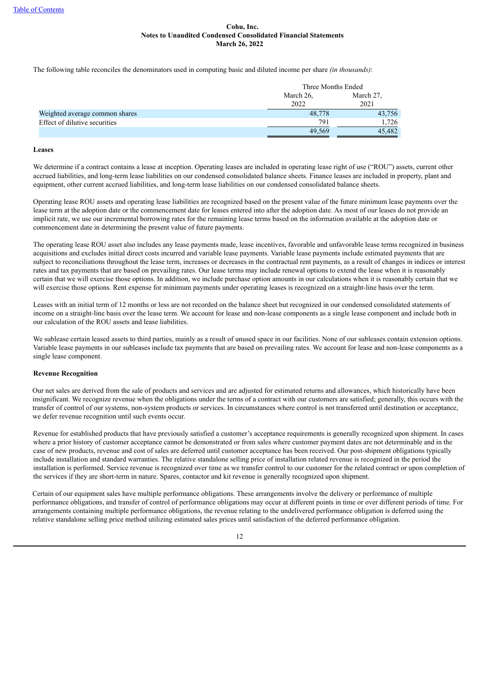The following table reconciles the denominators used in computing basic and diluted income per share *(in thousands)*:

|                                |           | Three Months Ended |  |  |  |
|--------------------------------|-----------|--------------------|--|--|--|
|                                | March 26, | March 27,          |  |  |  |
|                                | 2022      | 2021               |  |  |  |
| Weighted average common shares | 48,778    | 43,756             |  |  |  |
| Effect of dilutive securities  | 791       | 1,726              |  |  |  |
|                                | 49.569    | 45,482             |  |  |  |

#### **Leases**

We determine if a contract contains a lease at inception. Operating leases are included in operating lease right of use ("ROU") assets, current other accrued liabilities, and long-term lease liabilities on our condensed consolidated balance sheets. Finance leases are included in property, plant and equipment, other current accrued liabilities, and long-term lease liabilities on our condensed consolidated balance sheets.

Operating lease ROU assets and operating lease liabilities are recognized based on the present value of the future minimum lease payments over the lease term at the adoption date or the commencement date for leases entered into after the adoption date. As most of our leases do not provide an implicit rate, we use our incremental borrowing rates for the remaining lease terms based on the information available at the adoption date or commencement date in determining the present value of future payments.

The operating lease ROU asset also includes any lease payments made, lease incentives, favorable and unfavorable lease terms recognized in business acquisitions and excludes initial direct costs incurred and variable lease payments. Variable lease payments include estimated payments that are subject to reconciliations throughout the lease term, increases or decreases in the contractual rent payments, as a result of changes in indices or interest rates and tax payments that are based on prevailing rates. Our lease terms may include renewal options to extend the lease when it is reasonably certain that we will exercise those options. In addition, we include purchase option amounts in our calculations when it is reasonably certain that we will exercise those options. Rent expense for minimum payments under operating leases is recognized on a straight-line basis over the term.

Leases with an initial term of 12 months or less are not recorded on the balance sheet but recognized in our condensed consolidated statements of income on a straight-line basis over the lease term. We account for lease and non-lease components as a single lease component and include both in our calculation of the ROU assets and lease liabilities.

We sublease certain leased assets to third parties, mainly as a result of unused space in our facilities. None of our subleases contain extension options. Variable lease payments in our subleases include tax payments that are based on prevailing rates. We account for lease and non-lease components as a single lease component.

## **Revenue Recognition**

Our net sales are derived from the sale of products and services and are adjusted for estimated returns and allowances, which historically have been insignificant. We recognize revenue when the obligations under the terms of a contract with our customers are satisfied; generally, this occurs with the transfer of control of our systems, non-system products or services. In circumstances where control is not transferred until destination or acceptance, we defer revenue recognition until such events occur.

Revenue for established products that have previously satisfied a customer's acceptance requirements is generally recognized upon shipment. In cases where a prior history of customer acceptance cannot be demonstrated or from sales where customer payment dates are not determinable and in the case of new products, revenue and cost of sales are deferred until customer acceptance has been received. Our post-shipment obligations typically include installation and standard warranties. The relative standalone selling price of installation related revenue is recognized in the period the installation is performed. Service revenue is recognized over time as we transfer control to our customer for the related contract or upon completion of the services if they are short-term in nature. Spares, contactor and kit revenue is generally recognized upon shipment.

Certain of our equipment sales have multiple performance obligations. These arrangements involve the delivery or performance of multiple performance obligations, and transfer of control of performance obligations may occur at different points in time or over different periods of time. For arrangements containing multiple performance obligations, the revenue relating to the undelivered performance obligation is deferred using the relative standalone selling price method utilizing estimated sales prices until satisfaction of the deferred performance obligation.

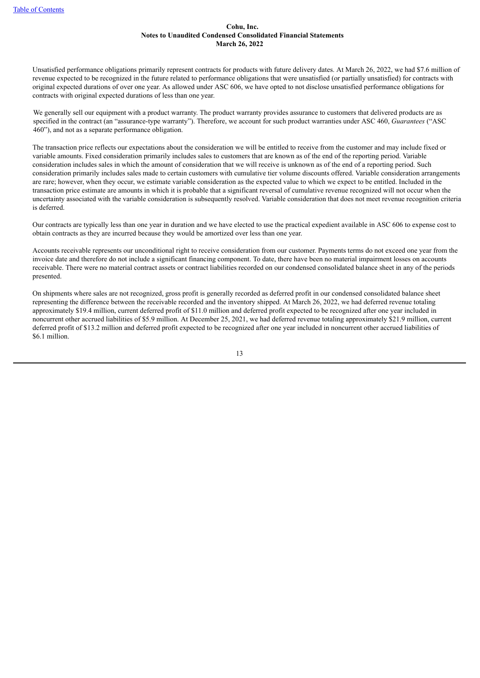Unsatisfied performance obligations primarily represent contracts for products with future delivery dates. At March 26, 2022, we had \$7.6 million of revenue expected to be recognized in the future related to performance obligations that were unsatisfied (or partially unsatisfied) for contracts with original expected durations of over one year. As allowed under ASC 606, we have opted to not disclose unsatisfied performance obligations for contracts with original expected durations of less than one year.

We generally sell our equipment with a product warranty. The product warranty provides assurance to customers that delivered products are as specified in the contract (an "assurance-type warranty"). Therefore, we account for such product warranties under ASC 460, *Guarantees* ("ASC 460"), and not as a separate performance obligation.

The transaction price reflects our expectations about the consideration we will be entitled to receive from the customer and may include fixed or variable amounts. Fixed consideration primarily includes sales to customers that are known as of the end of the reporting period. Variable consideration includes sales in which the amount of consideration that we will receive is unknown as of the end of a reporting period. Such consideration primarily includes sales made to certain customers with cumulative tier volume discounts offered. Variable consideration arrangements are rare; however, when they occur, we estimate variable consideration as the expected value to which we expect to be entitled. Included in the transaction price estimate are amounts in which it is probable that a significant reversal of cumulative revenue recognized will not occur when the uncertainty associated with the variable consideration is subsequently resolved. Variable consideration that does not meet revenue recognition criteria is deferred.

Our contracts are typically less than one year in duration and we have elected to use the practical expedient available in ASC 606 to expense cost to obtain contracts as they are incurred because they would be amortized over less than one year.

Accounts receivable represents our unconditional right to receive consideration from our customer. Payments terms do not exceed one year from the invoice date and therefore do not include a significant financing component. To date, there have been no material impairment losses on accounts receivable. There were no material contract assets or contract liabilities recorded on our condensed consolidated balance sheet in any of the periods presented.

On shipments where sales are not recognized, gross profit is generally recorded as deferred profit in our condensed consolidated balance sheet representing the difference between the receivable recorded and the inventory shipped. At March 26, 2022, we had deferred revenue totaling approximately \$19.4 million, current deferred profit of \$11.0 million and deferred profit expected to be recognized after one year included in noncurrent other accrued liabilities of \$5.9 million. At December 25, 2021, we had deferred revenue totaling approximately \$21.9 million, current deferred profit of \$13.2 million and deferred profit expected to be recognized after one year included in noncurrent other accrued liabilities of \$6.1 million.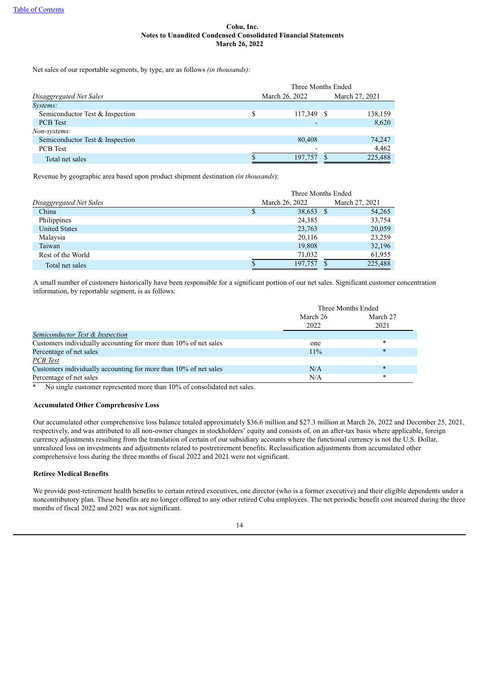Net sales of our reportable segments, by type, are as follows *(in thousands):*

|                                 |    |                | Three Months Ended |         |  |
|---------------------------------|----|----------------|--------------------|---------|--|
| Disaggregated Net Sales         |    | March 26, 2022 | March 27, 2021     |         |  |
| Systems:                        |    |                |                    |         |  |
| Semiconductor Test & Inspection | \$ | 117,349 \$     |                    | 138,159 |  |
| <b>PCB</b> Test                 |    |                |                    | 8,620   |  |
| Non-systems:                    |    |                |                    |         |  |
| Semiconductor Test & Inspection |    | 80.408         |                    | 74,247  |  |
| <b>PCB</b> Test                 |    |                |                    | 4,462   |  |
| Total net sales                 |    | 197.757        |                    | 225,488 |  |

Revenue by geographic area based upon product shipment destination *(in thousands*):

|                         | Three Months Ended |                |  |                |  |  |  |
|-------------------------|--------------------|----------------|--|----------------|--|--|--|
| Disaggregated Net Sales |                    | March 26, 2022 |  | March 27, 2021 |  |  |  |
| China                   |                    | 38,653 \$      |  | 54,265         |  |  |  |
| Philippines             |                    | 24,385         |  | 33,754         |  |  |  |
| <b>United States</b>    |                    | 23,763         |  | 20,059         |  |  |  |
| Malaysia                |                    | 20,116         |  | 23,259         |  |  |  |
| Taiwan                  |                    | 19,808         |  | 32,196         |  |  |  |
| Rest of the World       |                    | 71,032         |  | 61,955         |  |  |  |
| Total net sales         |                    | 197.757        |  | 225,488        |  |  |  |

A small number of customers historically have been responsible for a significant portion of our net sales. Significant customer concentration information, by reportable segment, is as follows:

|                                                                  | Three Months Ended |          |  |  |  |
|------------------------------------------------------------------|--------------------|----------|--|--|--|
|                                                                  | March 26           | March 27 |  |  |  |
|                                                                  | 2022               | 2021     |  |  |  |
| Semiconductor Test & Inspection                                  |                    |          |  |  |  |
| Customers individually accounting for more than 10% of net sales | one                | $\ast$   |  |  |  |
| Percentage of net sales                                          | $11\%$             | $\ast$   |  |  |  |
| PCB Test                                                         |                    |          |  |  |  |
| Customers individually accounting for more than 10% of net sales | N/A                | $\ast$   |  |  |  |
| Percentage of net sales                                          | N/A                | $\ast$   |  |  |  |

\* No single customer represented more than 10% of consolidated net sales.

## **Accumulated Other Comprehensive Loss**

Our accumulated other comprehensive loss balance totaled approximately \$36.6 million and \$27.3 million at March 26, 2022 and December 25, 2021, respectively, and was attributed to all non-owner changes in stockholders' equity and consists of, on an after-tax basis where applicable, foreign currency adjustments resulting from the translation of certain of our subsidiary accounts where the functional currency is not the U.S. Dollar, unrealized loss on investments and adjustments related to postretirement benefits. Reclassification adjustments from accumulated other comprehensive loss during the three months of fiscal 2022 and 2021 were not significant.

## **Retiree Medical Benefits**

We provide post-retirement health benefits to certain retired executives, one director (who is a former executive) and their eligible dependents under a noncontributory plan. These benefits are no longer offered to any other retired Cohu employees. The net periodic benefit cost incurred during the three months of fiscal 2022 and 2021 was not significant.

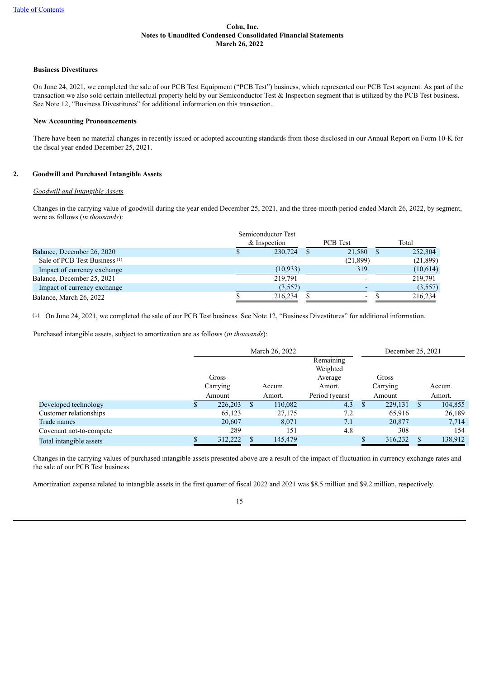#### **Business Divestitures**

On June 24, 2021, we completed the sale of our PCB Test Equipment ("PCB Test") business, which represented our PCB Test segment. As part of the transaction we also sold certain intellectual property held by our Semiconductor Test & Inspection segment that is utilized by the PCB Test business. See Note 12, "Business Divestitures" for additional information on this transaction.

#### **New Accounting Pronouncements**

There have been no material changes in recently issued or adopted accounting standards from those disclosed in our Annual Report on Form 10-K for the fiscal year ended December 25, 2021.

# **2. Goodwill and Purchased Intangible Assets**

## *Goodwill and Intangible Assets*

Changes in the carrying value of goodwill during the year ended December 25, 2021, and the three-month period ended March 26, 2022, by segment, were as follows (*in thousands*):

|                                          | Semiconductor Test |                          |           |
|------------------------------------------|--------------------|--------------------------|-----------|
|                                          | & Inspection       | <b>PCB</b> Test          | Total     |
| Balance, December 26, 2020               | 230,724            | 21,580                   | 252,304   |
| Sale of PCB Test Business <sup>(1)</sup> |                    | (21,899)                 | (21, 899) |
| Impact of currency exchange              | (10, 933)          | 319                      | (10,614)  |
| Balance, December 25, 2021               | 219.791            |                          | 219.791   |
| Impact of currency exchange              | (3,557)            |                          | (3,557)   |
| Balance, March 26, 2022                  | 216.234            | $\overline{\phantom{a}}$ | 216.234   |

(1) On June 24, 2021, we completed the sale of our PCB Test business. See Note 12, "Business Divestitures" for additional information.

Purchased intangible assets, subject to amortization are as follows (*in thousands*):

|                         | March 26, 2022    |    |         | December 25, 2021                          |                   |  |         |
|-------------------------|-------------------|----|---------|--------------------------------------------|-------------------|--|---------|
|                         | Gross<br>Carrying |    | Accum.  | Remaining<br>Weighted<br>Average<br>Amort. | Gross<br>Carrying |  | Accum.  |
|                         | Amount            |    | Amort.  | Period (years)                             | Amount            |  | Amort.  |
| Developed technology    | 226,203           | S. | 110,082 | 4.3                                        | 229,131           |  | 104,855 |
| Customer relationships  | 65,123            |    | 27,175  | 7.2                                        | 65,916            |  | 26,189  |
| Trade names             | 20,607            |    | 8,071   | 7.1                                        | 20,877            |  | 7.714   |
| Covenant not-to-compete | 289               |    | 151     | 4.8                                        | 308               |  | 154     |
| Total intangible assets | 312,222           |    | 145,479 |                                            | 316,232           |  | 138,912 |

Changes in the carrying values of purchased intangible assets presented above are a result of the impact of fluctuation in currency exchange rates and the sale of our PCB Test business.

Amortization expense related to intangible assets in the first quarter of fiscal 2022 and 2021 was \$8.5 million and \$9.2 million, respectively.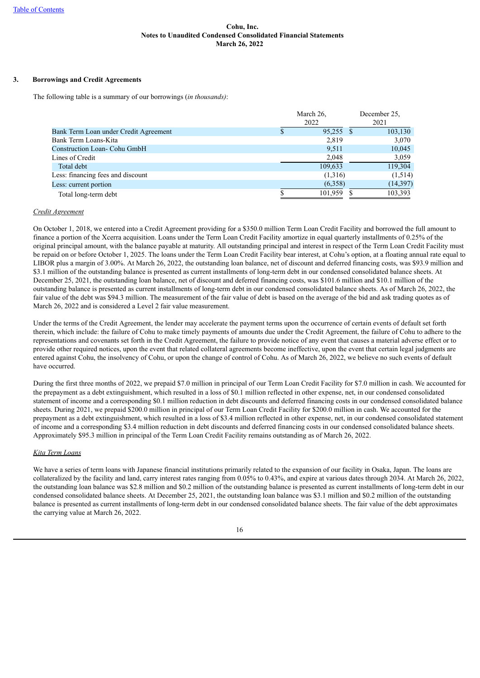# **3. Borrowings and Credit Agreements**

The following table is a summary of our borrowings (*in thousands)*:

|                                       | March 26,   | December 25. |  |  |
|---------------------------------------|-------------|--------------|--|--|
|                                       | 2022        | 2021         |  |  |
| Bank Term Loan under Credit Agreement | $95,255$ \$ | 103,130      |  |  |
| Bank Term Loans-Kita                  | 2,819       | 3,070        |  |  |
| Construction Loan- Cohu GmbH          | 9.511       | 10,045       |  |  |
| Lines of Credit                       | 2,048       | 3,059        |  |  |
| Total debt                            | 109,633     | 119,304      |  |  |
| Less: financing fees and discount     | (1,316)     | (1,514)      |  |  |
| Less: current portion                 | (6.358)     | (14, 397)    |  |  |
| Total long-term debt                  | 101,959     | 103,393      |  |  |

## *Credit Agreement*

On October 1, 2018, we entered into a Credit Agreement providing for a \$350.0 million Term Loan Credit Facility and borrowed the full amount to finance a portion of the Xcerra acquisition. Loans under the Term Loan Credit Facility amortize in equal quarterly installments of 0.25% of the original principal amount, with the balance payable at maturity. All outstanding principal and interest in respect of the Term Loan Credit Facility must be repaid on or before October 1, 2025. The loans under the Term Loan Credit Facility bear interest, at Cohu's option, at a floating annual rate equal to LIBOR plus a margin of 3.00%. At March 26, 2022, the outstanding loan balance, net of discount and deferred financing costs, was \$93.9 million and \$3.1 million of the outstanding balance is presented as current installments of long-term debt in our condensed consolidated balance sheets. At December 25, 2021, the outstanding loan balance, net of discount and deferred financing costs, was \$101.6 million and \$10.1 million of the outstanding balance is presented as current installments of long-term debt in our condensed consolidated balance sheets. As of March 26, 2022, the fair value of the debt was \$94.3 million. The measurement of the fair value of debt is based on the average of the bid and ask trading quotes as of March 26, 2022 and is considered a Level 2 fair value measurement.

Under the terms of the Credit Agreement, the lender may accelerate the payment terms upon the occurrence of certain events of default set forth therein, which include: the failure of Cohu to make timely payments of amounts due under the Credit Agreement, the failure of Cohu to adhere to the representations and covenants set forth in the Credit Agreement, the failure to provide notice of any event that causes a material adverse effect or to provide other required notices, upon the event that related collateral agreements become ineffective, upon the event that certain legal judgments are entered against Cohu, the insolvency of Cohu, or upon the change of control of Cohu. As of March 26, 2022, we believe no such events of default have occurred.

During the first three months of 2022, we prepaid \$7.0 million in principal of our Term Loan Credit Facility for \$7.0 million in cash. We accounted for the prepayment as a debt extinguishment, which resulted in a loss of \$0.1 million reflected in other expense, net, in our condensed consolidated statement of income and a corresponding \$0.1 million reduction in debt discounts and deferred financing costs in our condensed consolidated balance sheets. During 2021, we prepaid \$200.0 million in principal of our Term Loan Credit Facility for \$200.0 million in cash. We accounted for the prepayment as a debt extinguishment, which resulted in a loss of \$3.4 million reflected in other expense, net, in our condensed consolidated statement of income and a corresponding \$3.4 million reduction in debt discounts and deferred financing costs in our condensed consolidated balance sheets. Approximately \$95.3 million in principal of the Term Loan Credit Facility remains outstanding as of March 26, 2022.

# *Kita Term Loans*

We have a series of term loans with Japanese financial institutions primarily related to the expansion of our facility in Osaka, Japan. The loans are collateralized by the facility and land, carry interest rates ranging from 0.05% to 0.43%, and expire at various dates through 2034. At March 26, 2022, the outstanding loan balance was \$2.8 million and \$0.2 million of the outstanding balance is presented as current installments of long-term debt in our condensed consolidated balance sheets. At December 25, 2021, the outstanding loan balance was \$3.1 million and \$0.2 million of the outstanding balance is presented as current installments of long-term debt in our condensed consolidated balance sheets. The fair value of the debt approximates the carrying value at March 26, 2022.

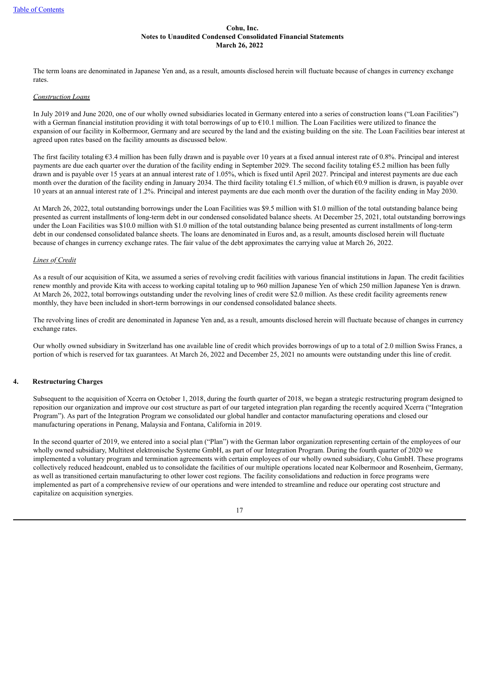The term loans are denominated in Japanese Yen and, as a result, amounts disclosed herein will fluctuate because of changes in currency exchange rates.

#### *Construction Loans*

In July 2019 and June 2020, one of our wholly owned subsidiaries located in Germany entered into a series of construction loans ("Loan Facilities") with a German financial institution providing it with total borrowings of up to  $E10.1$  million. The Loan Facilities were utilized to finance the expansion of our facility in Kolbermoor, Germany and are secured by the land and the existing building on the site. The Loan Facilities bear interest at agreed upon rates based on the facility amounts as discussed below.

The first facility totaling €3.4 million has been fully drawn and is payable over 10 years at a fixed annual interest rate of 0.8%. Principal and interest payments are due each quarter over the duration of the facility ending in September 2029. The second facility totaling  $65.2$  million has been fully drawn and is payable over 15 years at an annual interest rate of 1.05%, which is fixed until April 2027. Principal and interest payments are due each month over the duration of the facility ending in January 2034. The third facility totaling €1.5 million, of which €0.9 million is drawn, is payable over 10 years at an annual interest rate of 1.2%. Principal and interest payments are due each month over the duration of the facility ending in May 2030.

At March 26, 2022, total outstanding borrowings under the Loan Facilities was \$9.5 million with \$1.0 million of the total outstanding balance being presented as current installments of long-term debt in our condensed consolidated balance sheets. At December 25, 2021, total outstanding borrowings under the Loan Facilities was \$10.0 million with \$1.0 million of the total outstanding balance being presented as current installments of long-term debt in our condensed consolidated balance sheets. The loans are denominated in Euros and, as a result, amounts disclosed herein will fluctuate because of changes in currency exchange rates. The fair value of the debt approximates the carrying value at March 26, 2022.

## *Lines of Credit*

As a result of our acquisition of Kita, we assumed a series of revolving credit facilities with various financial institutions in Japan. The credit facilities renew monthly and provide Kita with access to working capital totaling up to 960 million Japanese Yen of which 250 million Japanese Yen is drawn. At March 26, 2022, total borrowings outstanding under the revolving lines of credit were \$2.0 million. As these credit facility agreements renew monthly, they have been included in short-term borrowings in our condensed consolidated balance sheets.

The revolving lines of credit are denominated in Japanese Yen and, as a result, amounts disclosed herein will fluctuate because of changes in currency exchange rates.

Our wholly owned subsidiary in Switzerland has one available line of credit which provides borrowings of up to a total of 2.0 million Swiss Francs, a portion of which is reserved for tax guarantees. At March 26, 2022 and December 25, 2021 no amounts were outstanding under this line of credit.

## **4. Restructuring Charges**

Subsequent to the acquisition of Xcerra on October 1, 2018, during the fourth quarter of 2018, we began a strategic restructuring program designed to reposition our organization and improve our cost structure as part of our targeted integration plan regarding the recently acquired Xcerra ("Integration Program"). As part of the Integration Program we consolidated our global handler and contactor manufacturing operations and closed our manufacturing operations in Penang, Malaysia and Fontana, California in 2019.

In the second quarter of 2019, we entered into a social plan ("Plan") with the German labor organization representing certain of the employees of our wholly owned subsidiary, Multitest elektronische Systeme GmbH, as part of our Integration Program. During the fourth quarter of 2020 we implemented a voluntary program and termination agreements with certain employees of our wholly owned subsidiary, Cohu GmbH. These programs collectively reduced headcount, enabled us to consolidate the facilities of our multiple operations located near Kolbermoor and Rosenheim, Germany, as well as transitioned certain manufacturing to other lower cost regions. The facility consolidations and reduction in force programs were implemented as part of a comprehensive review of our operations and were intended to streamline and reduce our operating cost structure and capitalize on acquisition synergies.

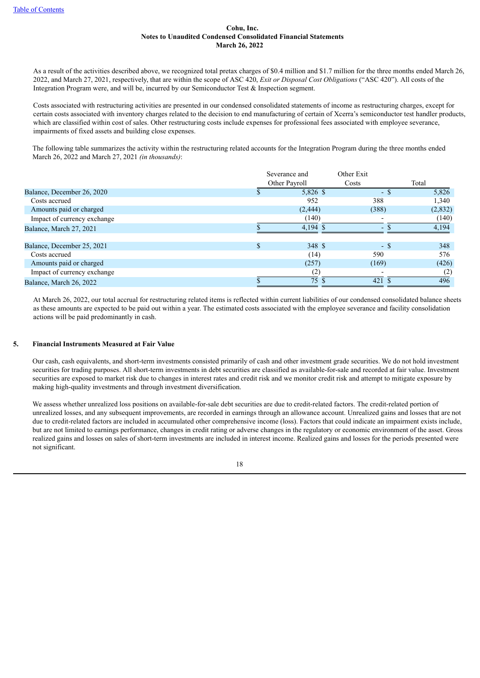As a result of the activities described above, we recognized total pretax charges of \$0.4 million and \$1.7 million for the three months ended March 26, 2022, and March 27, 2021, respectively, that are within the scope of ASC 420, *Exit or Disposal Cost Obligations* ("ASC 420"). All costs of the Integration Program were, and will be, incurred by our Semiconductor Test & Inspection segment.

Costs associated with restructuring activities are presented in our condensed consolidated statements of income as restructuring charges, except for certain costs associated with inventory charges related to the decision to end manufacturing of certain of Xcerra's semiconductor test handler products, which are classified within cost of sales. Other restructuring costs include expenses for professional fees associated with employee severance, impairments of fixed assets and building close expenses.

The following table summarizes the activity within the restructuring related accounts for the Integration Program during the three months ended March 26, 2022 and March 27, 2021 *(in thousands)*:

|                             | Severance and |  | Other Exit               |         |
|-----------------------------|---------------|--|--------------------------|---------|
|                             | Other Payroll |  | Costs                    | Total   |
| Balance, December 26, 2020  | 5,826 \$      |  | $\overline{\phantom{a}}$ | 5,826   |
| Costs accrued               | 952           |  | 388                      | 1,340   |
| Amounts paid or charged     | (2, 444)      |  | (388)                    | (2,832) |
| Impact of currency exchange | (140)         |  |                          | (140)   |
| Balance, March 27, 2021     | $4,194$ \$    |  | $\overline{\phantom{0}}$ | 4,194   |
| Balance, December 25, 2021  | 348 \$        |  | - \$                     | 348     |
| Costs accrued               | (14)          |  | 590                      | 576     |
| Amounts paid or charged     | (257)         |  | (169)                    | (426)   |
| Impact of currency exchange | (2)           |  |                          | (2)     |
| Balance, March 26, 2022     | 75 \$         |  | 421                      | 496     |

At March 26, 2022, our total accrual for restructuring related items is reflected within current liabilities of our condensed consolidated balance sheets as these amounts are expected to be paid out within a year. The estimated costs associated with the employee severance and facility consolidation actions will be paid predominantly in cash.

# **5. Financial Instruments Measured at Fair Value**

Our cash, cash equivalents, and short-term investments consisted primarily of cash and other investment grade securities. We do not hold investment securities for trading purposes. All short-term investments in debt securities are classified as available-for-sale and recorded at fair value. Investment securities are exposed to market risk due to changes in interest rates and credit risk and we monitor credit risk and attempt to mitigate exposure by making high-quality investments and through investment diversification.

We assess whether unrealized loss positions on available-for-sale debt securities are due to credit-related factors. The credit-related portion of unrealized losses, and any subsequent improvements, are recorded in earnings through an allowance account. Unrealized gains and losses that are not due to credit-related factors are included in accumulated other comprehensive income (loss). Factors that could indicate an impairment exists include, but are not limited to earnings performance, changes in credit rating or adverse changes in the regulatory or economic environment of the asset. Gross realized gains and losses on sales of short-term investments are included in interest income. Realized gains and losses for the periods presented were not significant.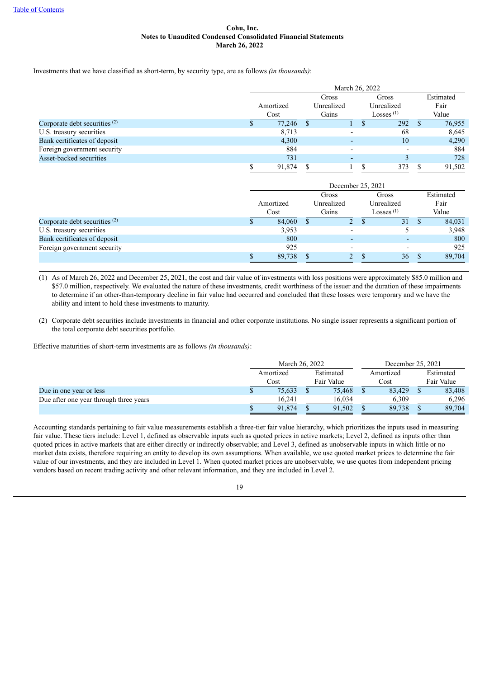Investments that we have classified as short-term, by security type, are as follows *(in thousands)*:

|                                 | March 26, 2022 |       |            |  |                          |  |           |  |      |
|---------------------------------|----------------|-------|------------|--|--------------------------|--|-----------|--|------|
|                                 |                | Gross |            |  | Gross                    |  | Estimated |  |      |
|                                 | Amortized      |       | Unrealized |  | Unrealized               |  |           |  | Fair |
|                                 | Cost           | Gains |            |  | Losses $(1)$             |  | Value     |  |      |
| Corporate debt securities $(2)$ | 77,246         |       |            |  | 292                      |  | 76,955    |  |      |
| U.S. treasury securities        | 8,713          |       |            |  | 68                       |  | 8,645     |  |      |
| Bank certificates of deposit    | 4,300          |       |            |  | 10                       |  | 4,290     |  |      |
| Foreign government security     | 884            |       |            |  | $\overline{\phantom{0}}$ |  | 884       |  |      |
| Asset-backed securities         | 731            |       |            |  |                          |  | 728       |  |      |
|                                 | 91.874         |       |            |  | 373                      |  | 91,502    |  |      |

|                                 | December 25, 2021 |           |            |   |       |              |  |           |
|---------------------------------|-------------------|-----------|------------|---|-------|--------------|--|-----------|
|                                 |                   |           | Gross      |   | Gross |              |  | Estimated |
|                                 |                   | Amortized | Unrealized |   |       | Unrealized   |  | Fair      |
|                                 |                   | Cost      | Gains      |   |       | Losses $(1)$ |  | Value     |
| Corporate debt securities $(2)$ |                   | 84,060    |            | 2 |       | 31           |  | 84,031    |
| U.S. treasury securities        |                   | 3,953     |            |   |       |              |  | 3,948     |
| Bank certificates of deposit    |                   | 800       |            |   |       |              |  | 800       |
| Foreign government security     |                   | 925       |            |   |       |              |  | 925       |
|                                 |                   | 89,738    |            |   |       | 36           |  | 89,704    |

(1) As of March 26, 2022 and December 25, 2021, the cost and fair value of investments with loss positions were approximately \$85.0 million and \$57.0 million, respectively. We evaluated the nature of these investments, credit worthiness of the issuer and the duration of these impairments to determine if an other-than-temporary decline in fair value had occurred and concluded that these losses were temporary and we have the ability and intent to hold these investments to maturity.

(2) Corporate debt securities include investments in financial and other corporate institutions. No single issuer represents a significant portion of the total corporate debt securities portfolio.

Effective maturities of short-term investments are as follows *(in thousands)*:

|                                        | March 26, 2022         |            |        |           | December 25, 2021 |            |        |  |
|----------------------------------------|------------------------|------------|--------|-----------|-------------------|------------|--------|--|
|                                        | Estimated<br>Amortized |            |        | Amortized |                   | Estimated  |        |  |
|                                        | Cost                   | Fair Value |        | Cost      |                   | Fair Value |        |  |
| Due in one year or less                | 75,633                 |            | 75,468 |           | 83.429            |            | 83,408 |  |
| Due after one year through three years | 16.241                 |            | 16.034 |           | 6.309             |            | 6.296  |  |
|                                        | 91.874                 |            | 91.502 |           | 89.738            |            | 89,704 |  |

Accounting standards pertaining to fair value measurements establish a three-tier fair value hierarchy, which prioritizes the inputs used in measuring fair value. These tiers include: Level 1, defined as observable inputs such as quoted prices in active markets; Level 2, defined as inputs other than quoted prices in active markets that are either directly or indirectly observable; and Level 3, defined as unobservable inputs in which little or no market data exists, therefore requiring an entity to develop its own assumptions. When available, we use quoted market prices to determine the fair value of our investments, and they are included in Level 1. When quoted market prices are unobservable, we use quotes from independent pricing vendors based on recent trading activity and other relevant information, and they are included in Level 2.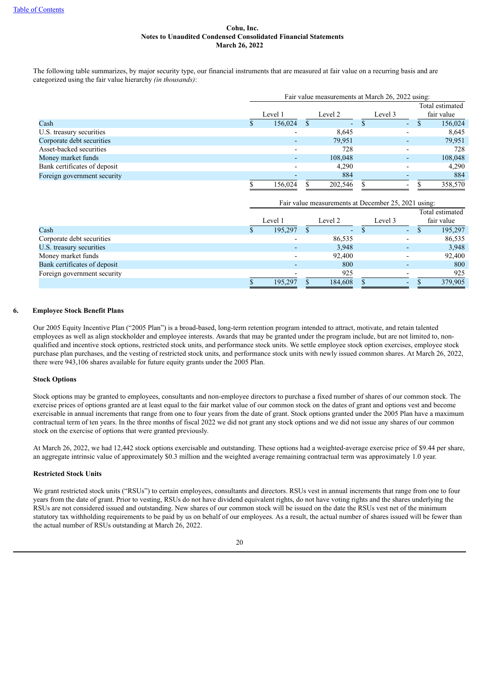The following table summarizes, by major security type, our financial instruments that are measured at fair value on a recurring basis and are categorized using the fair value hierarchy *(in thousands)*:

|                              | Fair value measurements at March 26, 2022 using: |         |  |         |  |         |                          |  |                               |
|------------------------------|--------------------------------------------------|---------|--|---------|--|---------|--------------------------|--|-------------------------------|
|                              |                                                  | Level 1 |  | Level 2 |  | Level 3 |                          |  | Total estimated<br>fair value |
| Cash                         |                                                  | 156,024 |  | ۰.      |  |         | $\overline{\phantom{a}}$ |  | 156,024                       |
| U.S. treasury securities     |                                                  |         |  | 8,645   |  |         | $\overline{\phantom{0}}$ |  | 8,645                         |
| Corporate debt securities    |                                                  |         |  | 79,951  |  |         |                          |  | 79,951                        |
| Asset-backed securities      |                                                  |         |  | 728     |  |         |                          |  | 728                           |
| Money market funds           |                                                  |         |  | 108,048 |  |         |                          |  | 108,048                       |
| Bank certificates of deposit |                                                  |         |  | 4.290   |  |         |                          |  | 4,290                         |
| Foreign government security  |                                                  |         |  | 884     |  |         |                          |  | 884                           |
|                              |                                                  | 156,024 |  | 202,546 |  |         | $\overline{\phantom{a}}$ |  | 358,570                       |

|                              |         | Fair value measurements at December 25, 2021 using: |                          |  |                               |
|------------------------------|---------|-----------------------------------------------------|--------------------------|--|-------------------------------|
|                              | Level 1 | Level 2                                             | Level 3                  |  | Total estimated<br>fair value |
| Cash                         | 195,297 | ۰.                                                  | ٠                        |  | 195,297                       |
| Corporate debt securities    |         | 86,535                                              | $\overline{\phantom{a}}$ |  | 86,535                        |
| U.S. treasury securities     |         | 3.948                                               |                          |  | 3,948                         |
| Money market funds           |         | 92,400                                              |                          |  | 92,400                        |
| Bank certificates of deposit |         | 800                                                 |                          |  | 800                           |
| Foreign government security  |         | 925                                                 |                          |  | 925                           |
|                              | 195.297 | 184.608                                             | ٠                        |  | 379,905                       |

## **6. Employee Stock Benefit Plans**

Our 2005 Equity Incentive Plan ("2005 Plan") is a broad-based, long-term retention program intended to attract, motivate, and retain talented employees as well as align stockholder and employee interests. Awards that may be granted under the program include, but are not limited to, nonqualified and incentive stock options, restricted stock units, and performance stock units. We settle employee stock option exercises, employee stock purchase plan purchases, and the vesting of restricted stock units, and performance stock units with newly issued common shares. At March 26, 2022, there were 943,106 shares available for future equity grants under the 2005 Plan.

#### **Stock Options**

Stock options may be granted to employees, consultants and non-employee directors to purchase a fixed number of shares of our common stock. The exercise prices of options granted are at least equal to the fair market value of our common stock on the dates of grant and options vest and become exercisable in annual increments that range from one to four years from the date of grant. Stock options granted under the 2005 Plan have a maximum contractual term of ten years. In the three months of fiscal 2022 we did not grant any stock options and we did not issue any shares of our common stock on the exercise of options that were granted previously.

At March 26, 2022, we had 12,442 stock options exercisable and outstanding. These options had a weighted-average exercise price of \$9.44 per share, an aggregate intrinsic value of approximately \$0.3 million and the weighted average remaining contractual term was approximately 1.0 year.

## **Restricted Stock Units**

We grant restricted stock units ("RSUs") to certain employees, consultants and directors. RSUs vest in annual increments that range from one to four years from the date of grant. Prior to vesting, RSUs do not have dividend equivalent rights, do not have voting rights and the shares underlying the RSUs are not considered issued and outstanding. New shares of our common stock will be issued on the date the RSUs vest net of the minimum statutory tax withholding requirements to be paid by us on behalf of our employees. As a result, the actual number of shares issued will be fewer than the actual number of RSUs outstanding at March 26, 2022.

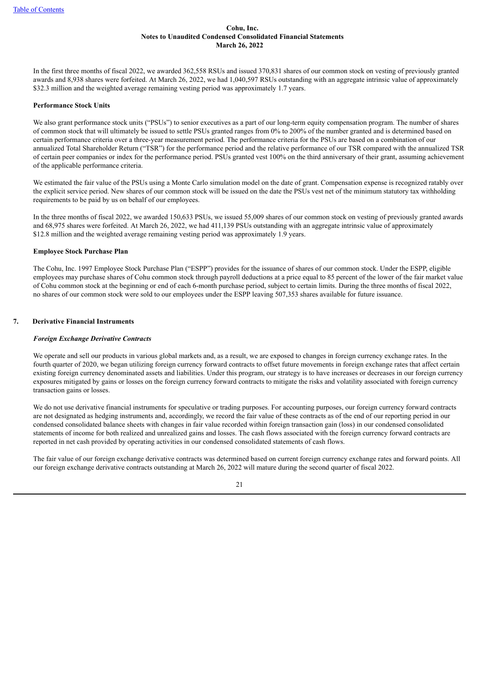In the first three months of fiscal 2022, we awarded 362,558 RSUs and issued 370,831 shares of our common stock on vesting of previously granted awards and 8,938 shares were forfeited. At March 26, 2022, we had 1,040,597 RSUs outstanding with an aggregate intrinsic value of approximately \$32.3 million and the weighted average remaining vesting period was approximately 1.7 years.

## **Performance Stock Units**

We also grant performance stock units ("PSUs") to senior executives as a part of our long-term equity compensation program. The number of shares of common stock that will ultimately be issued to settle PSUs granted ranges from 0% to 200% of the number granted and is determined based on certain performance criteria over a three-year measurement period. The performance criteria for the PSUs are based on a combination of our annualized Total Shareholder Return ("TSR") for the performance period and the relative performance of our TSR compared with the annualized TSR of certain peer companies or index for the performance period. PSUs granted vest 100% on the third anniversary of their grant, assuming achievement of the applicable performance criteria.

We estimated the fair value of the PSUs using a Monte Carlo simulation model on the date of grant. Compensation expense is recognized ratably over the explicit service period. New shares of our common stock will be issued on the date the PSUs vest net of the minimum statutory tax withholding requirements to be paid by us on behalf of our employees.

In the three months of fiscal 2022, we awarded 150,633 PSUs, we issued 55,009 shares of our common stock on vesting of previously granted awards and 68,975 shares were forfeited. At March 26, 2022, we had 411,139 PSUs outstanding with an aggregate intrinsic value of approximately \$12.8 million and the weighted average remaining vesting period was approximately 1.9 years.

#### **Employee Stock Purchase Plan**

The Cohu, Inc. 1997 Employee Stock Purchase Plan ("ESPP") provides for the issuance of shares of our common stock. Under the ESPP, eligible employees may purchase shares of Cohu common stock through payroll deductions at a price equal to 85 percent of the lower of the fair market value of Cohu common stock at the beginning or end of each 6-month purchase period, subject to certain limits. During the three months of fiscal 2022, no shares of our common stock were sold to our employees under the ESPP leaving 507,353 shares available for future issuance.

## **7. Derivative Financial Instruments**

## *Foreign Exchange Derivative Contracts*

We operate and sell our products in various global markets and, as a result, we are exposed to changes in foreign currency exchange rates. In the fourth quarter of 2020, we began utilizing foreign currency forward contracts to offset future movements in foreign exchange rates that affect certain existing foreign currency denominated assets and liabilities. Under this program, our strategy is to have increases or decreases in our foreign currency exposures mitigated by gains or losses on the foreign currency forward contracts to mitigate the risks and volatility associated with foreign currency transaction gains or losses.

We do not use derivative financial instruments for speculative or trading purposes. For accounting purposes, our foreign currency forward contracts are not designated as hedging instruments and, accordingly, we record the fair value of these contracts as of the end of our reporting period in our condensed consolidated balance sheets with changes in fair value recorded within foreign transaction gain (loss) in our condensed consolidated statements of income for both realized and unrealized gains and losses. The cash flows associated with the foreign currency forward contracts are reported in net cash provided by operating activities in our condensed consolidated statements of cash flows.

The fair value of our foreign exchange derivative contracts was determined based on current foreign currency exchange rates and forward points. All our foreign exchange derivative contracts outstanding at March 26, 2022 will mature during the second quarter of fiscal 2022.

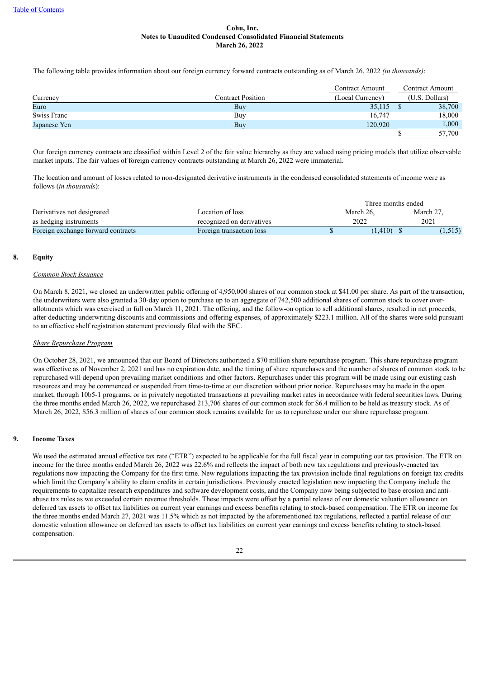The following table provides information about our foreign currency forward contracts outstanding as of March 26, 2022 *(in thousands)*:

|              |                          | Contract Amount  | Contract Amount |
|--------------|--------------------------|------------------|-----------------|
| Currency     | <b>Contract Position</b> | (Local Currency) | (U.S. Dollars)  |
| Euro         | Buy                      | 35,115           | 38,700          |
| Swiss Franc  | Buy                      | 16,747           | 18,000          |
| Japanese Yen | Buy                      | 120,920          | 1,000           |
|              |                          |                  | 57,700          |

Our foreign currency contracts are classified within Level 2 of the fair value hierarchy as they are valued using pricing models that utilize observable market inputs. The fair values of foreign currency contracts outstanding at March 26, 2022 were immaterial.

The location and amount of losses related to non-designated derivative instruments in the condensed consolidated statements of income were as follows (*in thousands*):

|                                    | Three months ended        |           |           |
|------------------------------------|---------------------------|-----------|-----------|
| Derivatives not designated         | Location of loss          | March 26. | March 27. |
| as hedging instruments             | recognized on derivatives | 2022      | 2021      |
| Foreign exchange forward contracts | Foreign transaction loss  | (1, 410)  | (1,515)   |

#### **8. Equity**

## *Common Stock Issuance*

On March 8, 2021, we closed an underwritten public offering of 4,950,000 shares of our common stock at \$41.00 per share. As part of the transaction, the underwriters were also granted a 30-day option to purchase up to an aggregate of 742,500 additional shares of common stock to cover overallotments which was exercised in full on March 11, 2021. The offering, and the follow-on option to sell additional shares, resulted in net proceeds, after deducting underwriting discounts and commissions and offering expenses, of approximately \$223.1 million. All of the shares were sold pursuant to an effective shelf registration statement previously filed with the SEC.

## *Share Repurchase Program*

On October 28, 2021, we announced that our Board of Directors authorized a \$70 million share repurchase program. This share repurchase program was effective as of November 2, 2021 and has no expiration date, and the timing of share repurchases and the number of shares of common stock to be repurchased will depend upon prevailing market conditions and other factors. Repurchases under this program will be made using our existing cash resources and may be commenced or suspended from time-to-time at our discretion without prior notice. Repurchases may be made in the open market, through 10b5-1 programs, or in privately negotiated transactions at prevailing market rates in accordance with federal securities laws. During the three months ended March 26, 2022, we repurchased 213,706 shares of our common stock for \$6.4 million to be held as treasury stock. As of March 26, 2022, \$56.3 million of shares of our common stock remains available for us to repurchase under our share repurchase program.

## **9. Income Taxes**

We used the estimated annual effective tax rate ("ETR") expected to be applicable for the full fiscal year in computing our tax provision. The ETR on income for the three months ended March 26, 2022 was 22.6% and reflects the impact of both new tax regulations and previously-enacted tax regulations now impacting the Company for the first time. New regulations impacting the tax provision include final regulations on foreign tax credits which limit the Company's ability to claim credits in certain jurisdictions. Previously enacted legislation now impacting the Company include the requirements to capitalize research expenditures and software development costs, and the Company now being subjected to base erosion and antiabuse tax rules as we exceeded certain revenue thresholds. These impacts were offset by a partial release of our domestic valuation allowance on deferred tax assets to offset tax liabilities on current year earnings and excess benefits relating to stock-based compensation. The ETR on income for the three months ended March 27, 2021 was 11.5% which as not impacted by the aforementioned tax regulations, reflected a partial release of our domestic valuation allowance on deferred tax assets to offset tax liabilities on current year earnings and excess benefits relating to stock-based compensation.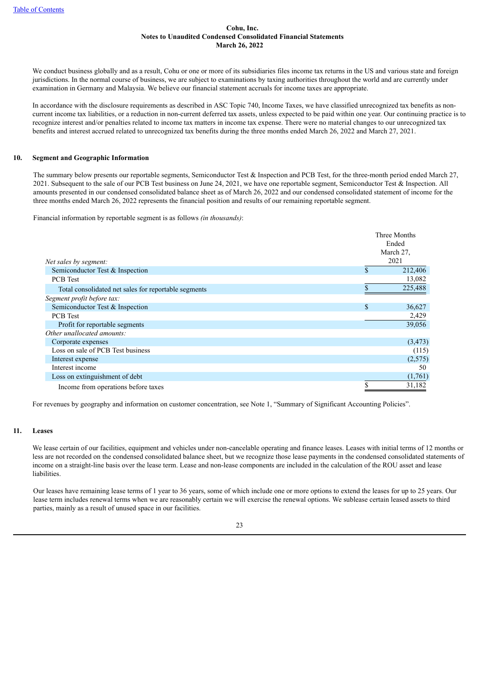We conduct business globally and as a result. Cohu or one or more of its subsidiaries files income tax returns in the US and various state and foreign jurisdictions. In the normal course of business, we are subject to examinations by taxing authorities throughout the world and are currently under examination in Germany and Malaysia. We believe our financial statement accruals for income taxes are appropriate.

In accordance with the disclosure requirements as described in ASC Topic 740, Income Taxes, we have classified unrecognized tax benefits as noncurrent income tax liabilities, or a reduction in non-current deferred tax assets, unless expected to be paid within one year. Our continuing practice is to recognize interest and/or penalties related to income tax matters in income tax expense. There were no material changes to our unrecognized tax benefits and interest accrued related to unrecognized tax benefits during the three months ended March 26, 2022 and March 27, 2021.

#### **10. Segment and Geographic Information**

The summary below presents our reportable segments, Semiconductor Test & Inspection and PCB Test, for the three-month period ended March 27, 2021. Subsequent to the sale of our PCB Test business on June 24, 2021, we have one reportable segment, Semiconductor Test & Inspection. All amounts presented in our condensed consolidated balance sheet as of March 26, 2022 and our condensed consolidated statement of income for the three months ended March 26, 2022 represents the financial position and results of our remaining reportable segment.

Financial information by reportable segment is as follows *(in thousands)*:

|                                                      |    | Three Months |
|------------------------------------------------------|----|--------------|
|                                                      |    | Ended        |
|                                                      |    | March 27,    |
| Net sales by segment:                                |    | 2021         |
| Semiconductor Test & Inspection                      | \$ | 212,406      |
| <b>PCB</b> Test                                      |    | 13,082       |
| Total consolidated net sales for reportable segments |    | 225,488      |
| Segment profit before tax:                           |    |              |
| Semiconductor Test & Inspection                      | S  | 36,627       |
| <b>PCB</b> Test                                      |    | 2,429        |
| Profit for reportable segments                       |    | 39,056       |
| Other unallocated amounts:                           |    |              |
| Corporate expenses                                   |    | (3, 473)     |
| Loss on sale of PCB Test business                    |    | (115)        |
| Interest expense                                     |    | (2,575)      |
| Interest income                                      |    | 50           |
| Loss on extinguishment of debt                       |    | (1,761)      |
| Income from operations before taxes                  | \$ | 31,182       |

For revenues by geography and information on customer concentration, see Note 1, "Summary of Significant Accounting Policies".

#### **11. Leases**

We lease certain of our facilities, equipment and vehicles under non-cancelable operating and finance leases. Leases with initial terms of 12 months or less are not recorded on the condensed consolidated balance sheet, but we recognize those lease payments in the condensed consolidated statements of income on a straight-line basis over the lease term. Lease and non-lease components are included in the calculation of the ROU asset and lease **liabilities** 

Our leases have remaining lease terms of 1 year to 36 years, some of which include one or more options to extend the leases for up to 25 years. Our lease term includes renewal terms when we are reasonably certain we will exercise the renewal options. We sublease certain leased assets to third parties, mainly as a result of unused space in our facilities.

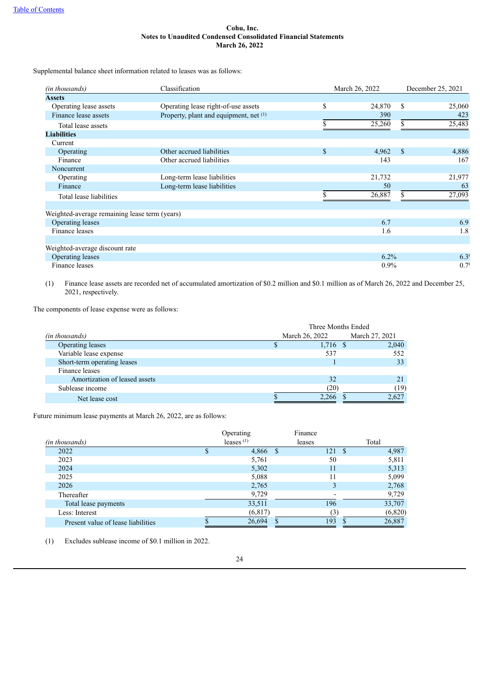Supplemental balance sheet information related to leases was as follows:

| (in thousands)                                | Classification                         | March 26, 2022 |             | December 25, 2021 |
|-----------------------------------------------|----------------------------------------|----------------|-------------|-------------------|
| <b>Assets</b>                                 |                                        |                |             |                   |
| Operating lease assets                        | Operating lease right-of-use assets    | \$<br>24,870   | \$          | 25,060            |
| Finance lease assets                          | Property, plant and equipment, net (1) | 390            |             | 423               |
| Total lease assets                            |                                        | 25,260         | \$          | 25,483            |
| <b>Liabilities</b>                            |                                        |                |             |                   |
| Current                                       |                                        |                |             |                   |
| Operating                                     | Other accrued liabilities              | \$<br>4,962    | $\mathbf S$ | 4,886             |
| Finance                                       | Other accrued liabilities              | 143            |             | 167               |
| Noncurrent                                    |                                        |                |             |                   |
| Operating                                     | Long-term lease liabilities            | 21,732         |             | 21,977            |
| Finance                                       | Long-term lease liabilities            | 50             |             | 63                |
| Total lease liabilities                       |                                        | 26,887         |             | 27,093            |
| Weighted-average remaining lease term (years) |                                        |                |             |                   |
| Operating leases                              |                                        | 6.7            |             | 6.9               |
| Finance leases                                |                                        | 1.6            |             | 1.8               |
| Weighted-average discount rate                |                                        |                |             |                   |
| Operating leases                              |                                        | $6.2\%$        |             | 6.3 <sup>c</sup>  |
| Finance leases                                |                                        | $0.9\%$        |             | 0.7 <sup>c</sup>  |

(1) Finance lease assets are recorded net of accumulated amortization of \$0.2 million and \$0.1 million as of March 26, 2022 and December 25, 2021, respectively.

The components of lease expense were as follows:

|                               | Three Months Ended |            |                |  |  |
|-------------------------------|--------------------|------------|----------------|--|--|
| (in thousands)                | March 26, 2022     |            | March 27, 2021 |  |  |
| <b>Operating leases</b>       |                    | $1,716$ \$ | 2,040          |  |  |
| Variable lease expense        |                    | 537        | 552            |  |  |
| Short-term operating leases   |                    |            | 33             |  |  |
| Finance leases                |                    |            |                |  |  |
| Amortization of leased assets |                    | 32         |                |  |  |
| Sublease income               |                    | (20)       | (19)           |  |  |
| Net lease cost                |                    | 2,266      | 2,627          |  |  |

Future minimum lease payments at March 26, 2022, are as follows:

|                                    | Operating    | Finance |                |      |          |
|------------------------------------|--------------|---------|----------------|------|----------|
| (in thousands)                     | leases $(1)$ | leases  |                |      | Total    |
| 2022                               | 4,866        | - \$    | 121            | - \$ | 4,987    |
| 2023                               | 5,761        |         | 50             |      | 5,811    |
| 2024                               | 5,302        |         | 11             |      | 5,313    |
| 2025                               | 5,088        |         | 11             |      | 5,099    |
| 2026                               | 2,765        |         |                |      | 2,768    |
| Thereafter                         | 9,729        |         |                |      | 9,729    |
| Total lease payments               | 33,511       |         | 196            |      | 33,707   |
| Less: Interest                     | (6, 817)     |         | $\mathfrak{B}$ |      | (6, 820) |
| Present value of lease liabilities | 26,694       |         | 193            |      | 26,887   |

(1) Excludes sublease income of \$0.1 million in 2022.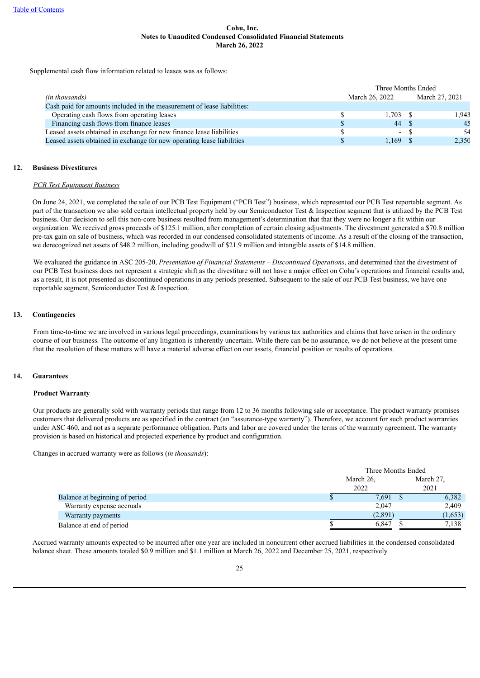Supplemental cash flow information related to leases was as follows:

|                                                                         | Three Months Ended |                |  |                |
|-------------------------------------------------------------------------|--------------------|----------------|--|----------------|
| (in thousands)                                                          |                    | March 26, 2022 |  | March 27, 2021 |
| Cash paid for amounts included in the measurement of lease liabilities: |                    |                |  |                |
| Operating cash flows from operating leases                              |                    | $1,703$ \$     |  | 1.943          |
| Financing cash flows from finance leases                                |                    | 44 \$          |  | 45             |
| Leased assets obtained in exchange for new finance lease liabilities    |                    | $\sim$         |  | 54             |
| Leased assets obtained in exchange for new operating lease liabilities  |                    | 1.169          |  | 2,350          |

#### **12. Business Divestitures**

#### *PCB Test Equipment Business*

On June 24, 2021, we completed the sale of our PCB Test Equipment ("PCB Test") business, which represented our PCB Test reportable segment. As part of the transaction we also sold certain intellectual property held by our Semiconductor Test  $\&$  Inspection segment that is utilized by the PCB Test business. Our decision to sell this non-core business resulted from management's determination that that they were no longer a fit within our organization. We received gross proceeds of \$125.1 million, after completion of certain closing adjustments. The divestment generated a \$70.8 million pre-tax gain on sale of business, which was recorded in our condensed consolidated statements of income. As a result of the closing of the transaction, we derecognized net assets of \$48.2 million, including goodwill of \$21.9 million and intangible assets of \$14.8 million.

We evaluated the guidance in ASC 205-20, *Presentation of Financial Statements* – *Discontinued Operations*, and determined that the divestment of our PCB Test business does not represent a strategic shift as the divestiture will not have a major effect on Cohu's operations and financial results and, as a result, it is not presented as discontinued operations in any periods presented. Subsequent to the sale of our PCB Test business, we have one reportable segment, Semiconductor Test & Inspection.

## **13. Contingencies**

From time-to-time we are involved in various legal proceedings, examinations by various tax authorities and claims that have arisen in the ordinary course of our business. The outcome of any litigation is inherently uncertain. While there can be no assurance, we do not believe at the present time that the resolution of these matters will have a material adverse effect on our assets, financial position or results of operations.

# **14. Guarantees**

#### **Product Warranty**

Our products are generally sold with warranty periods that range from 12 to 36 months following sale or acceptance. The product warranty promises customers that delivered products are as specified in the contract (an "assurance-type warranty"). Therefore, we account for such product warranties under ASC 460, and not as a separate performance obligation. Parts and labor are covered under the terms of the warranty agreement. The warranty provision is based on historical and projected experience by product and configuration.

Changes in accrued warranty were as follows (*in thousands*):

|                                | Three Months Ended |  |           |  |  |
|--------------------------------|--------------------|--|-----------|--|--|
|                                | March 26,          |  | March 27. |  |  |
|                                | 2022               |  | 2021      |  |  |
| Balance at beginning of period | 7,691              |  | 6,382     |  |  |
| Warranty expense accruals      | 2,047              |  | 2,409     |  |  |
| Warranty payments              | (2,891)            |  | (1,653)   |  |  |
| Balance at end of period       | 6.847              |  | 7,138     |  |  |

Accrued warranty amounts expected to be incurred after one year are included in noncurrent other accrued liabilities in the condensed consolidated balance sheet. These amounts totaled \$0.9 million and \$1.1 million at March 26, 2022 and December 25, 2021, respectively.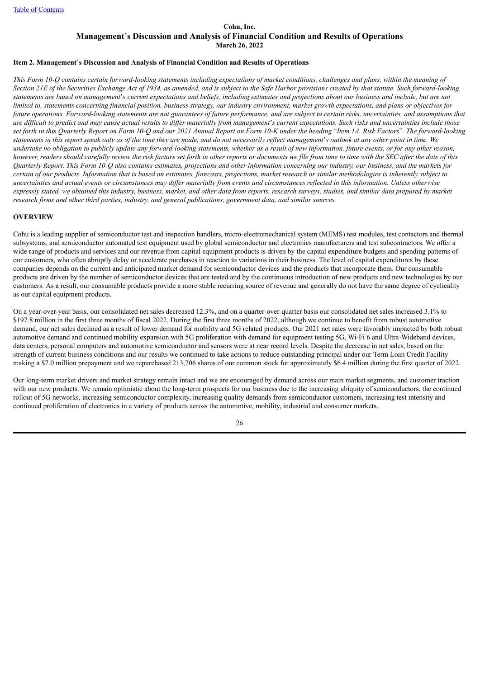## <span id="page-25-0"></span>**Item 2. Management**'**s Discussion and Analysis of Financial Condition and Results of Operations**

This Form 10-O contains certain forward-looking statements including expectations of market conditions, challenges and plans, within the meaning of Section 21E of the Securities Exchange Act of 1934, as amended, and is subject to the Safe Harbor provisions created by that statute. Such forward-looking statements are based on management's current expectations and beliefs, including estimates and projections about our business and include, but are not limited to, statements concerning financial position, business strategy, our industry environment, market growth expectations, and plans or objectives for future operations. Forward-looking statements are not guarantees of future performance, and are subject to certain risks, uncertainties, and assumptions that are difficult to predict and may cause actual results to differ materially from management's current expectations. Such risks and uncertainties include those set forth in this Ouarterly Report on Form 10-O and our 2021 Annual Report on Form 10-K under the heading "Item 1A. Risk Factors". The forward-looking statements in this report speak only as of the time they are made, and do not necessarily reflect management's outlook at any other point in time. We undertake no obligation to publicly update any forward-looking statements, whether as a result of new information, future events, or for any other reason, however, readers should carefully review the risk factors set forth in other reports or documents we file from time to time with the SEC after the date of this Ouarterly Report. This Form 10-O also contains estimates, projections and other information concerning our industry, our business, and the markets for certain of our products. Information that is based on estimates, forecasts, projections, market research or similar methodologies is inherently subject to uncertainties and actual events or circumstances may differ materially from events and circumstances reflected in this information. Unless otherwise expressly stated, we obtained this industry, business, market, and other data from reports, research surveys, studies, and similar data prepared by market *research firms and other third parties, industry, and general publications, government data, and similar sources.*

#### **OVERVIEW**

Cohu is a leading supplier of semiconductor test and inspection handlers, micro-electromechanical system (MEMS) test modules, test contactors and thermal subsystems, and semiconductor automated test equipment used by global semiconductor and electronics manufacturers and test subcontractors. We offer a wide range of products and services and our revenue from capital equipment products is driven by the capital expenditure budgets and spending patterns of our customers, who often abruptly delay or accelerate purchases in reaction to variations in their business. The level of capital expenditures by these companies depends on the current and anticipated market demand for semiconductor devices and the products that incorporate them. Our consumable products are driven by the number of semiconductor devices that are tested and by the continuous introduction of new products and new technologies by our customers. As a result, our consumable products provide a more stable recurring source of revenue and generally do not have the same degree of cyclicality as our capital equipment products.

On a year-over-year basis, our consolidated net sales decreased 12.3%, and on a quarter-over-quarter basis our consolidated net sales increased 3.1% to \$197.8 million in the first three months of fiscal 2022. During the first three months of 2022, although we continue to benefit from robust automotive demand, our net sales declined as a result of lower demand for mobility and 5G related products. Our 2021 net sales were favorably impacted by both robust automotive demand and continued mobility expansion with 5G proliferation with demand for equipment testing 5G, Wi-Fi 6 and Ultra-Wideband devices, data centers, personal computers and automotive semiconductor and sensors were at near record levels. Despite the decrease in net sales, based on the strength of current business conditions and our results we continued to take actions to reduce outstanding principal under our Term Loan Credit Facility making a \$7.0 million prepayment and we repurchased 213,706 shares of our common stock for approximately \$6.4 million during the first quarter of 2022.

Our long-term market drivers and market strategy remain intact and we are encouraged by demand across our main market segments, and customer traction with our new products. We remain optimistic about the long-term prospects for our business due to the increasing ubiquity of semiconductors, the continued rollout of 5G networks, increasing semiconductor complexity, increasing quality demands from semiconductor customers, increasing test intensity and continued proliferation of electronics in a variety of products across the automotive, mobility, industrial and consumer markets.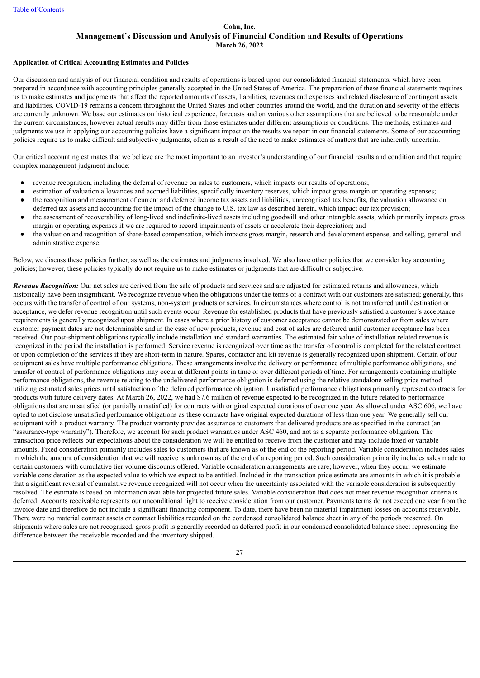#### **Application of Critical Accounting Estimates and Policies**

Our discussion and analysis of our financial condition and results of operations is based upon our consolidated financial statements, which have been prepared in accordance with accounting principles generally accepted in the United States of America. The preparation of these financial statements requires us to make estimates and judgments that affect the reported amounts of assets, liabilities, revenues and expenses and related disclosure of contingent assets and liabilities. COVID-19 remains a concern throughout the United States and other countries around the world, and the duration and severity of the effects are currently unknown. We base our estimates on historical experience, forecasts and on various other assumptions that are believed to be reasonable under the current circumstances, however actual results may differ from those estimates under different assumptions or conditions. The methods, estimates and judgments we use in applying our accounting policies have a significant impact on the results we report in our financial statements. Some of our accounting policies require us to make difficult and subjective judgments, often as a result of the need to make estimates of matters that are inherently uncertain.

Our critical accounting estimates that we believe are the most important to an investor's understanding of our financial results and condition and that require complex management judgment include:

- revenue recognition, including the deferral of revenue on sales to customers, which impacts our results of operations;
- estimation of valuation allowances and accrued liabilities, specifically inventory reserves, which impact gross margin or operating expenses;
- the recognition and measurement of current and deferred income tax assets and liabilities, unrecognized tax benefits, the valuation allowance on deferred tax assets and accounting for the impact of the change to U.S. tax law as described herein, which impact our tax provision;
- the assessment of recoverability of long-lived and indefinite-lived assets including goodwill and other intangible assets, which primarily impacts gross margin or operating expenses if we are required to record impairments of assets or accelerate their depreciation; and
- the valuation and recognition of share-based compensation, which impacts gross margin, research and development expense, and selling, general and administrative expense.

Below, we discuss these policies further, as well as the estimates and judgments involved. We also have other policies that we consider key accounting policies; however, these policies typically do not require us to make estimates or judgments that are difficult or subjective.

*Revenue Recognition:* Our net sales are derived from the sale of products and services and are adjusted for estimated returns and allowances, which historically have been insignificant. We recognize revenue when the obligations under the terms of a contract with our customers are satisfied; generally, this occurs with the transfer of control of our systems, non-system products or services. In circumstances where control is not transferred until destination or acceptance, we defer revenue recognition until such events occur. Revenue for established products that have previously satisfied a customer's acceptance requirements is generally recognized upon shipment. In cases where a prior history of customer acceptance cannot be demonstrated or from sales where customer payment dates are not determinable and in the case of new products, revenue and cost of sales are deferred until customer acceptance has been received. Our post-shipment obligations typically include installation and standard warranties. The estimated fair value of installation related revenue is recognized in the period the installation is performed. Service revenue is recognized over time as the transfer of control is completed for the related contract or upon completion of the services if they are short-term in nature. Spares, contactor and kit revenue is generally recognized upon shipment. Certain of our equipment sales have multiple performance obligations. These arrangements involve the delivery or performance of multiple performance obligations, and transfer of control of performance obligations may occur at different points in time or over different periods of time. For arrangements containing multiple performance obligations, the revenue relating to the undelivered performance obligation is deferred using the relative standalone selling price method utilizing estimated sales prices until satisfaction of the deferred performance obligation. Unsatisfied performance obligations primarily represent contracts for products with future delivery dates. At March 26, 2022, we had \$7.6 million of revenue expected to be recognized in the future related to performance obligations that are unsatisfied (or partially unsatisfied) for contracts with original expected durations of over one year. As allowed under ASC 606, we have opted to not disclose unsatisfied performance obligations as these contracts have original expected durations of less than one year. We generally sell our equipment with a product warranty. The product warranty provides assurance to customers that delivered products are as specified in the contract (an "assurance-type warranty"). Therefore, we account for such product warranties under ASC 460, and not as a separate performance obligation. The transaction price reflects our expectations about the consideration we will be entitled to receive from the customer and may include fixed or variable amounts. Fixed consideration primarily includes sales to customers that are known as of the end of the reporting period. Variable consideration includes sales in which the amount of consideration that we will receive is unknown as of the end of a reporting period. Such consideration primarily includes sales made to certain customers with cumulative tier volume discounts offered. Variable consideration arrangements are rare; however, when they occur, we estimate variable consideration as the expected value to which we expect to be entitled. Included in the transaction price estimate are amounts in which it is probable that a significant reversal of cumulative revenue recognized will not occur when the uncertainty associated with the variable consideration is subsequently resolved. The estimate is based on information available for projected future sales. Variable consideration that does not meet revenue recognition criteria is deferred. Accounts receivable represents our unconditional right to receive consideration from our customer. Payments terms do not exceed one year from the invoice date and therefore do not include a significant financing component. To date, there have been no material impairment losses on accounts receivable. There were no material contract assets or contract liabilities recorded on the condensed consolidated balance sheet in any of the periods presented. On shipments where sales are not recognized, gross profit is generally recorded as deferred profit in our condensed consolidated balance sheet representing the difference between the receivable recorded and the inventory shipped.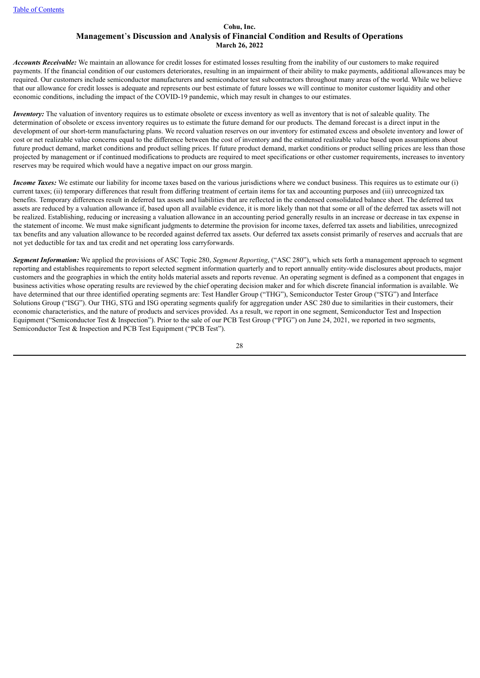*Accounts Receivable:* We maintain an allowance for credit losses for estimated losses resulting from the inability of our customers to make required payments. If the financial condition of our customers deteriorates, resulting in an impairment of their ability to make payments, additional allowances may be required. Our customers include semiconductor manufacturers and semiconductor test subcontractors throughout many areas of the world. While we believe that our allowance for credit losses is adequate and represents our best estimate of future losses we will continue to monitor customer liquidity and other economic conditions, including the impact of the COVID-19 pandemic, which may result in changes to our estimates.

*Inventory:* The valuation of inventory requires us to estimate obsolete or excess inventory as well as inventory that is not of saleable quality. The determination of obsolete or excess inventory requires us to estimate the future demand for our products. The demand forecast is a direct input in the development of our short-term manufacturing plans. We record valuation reserves on our inventory for estimated excess and obsolete inventory and lower of cost or net realizable value concerns equal to the difference between the cost of inventory and the estimated realizable value based upon assumptions about future product demand, market conditions and product selling prices. If future product demand, market conditions or product selling prices are less than those projected by management or if continued modifications to products are required to meet specifications or other customer requirements, increases to inventory reserves may be required which would have a negative impact on our gross margin.

*Income Taxes:* We estimate our liability for income taxes based on the various jurisdictions where we conduct business. This requires us to estimate our (i) current taxes; (ii) temporary differences that result from differing treatment of certain items for tax and accounting purposes and (iii) unrecognized tax benefits. Temporary differences result in deferred tax assets and liabilities that are reflected in the condensed consolidated balance sheet. The deferred tax assets are reduced by a valuation allowance if, based upon all available evidence, it is more likely than not that some or all of the deferred tax assets will not be realized. Establishing, reducing or increasing a valuation allowance in an accounting period generally results in an increase or decrease in tax expense in the statement of income. We must make significant judgments to determine the provision for income taxes, deferred tax assets and liabilities, unrecognized tax benefits and any valuation allowance to be recorded against deferred tax assets. Our deferred tax assets consist primarily of reserves and accruals that are not yet deductible for tax and tax credit and net operating loss carryforwards.

*Segment Information:* We applied the provisions of ASC Topic 280, *Segment Reporting*, ("ASC 280"), which sets forth a management approach to segment reporting and establishes requirements to report selected segment information quarterly and to report annually entity-wide disclosures about products, major customers and the geographies in which the entity holds material assets and reports revenue. An operating segment is defined as a component that engages in business activities whose operating results are reviewed by the chief operating decision maker and for which discrete financial information is available. We have determined that our three identified operating segments are: Test Handler Group ("THG"), Semiconductor Tester Group ("STG") and Interface Solutions Group ("ISG"). Our THG, STG and ISG operating segments qualify for aggregation under ASC 280 due to similarities in their customers, their economic characteristics, and the nature of products and services provided. As a result, we report in one segment, Semiconductor Test and Inspection Equipment ("Semiconductor Test & Inspection"). Prior to the sale of our PCB Test Group ("PTG") on June 24, 2021, we reported in two segments, Semiconductor Test & Inspection and PCB Test Equipment ("PCB Test").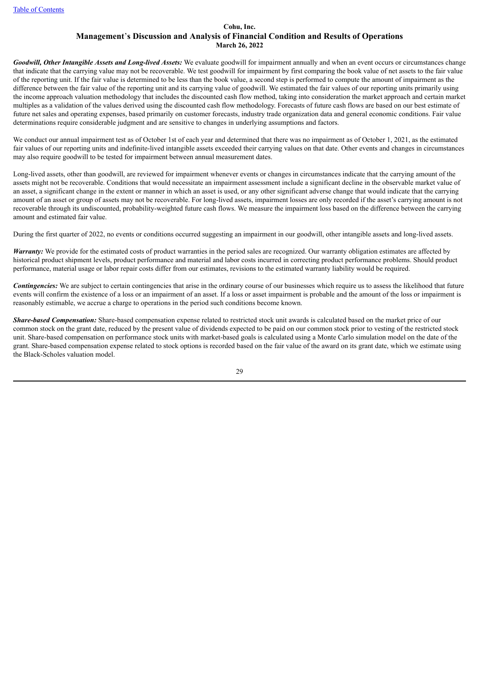*Goodwill, Other Intangible Assets and Long-lived Assets:* We evaluate goodwill for impairment annually and when an event occurs or circumstances change that indicate that the carrying value may not be recoverable. We test goodwill for impairment by first comparing the book value of net assets to the fair value of the reporting unit. If the fair value is determined to be less than the book value, a second step is performed to compute the amount of impairment as the difference between the fair value of the reporting unit and its carrying value of goodwill. We estimated the fair values of our reporting units primarily using the income approach valuation methodology that includes the discounted cash flow method, taking into consideration the market approach and certain market multiples as a validation of the values derived using the discounted cash flow methodology. Forecasts of future cash flows are based on our best estimate of future net sales and operating expenses, based primarily on customer forecasts, industry trade organization data and general economic conditions. Fair value determinations require considerable judgment and are sensitive to changes in underlying assumptions and factors.

We conduct our annual impairment test as of October 1st of each year and determined that there was no impairment as of October 1, 2021, as the estimated fair values of our reporting units and indefinite-lived intangible assets exceeded their carrying values on that date. Other events and changes in circumstances may also require goodwill to be tested for impairment between annual measurement dates.

Long-lived assets, other than goodwill, are reviewed for impairment whenever events or changes in circumstances indicate that the carrying amount of the assets might not be recoverable. Conditions that would necessitate an impairment assessment include a significant decline in the observable market value of an asset, a significant change in the extent or manner in which an asset is used, or any other significant adverse change that would indicate that the carrying amount of an asset or group of assets may not be recoverable. For long-lived assets, impairment losses are only recorded if the asset's carrying amount is not recoverable through its undiscounted, probability-weighted future cash flows. We measure the impairment loss based on the difference between the carrying amount and estimated fair value.

During the first quarter of 2022, no events or conditions occurred suggesting an impairment in our goodwill, other intangible assets and long-lived assets.

*Warranty:* We provide for the estimated costs of product warranties in the period sales are recognized. Our warranty obligation estimates are affected by historical product shipment levels, product performance and material and labor costs incurred in correcting product performance problems. Should product performance, material usage or labor repair costs differ from our estimates, revisions to the estimated warranty liability would be required.

*Contingencies:* We are subject to certain contingencies that arise in the ordinary course of our businesses which require us to assess the likelihood that future events will confirm the existence of a loss or an impairment of an asset. If a loss or asset impairment is probable and the amount of the loss or impairment is reasonably estimable, we accrue a charge to operations in the period such conditions become known.

*Share-based Compensation:* Share-based compensation expense related to restricted stock unit awards is calculated based on the market price of our common stock on the grant date, reduced by the present value of dividends expected to be paid on our common stock prior to vesting of the restricted stock unit. Share-based compensation on performance stock units with market-based goals is calculated using a Monte Carlo simulation model on the date of the grant. Share-based compensation expense related to stock options is recorded based on the fair value of the award on its grant date, which we estimate using the Black-Scholes valuation model.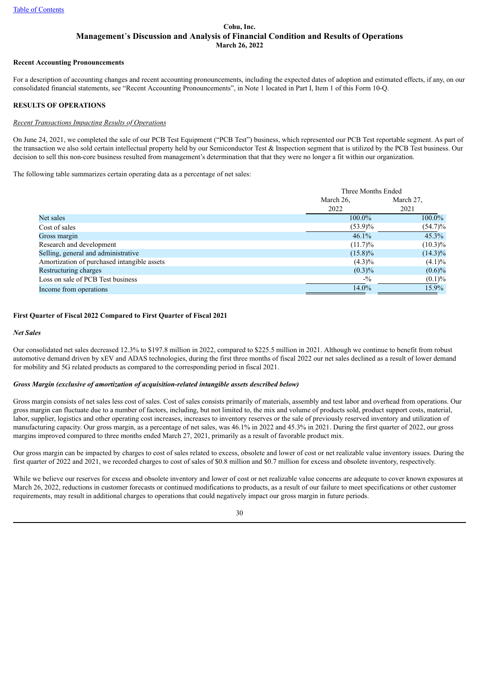#### **Recent Accounting Pronouncements**

For a description of accounting changes and recent accounting pronouncements, including the expected dates of adoption and estimated effects, if any, on our consolidated financial statements, see "Recent Accounting Pronouncements", in Note 1 located in Part I, Item 1 of this Form 10-Q.

# **RESULTS OF OPERATIONS**

# *Recent Transactions Impacting Results of Operations*

On June 24, 2021, we completed the sale of our PCB Test Equipment ("PCB Test") business, which represented our PCB Test reportable segment. As part of the transaction we also sold certain intellectual property held by our Semiconductor Test & Inspection segment that is utilized by the PCB Test business. Our decision to sell this non-core business resulted from management's determination that that they were no longer a fit within our organization.

The following table summarizes certain operating data as a percentage of net sales:

|                                             | Three Months Ended |            |  |  |
|---------------------------------------------|--------------------|------------|--|--|
|                                             | March 26,          | March 27.  |  |  |
|                                             | 2022               | 2021       |  |  |
| Net sales                                   | 100.0%             | 100.0%     |  |  |
| Cost of sales                               | $(53.9)\%$         | $(54.7)\%$ |  |  |
| Gross margin                                | 46.1%              | 45.3%      |  |  |
| Research and development                    | $(11.7)\%$         | $(10.3)\%$ |  |  |
| Selling, general and administrative         | $(15.8)\%$         | $(14.3)\%$ |  |  |
| Amortization of purchased intangible assets | $(4.3)\%$          | $(4.1)\%$  |  |  |
| Restructuring charges                       | $(0.3)\%$          | $(0.6)\%$  |  |  |
| Loss on sale of PCB Test business           | $-9/0$             | $(0.1)\%$  |  |  |
| Income from operations                      | 14.0%              | 15.9%      |  |  |

# **First Quarter of Fiscal 2022 Compared to First Quarter of Fiscal 2021**

## *Net Sales*

Our consolidated net sales decreased 12.3% to \$197.8 million in 2022, compared to \$225.5 million in 2021. Although we continue to benefit from robust automotive demand driven by xEV and ADAS technologies, during the first three months of fiscal 2022 our net sales declined as a result of lower demand for mobility and 5G related products as compared to the corresponding period in fiscal 2021.

## *Gross Margin (exclusive of amortization of acquisition-related intangible assets described below)*

Gross margin consists of net sales less cost of sales. Cost of sales consists primarily of materials, assembly and test labor and overhead from operations. Our gross margin can fluctuate due to a number of factors, including, but not limited to, the mix and volume of products sold, product support costs, material, labor, supplier, logistics and other operating cost increases, increases to inventory reserves or the sale of previously reserved inventory and utilization of manufacturing capacity. Our gross margin, as a percentage of net sales, was 46.1% in 2022 and 45.3% in 2021. During the first quarter of 2022, our gross margins improved compared to three months ended March 27, 2021, primarily as a result of favorable product mix.

Our gross margin can be impacted by charges to cost of sales related to excess, obsolete and lower of cost or net realizable value inventory issues. During the first quarter of 2022 and 2021, we recorded charges to cost of sales of \$0.8 million and \$0.7 million for excess and obsolete inventory, respectively.

While we believe our reserves for excess and obsolete inventory and lower of cost or net realizable value concerns are adequate to cover known exposures at March 26, 2022, reductions in customer forecasts or continued modifications to products, as a result of our failure to meet specifications or other customer requirements, may result in additional charges to operations that could negatively impact our gross margin in future periods.

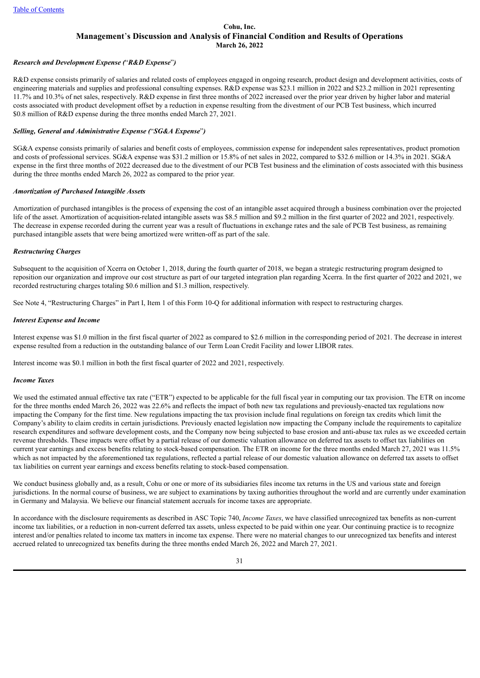## *Research and Development Expense (*"*R&D Expense*"*)*

R&D expense consists primarily of salaries and related costs of employees engaged in ongoing research, product design and development activities, costs of engineering materials and supplies and professional consulting expenses. R&D expense was \$23.1 million in 2022 and \$23.2 million in 2021 representing 11.7% and 10.3% of net sales, respectively. R&D expense in first three months of 2022 increased over the prior year driven by higher labor and material costs associated with product development offset by a reduction in expense resulting from the divestment of our PCB Test business, which incurred \$0.8 million of R&D expense during the three months ended March 27, 2021.

#### *Selling, General and Administrative Expense (*"*SG&A Expense*"*)*

SG&A expense consists primarily of salaries and benefit costs of employees, commission expense for independent sales representatives, product promotion and costs of professional services. SG&A expense was \$31.2 million or 15.8% of net sales in 2022, compared to \$32.6 million or 14.3% in 2021. SG&A expense in the first three months of 2022 decreased due to the divestment of our PCB Test business and the elimination of costs associated with this business during the three months ended March 26, 2022 as compared to the prior year.

#### *Amortization of Purchased Intangible Assets*

Amortization of purchased intangibles is the process of expensing the cost of an intangible asset acquired through a business combination over the projected life of the asset. Amortization of acquisition-related intangible assets was \$8.5 million and \$9.2 million in the first quarter of 2022 and 2021, respectively. The decrease in expense recorded during the current year was a result of fluctuations in exchange rates and the sale of PCB Test business, as remaining purchased intangible assets that were being amortized were written-off as part of the sale.

## *Restructuring Charges*

Subsequent to the acquisition of Xcerra on October 1, 2018, during the fourth quarter of 2018, we began a strategic restructuring program designed to reposition our organization and improve our cost structure as part of our targeted integration plan regarding Xcerra. In the first quarter of 2022 and 2021, we recorded restructuring charges totaling \$0.6 million and \$1.3 million, respectively.

See Note 4, "Restructuring Charges" in Part I, Item 1 of this Form 10-Q for additional information with respect to restructuring charges.

#### *Interest Expense and Income*

Interest expense was \$1.0 million in the first fiscal quarter of 2022 as compared to \$2.6 million in the corresponding period of 2021. The decrease in interest expense resulted from a reduction in the outstanding balance of our Term Loan Credit Facility and lower LIBOR rates.

Interest income was \$0.1 million in both the first fiscal quarter of 2022 and 2021, respectively.

#### *Income Taxes*

We used the estimated annual effective tax rate ("ETR") expected to be applicable for the full fiscal year in computing our tax provision. The ETR on income for the three months ended March 26, 2022 was 22.6% and reflects the impact of both new tax regulations and previously-enacted tax regulations now impacting the Company for the first time. New regulations impacting the tax provision include final regulations on foreign tax credits which limit the Company's ability to claim credits in certain jurisdictions. Previously enacted legislation now impacting the Company include the requirements to capitalize research expenditures and software development costs, and the Company now being subjected to base erosion and anti-abuse tax rules as we exceeded certain revenue thresholds. These impacts were offset by a partial release of our domestic valuation allowance on deferred tax assets to offset tax liabilities on current year earnings and excess benefits relating to stock-based compensation. The ETR on income for the three months ended March 27, 2021 was 11.5% which as not impacted by the aforementioned tax regulations, reflected a partial release of our domestic valuation allowance on deferred tax assets to offset tax liabilities on current year earnings and excess benefits relating to stock-based compensation.

We conduct business globally and, as a result, Cohu or one or more of its subsidiaries files income tax returns in the US and various state and foreign jurisdictions. In the normal course of business, we are subject to examinations by taxing authorities throughout the world and are currently under examination in Germany and Malaysia. We believe our financial statement accruals for income taxes are appropriate.

In accordance with the disclosure requirements as described in ASC Topic 740, *Income Taxes*, we have classified unrecognized tax benefits as non-current income tax liabilities, or a reduction in non-current deferred tax assets, unless expected to be paid within one year. Our continuing practice is to recognize interest and/or penalties related to income tax matters in income tax expense. There were no material changes to our unrecognized tax benefits and interest accrued related to unrecognized tax benefits during the three months ended March 26, 2022 and March 27, 2021.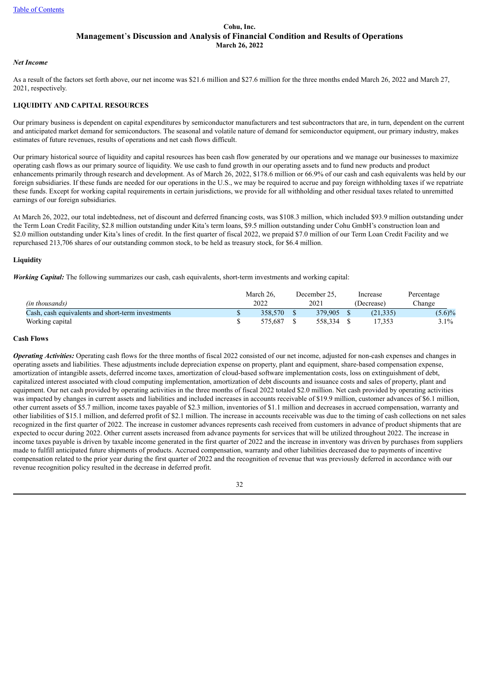#### *Net Income*

As a result of the factors set forth above, our net income was \$21.6 million and \$27.6 million for the three months ended March 26, 2022 and March 27, 2021, respectively.

# **LIQUIDITY AND CAPITAL RESOURCES**

Our primary business is dependent on capital expenditures by semiconductor manufacturers and test subcontractors that are, in turn, dependent on the current and anticipated market demand for semiconductors. The seasonal and volatile nature of demand for semiconductor equipment, our primary industry, makes estimates of future revenues, results of operations and net cash flows difficult.

Our primary historical source of liquidity and capital resources has been cash flow generated by our operations and we manage our businesses to maximize operating cash flows as our primary source of liquidity. We use cash to fund growth in our operating assets and to fund new products and product enhancements primarily through research and development. As of March 26, 2022, \$178.6 million or 66.9% of our cash and cash equivalents was held by our foreign subsidiaries. If these funds are needed for our operations in the U.S., we may be required to accrue and pay foreign withholding taxes if we repatriate these funds. Except for working capital requirements in certain jurisdictions, we provide for all withholding and other residual taxes related to unremitted earnings of our foreign subsidiaries.

At March 26, 2022, our total indebtedness, net of discount and deferred financing costs, was \$108.3 million, which included \$93.9 million outstanding under the Term Loan Credit Facility, \$2.8 million outstanding under Kita's term loans, \$9.5 million outstanding under Cohu GmbH's construction loan and \$2.0 million outstanding under Kita's lines of credit. In the first quarter of fiscal 2022, we prepaid \$7.0 million of our Term Loan Credit Facility and we repurchased 213,706 shares of our outstanding common stock, to be held as treasury stock, for \$6.4 million.

# **Liquidity**

*Working Capital:* The following summarizes our cash, cash equivalents, short-term investments and working capital:

|                                                   | March 26. | December 25. | Increase  | Percentage |
|---------------------------------------------------|-----------|--------------|-----------|------------|
| (in thousands)                                    | 2022      | 2021         | Decrease) | Change     |
| Cash, cash equivalents and short-term investments | 358.570   | 379.905      | (21, 335) | $(5.6)\%$  |
| Working capital                                   | 575.687   | 558.334      | '7.353    | 3.1%       |

#### **Cash Flows**

*Operating Activities:* Operating cash flows for the three months of fiscal 2022 consisted of our net income, adjusted for non-cash expenses and changes in operating assets and liabilities. These adjustments include depreciation expense on property, plant and equipment, share-based compensation expense, amortization of intangible assets, deferred income taxes, amortization of cloud-based software implementation costs, loss on extinguishment of debt, capitalized interest associated with cloud computing implementation, amortization of debt discounts and issuance costs and sales of property, plant and equipment. Our net cash provided by operating activities in the three months of fiscal 2022 totaled \$2.0 million. Net cash provided by operating activities was impacted by changes in current assets and liabilities and included increases in accounts receivable of \$19.9 million, customer advances of \$6.1 million, other current assets of \$5.7 million, income taxes payable of \$2.3 million, inventories of \$1.1 million and decreases in accrued compensation, warranty and other liabilities of \$15.1 million, and deferred profit of \$2.1 million. The increase in accounts receivable was due to the timing of cash collections on net sales recognized in the first quarter of 2022. The increase in customer advances represents cash received from customers in advance of product shipments that are expected to occur during 2022. Other current assets increased from advance payments for services that will be utilized throughout 2022. The increase in income taxes payable is driven by taxable income generated in the first quarter of 2022 and the increase in inventory was driven by purchases from suppliers made to fulfill anticipated future shipments of products. Accrued compensation, warranty and other liabilities decreased due to payments of incentive compensation related to the prior year during the first quarter of 2022 and the recognition of revenue that was previously deferred in accordance with our revenue recognition policy resulted in the decrease in deferred profit.

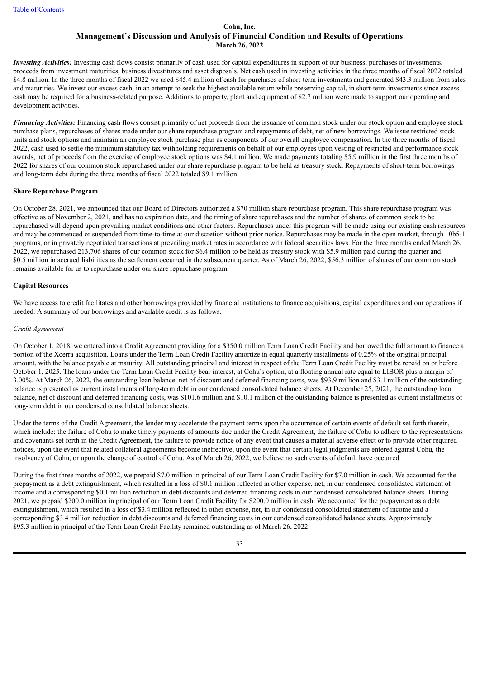*Investing Activities:* Investing cash flows consist primarily of cash used for capital expenditures in support of our business, purchases of investments, proceeds from investment maturities, business divestitures and asset disposals. Net cash used in investing activities in the three months of fiscal 2022 totaled \$4.8 million. In the three months of fiscal 2022 we used \$45.4 million of cash for purchases of short-term investments and generated \$43.3 million from sales and maturities. We invest our excess cash, in an attempt to seek the highest available return while preserving capital, in short-term investments since excess cash may be required for a business-related purpose. Additions to property, plant and equipment of \$2.7 million were made to support our operating and development activities.

*Financing Activities:* Financing cash flows consist primarily of net proceeds from the issuance of common stock under our stock option and employee stock purchase plans, repurchases of shares made under our share repurchase program and repayments of debt, net of new borrowings. We issue restricted stock units and stock options and maintain an employee stock purchase plan as components of our overall employee compensation. In the three months of fiscal 2022, cash used to settle the minimum statutory tax withholding requirements on behalf of our employees upon vesting of restricted and performance stock awards, net of proceeds from the exercise of employee stock options was \$4.1 million. We made payments totaling \$5.9 million in the first three months of 2022 for shares of our common stock repurchased under our share repurchase program to be held as treasury stock. Repayments of short-term borrowings and long-term debt during the three months of fiscal 2022 totaled \$9.1 million.

## **Share Repurchase Program**

On October 28, 2021, we announced that our Board of Directors authorized a \$70 million share repurchase program. This share repurchase program was effective as of November 2, 2021, and has no expiration date, and the timing of share repurchases and the number of shares of common stock to be repurchased will depend upon prevailing market conditions and other factors. Repurchases under this program will be made using our existing cash resources and may be commenced or suspended from time-to-time at our discretion without prior notice. Repurchases may be made in the open market, through 10b5-1 programs, or in privately negotiated transactions at prevailing market rates in accordance with federal securities laws. For the three months ended March 26, 2022, we repurchased 213,706 shares of our common stock for \$6.4 million to be held as treasury stock with \$5.9 million paid during the quarter and \$0.5 million in accrued liabilities as the settlement occurred in the subsequent quarter. As of March 26, 2022, \$56.3 million of shares of our common stock remains available for us to repurchase under our share repurchase program.

#### **Capital Resources**

We have access to credit facilitates and other borrowings provided by financial institutions to finance acquisitions, capital expenditures and our operations if needed. A summary of our borrowings and available credit is as follows.

#### *Credit Agreement*

On October 1, 2018, we entered into a Credit Agreement providing for a \$350.0 million Term Loan Credit Facility and borrowed the full amount to finance a portion of the Xcerra acquisition. Loans under the Term Loan Credit Facility amortize in equal quarterly installments of 0.25% of the original principal amount, with the balance payable at maturity. All outstanding principal and interest in respect of the Term Loan Credit Facility must be repaid on or before October 1, 2025. The loans under the Term Loan Credit Facility bear interest, at Cohu's option, at a floating annual rate equal to LIBOR plus a margin of 3.00%. At March 26, 2022, the outstanding loan balance, net of discount and deferred financing costs, was \$93.9 million and \$3.1 million of the outstanding balance is presented as current installments of long-term debt in our condensed consolidated balance sheets. At December 25, 2021, the outstanding loan balance, net of discount and deferred financing costs, was \$101.6 million and \$10.1 million of the outstanding balance is presented as current installments of long-term debt in our condensed consolidated balance sheets.

Under the terms of the Credit Agreement, the lender may accelerate the payment terms upon the occurrence of certain events of default set forth therein, which include: the failure of Cohu to make timely payments of amounts due under the Credit Agreement, the failure of Cohu to adhere to the representations and covenants set forth in the Credit Agreement, the failure to provide notice of any event that causes a material adverse effect or to provide other required notices, upon the event that related collateral agreements become ineffective, upon the event that certain legal judgments are entered against Cohu, the insolvency of Cohu, or upon the change of control of Cohu. As of March 26, 2022, we believe no such events of default have occurred.

During the first three months of 2022, we prepaid \$7.0 million in principal of our Term Loan Credit Facility for \$7.0 million in cash. We accounted for the prepayment as a debt extinguishment, which resulted in a loss of \$0.1 million reflected in other expense, net, in our condensed consolidated statement of income and a corresponding \$0.1 million reduction in debt discounts and deferred financing costs in our condensed consolidated balance sheets. During 2021, we prepaid \$200.0 million in principal of our Term Loan Credit Facility for \$200.0 million in cash. We accounted for the prepayment as a debt extinguishment, which resulted in a loss of \$3.4 million reflected in other expense, net, in our condensed consolidated statement of income and a corresponding \$3.4 million reduction in debt discounts and deferred financing costs in our condensed consolidated balance sheets. Approximately \$95.3 million in principal of the Term Loan Credit Facility remained outstanding as of March 26, 2022.

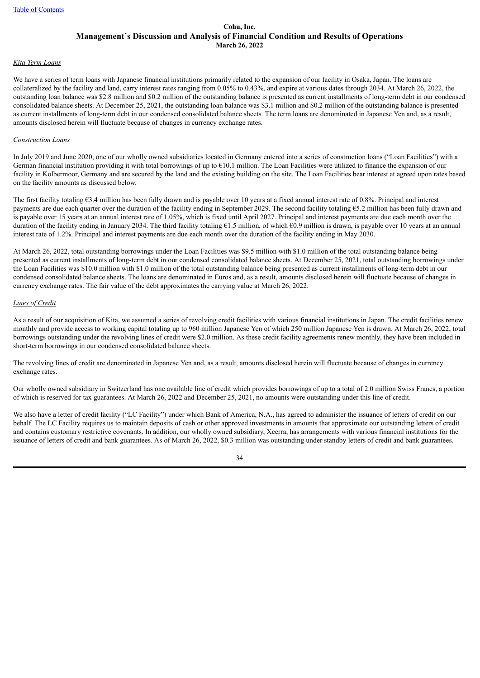## *Kita Term Loans*

We have a series of term loans with Japanese financial institutions primarily related to the expansion of our facility in Osaka, Japan. The loans are collateralized by the facility and land, carry interest rates ranging from 0.05% to 0.43%, and expire at various dates through 2034. At March 26, 2022, the outstanding loan balance was \$2.8 million and \$0.2 million of the outstanding balance is presented as current installments of long-term debt in our condensed consolidated balance sheets. At December 25, 2021, the outstanding loan balance was \$3.1 million and \$0.2 million of the outstanding balance is presented as current installments of long-term debt in our condensed consolidated balance sheets. The term loans are denominated in Japanese Yen and, as a result, amounts disclosed herein will fluctuate because of changes in currency exchange rates.

#### *Construction Loans*

In July 2019 and June 2020, one of our wholly owned subsidiaries located in Germany entered into a series of construction loans ("Loan Facilities") with a German financial institution providing it with total borrowings of up to  $610.1$  million. The Loan Facilities were utilized to finance the expansion of our facility in Kolbermoor. Germany and are secured by the land and the existing building on the site. The Loan Facilities bear interest at agreed upon rates based on the facility amounts as discussed below.

The first facility totaling €3.4 million has been fully drawn and is payable over 10 years at a fixed annual interest rate of 0.8%. Principal and interest payments are due each quarter over the duration of the facility ending in September 2029. The second facility totaling  $\epsilon$ 5.2 million has been fully drawn and is payable over 15 years at an annual interest rate of 1.05%, which is fixed until April 2027. Principal and interest payments are due each month over the duration of the facility ending in January 2034. The third facility totaling  $61.5$  million, of which  $60.9$  million is drawn, is payable over 10 years at an annual interest rate of 1.2%. Principal and interest payments are due each month over the duration of the facility ending in May 2030.

At March 26, 2022, total outstanding borrowings under the Loan Facilities was \$9.5 million with \$1.0 million of the total outstanding balance being presented as current installments of long-term debt in our condensed consolidated balance sheets. At December 25, 2021, total outstanding borrowings under the Loan Facilities was \$10.0 million with \$1.0 million of the total outstanding balance being presented as current installments of long-term debt in our condensed consolidated balance sheets. The loans are denominated in Euros and, as a result, amounts disclosed herein will fluctuate because of changes in currency exchange rates. The fair value of the debt approximates the carrying value at March 26, 2022.

# *Lines of Credit*

As a result of our acquisition of Kita, we assumed a series of revolving credit facilities with various financial institutions in Japan. The credit facilities renew monthly and provide access to working capital totaling up to 960 million Japanese Yen of which 250 million Japanese Yen is drawn. At March 26, 2022, total borrowings outstanding under the revolving lines of credit were \$2.0 million. As these credit facility agreements renew monthly, they have been included in short-term borrowings in our condensed consolidated balance sheets.

The revolving lines of credit are denominated in Japanese Yen and, as a result, amounts disclosed herein will fluctuate because of changes in currency exchange rates.

Our wholly owned subsidiary in Switzerland has one available line of credit which provides borrowings of up to a total of 2.0 million Swiss Francs, a portion of which is reserved for tax guarantees. At March 26, 2022 and December 25, 2021, no amounts were outstanding under this line of credit.

We also have a letter of credit facility ("LC Facility") under which Bank of America, N.A., has agreed to administer the issuance of letters of credit on our behalf. The LC Facility requires us to maintain deposits of cash or other approved investments in amounts that approximate our outstanding letters of credit and contains customary restrictive covenants. In addition, our wholly owned subsidiary, Xcerra, has arrangements with various financial institutions for the issuance of letters of credit and bank guarantees. As of March 26, 2022, \$0.3 million was outstanding under standby letters of credit and bank guarantees.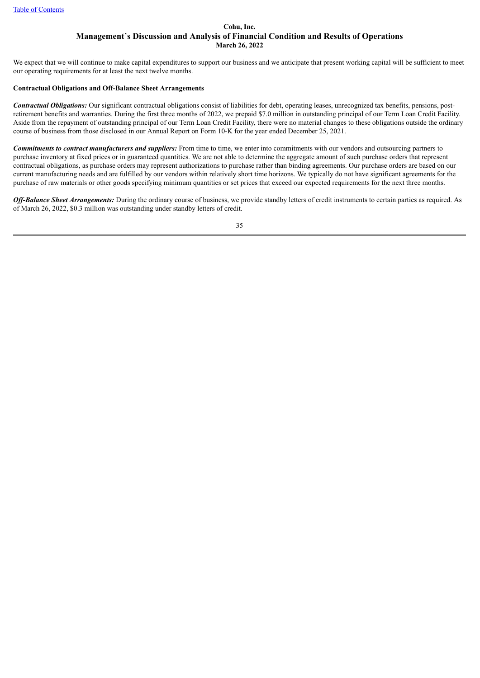We expect that we will continue to make capital expenditures to support our business and we anticipate that present working capital will be sufficient to meet our operating requirements for at least the next twelve months.

#### **Contractual Obligations and Off-Balance Sheet Arrangements**

*Contractual Obligations:* Our significant contractual obligations consist of liabilities for debt, operating leases, unrecognized tax benefits, pensions, postretirement benefits and warranties. During the first three months of 2022, we prepaid \$7.0 million in outstanding principal of our Term Loan Credit Facility. Aside from the repayment of outstanding principal of our Term Loan Credit Facility, there were no material changes to these obligations outside the ordinary course of business from those disclosed in our Annual Report on Form 10-K for the year ended December 25, 2021.

*Commitments to contract manufacturers and suppliers:* From time to time, we enter into commitments with our vendors and outsourcing partners to purchase inventory at fixed prices or in guaranteed quantities. We are not able to determine the aggregate amount of such purchase orders that represent contractual obligations, as purchase orders may represent authorizations to purchase rather than binding agreements. Our purchase orders are based on our current manufacturing needs and are fulfilled by our vendors within relatively short time horizons. We typically do not have significant agreements for the purchase of raw materials or other goods specifying minimum quantities or set prices that exceed our expected requirements for the next three months.

Off-Balance Sheet Arrangements: During the ordinary course of business, we provide standby letters of credit instruments to certain parties as required. As of March 26, 2022, \$0.3 million was outstanding under standby letters of credit.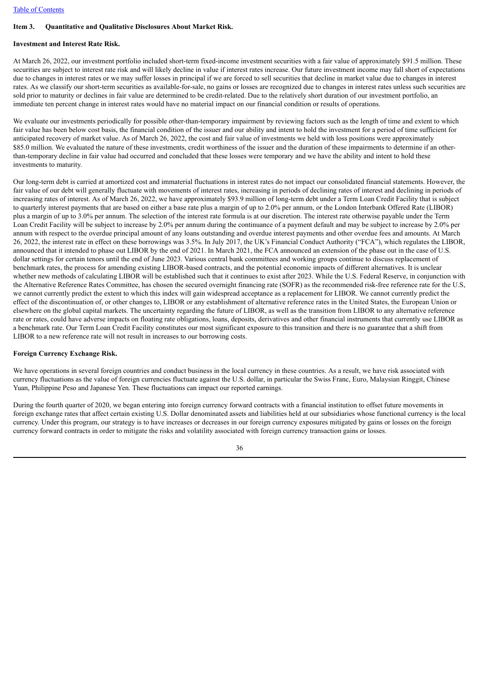# <span id="page-35-0"></span>**Item 3. Quantitative and Qualitative Disclosures About Market Risk.**

# **Investment and Interest Rate Risk.**

At March 26, 2022, our investment portfolio included short-term fixed-income investment securities with a fair value of approximately \$91.5 million. These securities are subject to interest rate risk and will likely decline in value if interest rates increase. Our future investment income may fall short of expectations due to changes in interest rates or we may suffer losses in principal if we are forced to sell securities that decline in market value due to changes in interest rates. As we classify our short-term securities as available-for-sale, no gains or losses are recognized due to changes in interest rates unless such securities are sold prior to maturity or declines in fair value are determined to be credit-related. Due to the relatively short duration of our investment portfolio, an immediate ten percent change in interest rates would have no material impact on our financial condition or results of operations.

We evaluate our investments periodically for possible other-than-temporary impairment by reviewing factors such as the length of time and extent to which fair value has been below cost basis, the financial condition of the issuer and our ability and intent to hold the investment for a period of time sufficient for anticipated recovery of market value. As of March 26, 2022, the cost and fair value of investments we held with loss positions were approximately \$85.0 million. We evaluated the nature of these investments, credit worthiness of the issuer and the duration of these impairments to determine if an otherthan-temporary decline in fair value had occurred and concluded that these losses were temporary and we have the ability and intent to hold these investments to maturity.

Our long-term debt is carried at amortized cost and immaterial fluctuations in interest rates do not impact our consolidated financial statements. However, the fair value of our debt will generally fluctuate with movements of interest rates, increasing in periods of declining rates of interest and declining in periods of increasing rates of interest. As of March 26, 2022, we have approximately \$93.9 million of long-term debt under a Term Loan Credit Facility that is subject to quarterly interest payments that are based on either a base rate plus a margin of up to 2.0% per annum, or the London Interbank Offered Rate (LIBOR) plus a margin of up to 3.0% per annum. The selection of the interest rate formula is at our discretion. The interest rate otherwise payable under the Term Loan Credit Facility will be subject to increase by 2.0% per annum during the continuance of a payment default and may be subject to increase by 2.0% per annum with respect to the overdue principal amount of any loans outstanding and overdue interest payments and other overdue fees and amounts. At March 26, 2022, the interest rate in effect on these borrowings was 3.5%. In July 2017, the UK's Financial Conduct Authority ("FCA"), which regulates the LIBOR, announced that it intended to phase out LIBOR by the end of 2021. In March 2021, the FCA announced an extension of the phase out in the case of U.S. dollar settings for certain tenors until the end of June 2023. Various central bank committees and working groups continue to discuss replacement of benchmark rates, the process for amending existing LIBOR-based contracts, and the potential economic impacts of different alternatives. It is unclear whether new methods of calculating LIBOR will be established such that it continues to exist after 2023. While the U.S. Federal Reserve, in conjunction with the Alternative Reference Rates Committee, has chosen the secured overnight financing rate (SOFR) as the recommended risk-free reference rate for the U.S, we cannot currently predict the extent to which this index will gain widespread acceptance as a replacement for LIBOR. We cannot currently predict the effect of the discontinuation of, or other changes to, LIBOR or any establishment of alternative reference rates in the United States, the European Union or elsewhere on the global capital markets. The uncertainty regarding the future of LIBOR, as well as the transition from LIBOR to any alternative reference rate or rates, could have adverse impacts on floating rate obligations, loans, deposits, derivatives and other financial instruments that currently use LIBOR as a benchmark rate. Our Term Loan Credit Facility constitutes our most significant exposure to this transition and there is no guarantee that a shift from LIBOR to a new reference rate will not result in increases to our borrowing costs.

## **Foreign Currency Exchange Risk.**

We have operations in several foreign countries and conduct business in the local currency in these countries. As a result, we have risk associated with currency fluctuations as the value of foreign currencies fluctuate against the U.S. dollar, in particular the Swiss Franc, Euro, Malaysian Ringgit, Chinese Yuan, Philippine Peso and Japanese Yen. These fluctuations can impact our reported earnings.

During the fourth quarter of 2020, we began entering into foreign currency forward contracts with a financial institution to offset future movements in foreign exchange rates that affect certain existing U.S. Dollar denominated assets and liabilities held at our subsidiaries whose functional currency is the local currency. Under this program, our strategy is to have increases or decreases in our foreign currency exposures mitigated by gains or losses on the foreign currency forward contracts in order to mitigate the risks and volatility associated with foreign currency transaction gains or losses.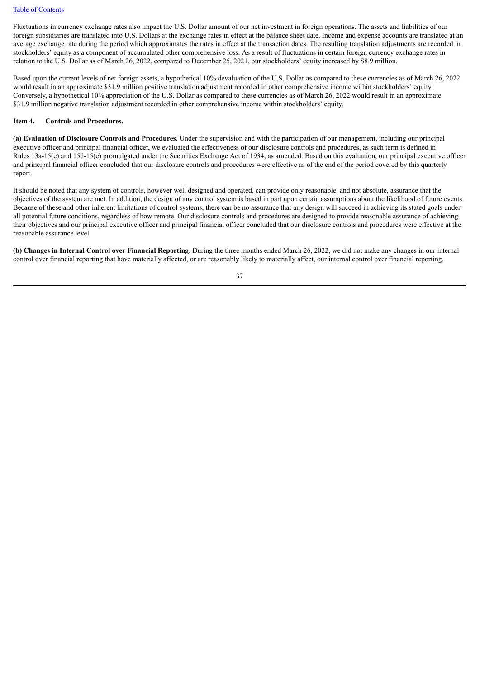Fluctuations in currency exchange rates also impact the U.S. Dollar amount of our net investment in foreign operations. The assets and liabilities of our foreign subsidiaries are translated into U.S. Dollars at the exchange rates in effect at the balance sheet date. Income and expense accounts are translated at an average exchange rate during the period which approximates the rates in effect at the transaction dates. The resulting translation adjustments are recorded in stockholders' equity as a component of accumulated other comprehensive loss. As a result of fluctuations in certain foreign currency exchange rates in relation to the U.S. Dollar as of March 26, 2022, compared to December 25, 2021, our stockholders' equity increased by \$8.9 million.

Based upon the current levels of net foreign assets, a hypothetical 10% devaluation of the U.S. Dollar as compared to these currencies as of March 26, 2022 would result in an approximate \$31.9 million positive translation adjustment recorded in other comprehensive income within stockholders' equity. Conversely, a hypothetical 10% appreciation of the U.S. Dollar as compared to these currencies as of March 26, 2022 would result in an approximate \$31.9 million negative translation adjustment recorded in other comprehensive income within stockholders' equity.

#### **Item 4. Controls and Procedures.**

**(a) Evaluation of Disclosure Controls and Procedures.** Under the supervision and with the participation of our management, including our principal executive officer and principal financial officer, we evaluated the effectiveness of our disclosure controls and procedures, as such term is defined in Rules 13a-15(e) and 15d-15(e) promulgated under the Securities Exchange Act of 1934, as amended. Based on this evaluation, our principal executive officer and principal financial officer concluded that our disclosure controls and procedures were effective as of the end of the period covered by this quarterly report.

It should be noted that any system of controls, however well designed and operated, can provide only reasonable, and not absolute, assurance that the objectives of the system are met. In addition, the design of any control system is based in part upon certain assumptions about the likelihood of future events. Because of these and other inherent limitations of control systems, there can be no assurance that any design will succeed in achieving its stated goals under all potential future conditions, regardless of how remote. Our disclosure controls and procedures are designed to provide reasonable assurance of achieving their objectives and our principal executive officer and principal financial officer concluded that our disclosure controls and procedures were effective at the reasonable assurance level.

**(b) Changes in Internal Control over Financial Reporting**. During the three months ended March 26, 2022, we did not make any changes in our internal control over financial reporting that have materially affected, or are reasonably likely to materially affect, our internal control over financial reporting.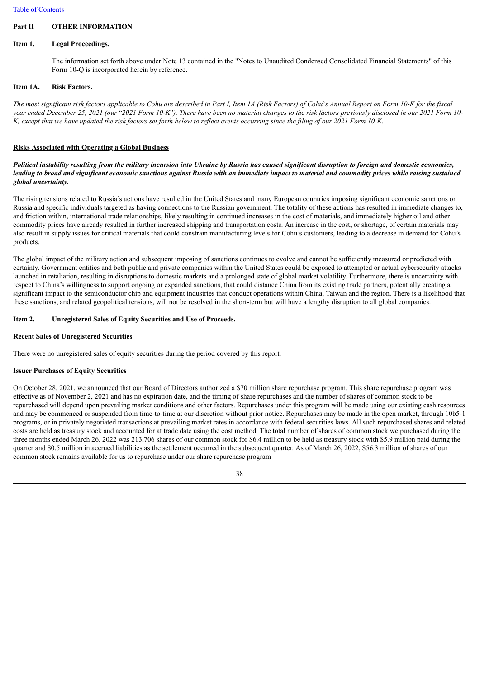# **Part II OTHER INFORMATION**

## **Item 1. Legal Proceedings.**

The information set forth above under Note 13 contained in the "Notes to Unaudited Condensed Consolidated Financial Statements" of this Form 10-Q is incorporated herein by reference.

## **Item 1A. Risk Factors.**

The most significant risk factors applicable to Cohu are described in Part I, Item 1A (Risk Factors) of Cohu's Annual Report on Form 10-K for the fiscal year ended December 25, 2021 (our "2021 Form 10-K"). There have been no material changes to the risk factors previously disclosed in our 2021 Form 10-K, except that we have updated the risk factors set forth below to reflect events occurring since the filing of our 2021 Form 10-K.

## **Risks Associated with Operating a Global Business**

## Political instability resulting from the military incursion into Ukraine by Russia has caused significant disruption to foreign and domestic economies. leading to broad and significant economic sanctions against Russia with an immediate impact to material and commodity prices while raising sustained *global uncertainty.*

The rising tensions related to Russia's actions have resulted in the United States and many European countries imposing significant economic sanctions on Russia and specific individuals targeted as having connections to the Russian government. The totality of these actions has resulted in immediate changes to, and friction within, international trade relationships, likely resulting in continued increases in the cost of materials, and immediately higher oil and other commodity prices have already resulted in further increased shipping and transportation costs. An increase in the cost, or shortage, of certain materials may also result in supply issues for critical materials that could constrain manufacturing levels for Cohu's customers, leading to a decrease in demand for Cohu's products.

The global impact of the military action and subsequent imposing of sanctions continues to evolve and cannot be sufficiently measured or predicted with certainty. Government entities and both public and private companies within the United States could be exposed to attempted or actual cybersecurity attacks launched in retaliation, resulting in disruptions to domestic markets and a prolonged state of global market volatility. Furthermore, there is uncertainty with respect to China's willingness to support ongoing or expanded sanctions, that could distance China from its existing trade partners, potentially creating a significant impact to the semiconductor chip and equipment industries that conduct operations within China, Taiwan and the region. There is a likelihood that these sanctions, and related geopolitical tensions, will not be resolved in the short-term but will have a lengthy disruption to all global companies.

# **Item 2. Unregistered Sales of Equity Securities and Use of Proceeds.**

# **Recent Sales of Unregistered Securities**

There were no unregistered sales of equity securities during the period covered by this report.

## **Issuer Purchases of Equity Securities**

On October 28, 2021, we announced that our Board of Directors authorized a \$70 million share repurchase program. This share repurchase program was effective as of November 2, 2021 and has no expiration date, and the timing of share repurchases and the number of shares of common stock to be repurchased will depend upon prevailing market conditions and other factors. Repurchases under this program will be made using our existing cash resources and may be commenced or suspended from time-to-time at our discretion without prior notice. Repurchases may be made in the open market, through 10b5-1 programs, or in privately negotiated transactions at prevailing market rates in accordance with federal securities laws. All such repurchased shares and related costs are held as treasury stock and accounted for at trade date using the cost method. The total number of shares of common stock we purchased during the three months ended March 26, 2022 was 213,706 shares of our common stock for \$6.4 million to be held as treasury stock with \$5.9 million paid during the quarter and \$0.5 million in accrued liabilities as the settlement occurred in the subsequent quarter. As of March 26, 2022, \$56.3 million of shares of our common stock remains available for us to repurchase under our share repurchase program

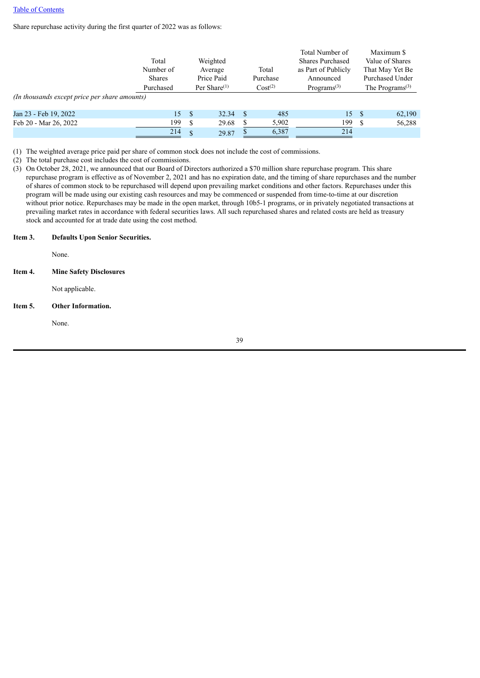Share repurchase activity during the first quarter of 2022 was as follows:

|                                               |               |                 |            |                     |          | Total Number of                      |    | Maximum \$                               |  |
|-----------------------------------------------|---------------|-----------------|------------|---------------------|----------|--------------------------------------|----|------------------------------------------|--|
|                                               | Total         |                 | Weighted   |                     |          | <b>Shares Purchased</b>              |    | Value of Shares                          |  |
|                                               | Number of     |                 | Average    |                     | Total    | as Part of Publicly                  |    | That May Yet Be                          |  |
|                                               | <b>Shares</b> |                 | Price Paid |                     | Purchase | Announced                            |    | Purchased Under                          |  |
|                                               | Purchased     | Per Share $(1)$ |            | Cost <sup>(2)</sup> |          | Programs <sup><math>(3)</math></sup> |    | The Programs <sup><math>(3)</math></sup> |  |
| (In thousands except price per share amounts) |               |                 |            |                     |          |                                      |    |                                          |  |
| Jan 23 - Feb 19, 2022                         | 15            | - \$            | 32.34      | - \$                | 485      | 15                                   | -S | 62,190                                   |  |
| Feb 20 - Mar 26, 2022                         | 199           | S               | 29.68      | S                   | 5,902    | 199                                  | -S | 56,288                                   |  |
|                                               | 214           | $\mathbf{\$}$   | 29.87      |                     | 6.387    | 214                                  |    |                                          |  |

(1) The weighted average price paid per share of common stock does not include the cost of commissions.

(2) The total purchase cost includes the cost of commissions.

(3) On October 28, 2021, we announced that our Board of Directors authorized a \$70 million share repurchase program. This share repurchase program is effective as of November 2, 2021 and has no expiration date, and the timing of share repurchases and the number of shares of common stock to be repurchased will depend upon prevailing market conditions and other factors. Repurchases under this program will be made using our existing cash resources and may be commenced or suspended from time-to-time at our discretion without prior notice. Repurchases may be made in the open market, through 10b5-1 programs, or in privately negotiated transactions at prevailing market rates in accordance with federal securities laws. All such repurchased shares and related costs are held as treasury stock and accounted for at trade date using the cost method.

#### **Item 3. Defaults Upon Senior Securities.**

None.

### **Item 4. Mine Safety Disclosures**

Not applicable.

### **Item 5. Other Information.**

None.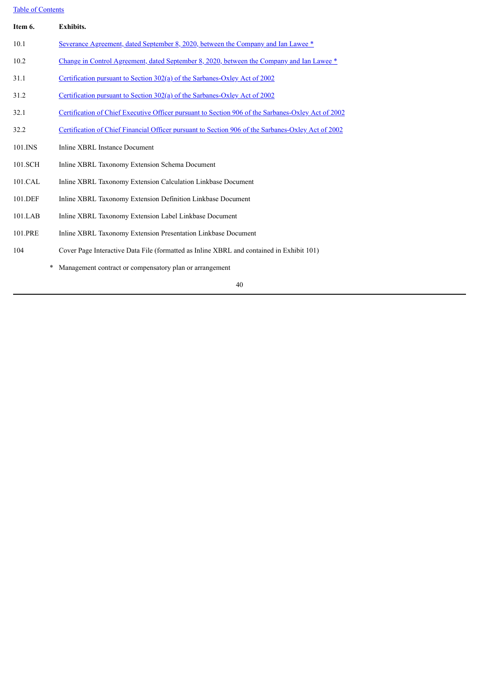# Table of [Contents](#page-1-0)

| Item 6.    | <b>Exhibits.</b>                                                                                          |
|------------|-----------------------------------------------------------------------------------------------------------|
| 10.1       | Severance Agreement, dated September 8, 2020, between the Company and Ian Lawee *                         |
| 10.2       | Change in Control Agreement, dated September 8, 2020, between the Company and Ian Lawee *                 |
| 31.1       | Certification pursuant to Section 302(a) of the Sarbanes-Oxley Act of 2002                                |
| 31.2       | Certification pursuant to Section 302(a) of the Sarbanes-Oxley Act of 2002                                |
| 32.1       | Certification of Chief Executive Officer pursuant to Section 906 of the Sarbanes-Oxley Act of 2002        |
| 32.2       | <u>Certification of Chief Financial Officer pursuant to Section 906 of the Sarbanes-Oxley Act of 2002</u> |
| 101.INS    | Inline XBRL Instance Document                                                                             |
| 101.SCH    | Inline XBRL Taxonomy Extension Schema Document                                                            |
| 101.CAL    | Inline XBRL Taxonomy Extension Calculation Linkbase Document                                              |
| 101.DEF    | Inline XBRL Taxonomy Extension Definition Linkbase Document                                               |
| $101$ .LAB | Inline XBRL Taxonomy Extension Label Linkbase Document                                                    |
| 101.PRE    | Inline XBRL Taxonomy Extension Presentation Linkbase Document                                             |
| 104        | Cover Page Interactive Data File (formatted as Inline XBRL and contained in Exhibit 101)                  |
|            | Management contract or compensatory plan or arrangement                                                   |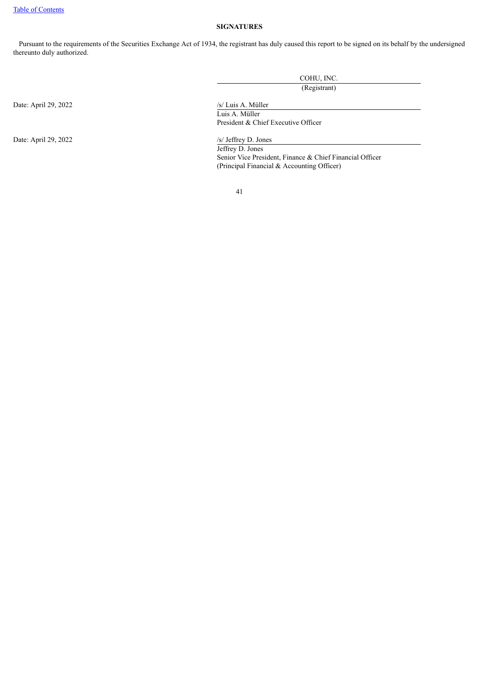## **SIGNATURES**

Pursuant to the requirements of the Securities Exchange Act of 1934, the registrant has duly caused this report to be signed on its behalf by the undersigned thereunto duly authorized.

|                      | COHU, INC.                                               |  |  |  |
|----------------------|----------------------------------------------------------|--|--|--|
|                      | (Registrant)                                             |  |  |  |
| Date: April 29, 2022 | /s/ Luis A. Müller                                       |  |  |  |
|                      | Luis A. Müller                                           |  |  |  |
|                      | President & Chief Executive Officer                      |  |  |  |
| Date: April 29, 2022 | $/s/$ Jeffrey D. Jones                                   |  |  |  |
|                      | Jeffrey D. Jones                                         |  |  |  |
|                      | Senior Vice President, Finance & Chief Financial Officer |  |  |  |
|                      | (Principal Financial & Accounting Officer)               |  |  |  |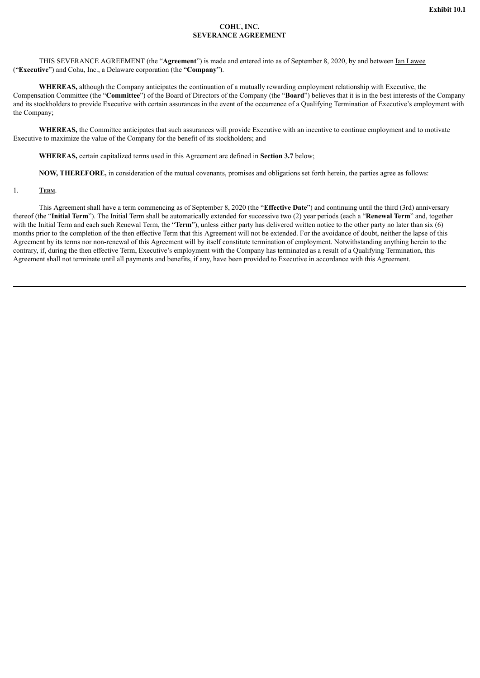### **COHU, INC. SEVERANCE AGREEMENT**

<span id="page-41-0"></span>THIS SEVERANCE AGREEMENT (the "**Agreement**") is made and entered into as of September 8, 2020, by and between Ian Lawee ("**Executive**") and Cohu, Inc., a Delaware corporation (the "**Company**").

**WHEREAS,** although the Company anticipates the continuation of a mutually rewarding employment relationship with Executive, the Compensation Committee (the "**Committee**") of the Board of Directors of the Company (the "**Board**") believes that it is in the best interests of the Company and its stockholders to provide Executive with certain assurances in the event of the occurrence of a Qualifying Termination of Executive's employment with the Company;

**WHEREAS,** the Committee anticipates that such assurances will provide Executive with an incentive to continue employment and to motivate Executive to maximize the value of the Company for the benefit of its stockholders; and

**WHEREAS,** certain capitalized terms used in this Agreement are defined in **Section 3.7** below;

**NOW, THEREFORE,** in consideration of the mutual covenants, promises and obligations set forth herein, the parties agree as follows:

#### 1. **Term**.

This Agreement shall have a term commencing as of September 8, 2020 (the "**Effective Date**") and continuing until the third (3rd) anniversary thereof (the "**Initial Term**"). The Initial Term shall be automatically extended for successive two (2) year periods (each a "**Renewal Term**" and, together with the Initial Term and each such Renewal Term, the "**Term**"), unless either party has delivered written notice to the other party no later than six (6) months prior to the completion of the then effective Term that this Agreement will not be extended. For the avoidance of doubt, neither the lapse of this Agreement by its terms nor non-renewal of this Agreement will by itself constitute termination of employment. Notwithstanding anything herein to the contrary, if, during the then effective Term, Executive's employment with the Company has terminated as a result of a Qualifying Termination, this Agreement shall not terminate until all payments and benefits, if any, have been provided to Executive in accordance with this Agreement.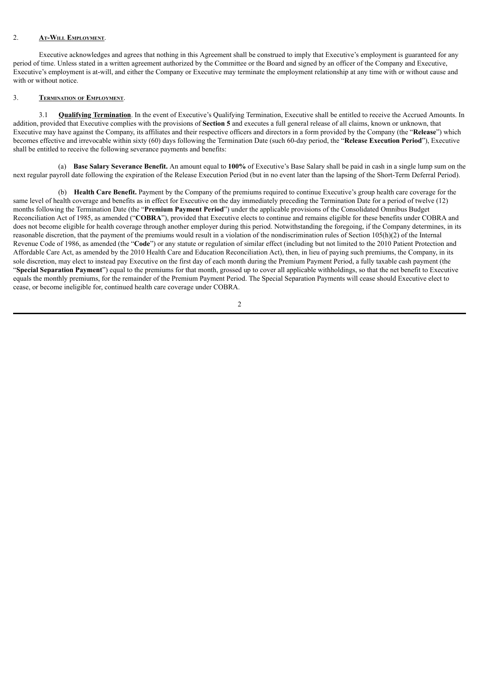#### 2. **At-Will Employment**.

Executive acknowledges and agrees that nothing in this Agreement shall be construed to imply that Executive's employment is guaranteed for any period of time. Unless stated in a written agreement authorized by the Committee or the Board and signed by an officer of the Company and Executive, Executive's employment is at-will, and either the Company or Executive may terminate the employment relationship at any time with or without cause and with or without notice.

#### 3. **Termination of Employment**.

3.1 **Qualifying Termination**. In the event of Executive's Qualifying Termination, Executive shall be entitled to receive the Accrued Amounts. In addition, provided that Executive complies with the provisions of **Section 5** and executes a full general release of all claims, known or unknown, that Executive may have against the Company, its affiliates and their respective officers and directors in a form provided by the Company (the "**Release**") which becomes effective and irrevocable within sixty (60) days following the Termination Date (such 60-day period, the "**Release Execution Period**"), Executive shall be entitled to receive the following severance payments and benefits:

(a) **Base Salary Severance Benefit.** An amount equal to **100%** of Executive's Base Salary shall be paid in cash in a single lump sum on the next regular payroll date following the expiration of the Release Execution Period (but in no event later than the lapsing of the Short-Term Deferral Period).

(b) **Health Care Benefit.** Payment by the Company of the premiums required to continue Executive's group health care coverage for the same level of health coverage and benefits as in effect for Executive on the day immediately preceding the Termination Date for a period of twelve (12) months following the Termination Date (the "**Premium Payment Period**") under the applicable provisions of the Consolidated Omnibus Budget Reconciliation Act of 1985, as amended ("**COBRA**"), provided that Executive elects to continue and remains eligible for these benefits under COBRA and does not become eligible for health coverage through another employer during this period. Notwithstanding the foregoing, if the Company determines, in its reasonable discretion, that the payment of the premiums would result in a violation of the nondiscrimination rules of Section 105(h)(2) of the Internal Revenue Code of 1986, as amended (the "**Code**") or any statute or regulation of similar effect (including but not limited to the 2010 Patient Protection and Affordable Care Act, as amended by the 2010 Health Care and Education Reconciliation Act), then, in lieu of paying such premiums, the Company, in its sole discretion, may elect to instead pay Executive on the first day of each month during the Premium Payment Period, a fully taxable cash payment (the "**Special Separation Payment**") equal to the premiums for that month, grossed up to cover all applicable withholdings, so that the net benefit to Executive equals the monthly premiums, for the remainder of the Premium Payment Period. The Special Separation Payments will cease should Executive elect to cease, or become ineligible for, continued health care coverage under COBRA.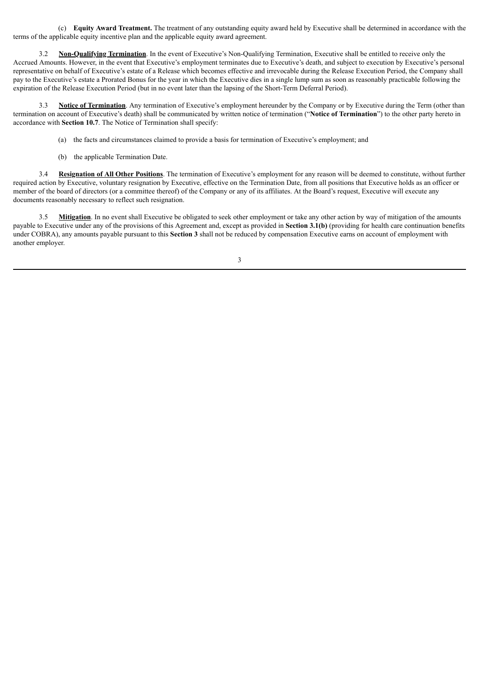(c) **Equity Award Treatment.** The treatment of any outstanding equity award held by Executive shall be determined in accordance with the terms of the applicable equity incentive plan and the applicable equity award agreement.

3.2 **Non-Qualifying Termination**. In the event of Executive's Non-Qualifying Termination, Executive shall be entitled to receive only the Accrued Amounts. However, in the event that Executive's employment terminates due to Executive's death, and subject to execution by Executive's personal representative on behalf of Executive's estate of a Release which becomes effective and irrevocable during the Release Execution Period, the Company shall pay to the Executive's estate a Prorated Bonus for the year in which the Executive dies in a single lump sum as soon as reasonably practicable following the expiration of the Release Execution Period (but in no event later than the lapsing of the Short-Term Deferral Period).

3.3 **Notice of Termination**. Any termination of Executive's employment hereunder by the Company or by Executive during the Term (other than termination on account of Executive's death) shall be communicated by written notice of termination ("**Notice of Termination**") to the other party hereto in accordance with **Section 10.7**. The Notice of Termination shall specify:

- (a) the facts and circumstances claimed to provide a basis for termination of Executive's employment; and
- (b) the applicable Termination Date.

3.4 **Resignation of All Other Positions**. The termination of Executive's employment for any reason will be deemed to constitute, without further required action by Executive, voluntary resignation by Executive, effective on the Termination Date, from all positions that Executive holds as an officer or member of the board of directors (or a committee thereof) of the Company or any of its affiliates. At the Board's request, Executive will execute any documents reasonably necessary to reflect such resignation.

**Mitigation**. In no event shall Executive be obligated to seek other employment or take any other action by way of mitigation of the amounts payable to Executive under any of the provisions of this Agreement and, except as provided in **Section 3.1(b)** (providing for health care continuation benefits under COBRA), any amounts payable pursuant to this **Section 3** shall not be reduced by compensation Executive earns on account of employment with another employer.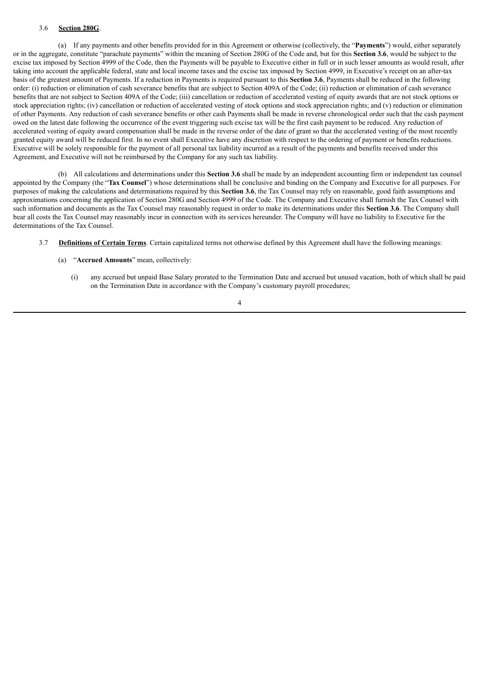#### 3.6 **Section 280G**.

(a) If any payments and other benefits provided for in this Agreement or otherwise (collectively, the "**Payments**") would, either separately or in the aggregate, constitute "parachute payments" within the meaning of Section 280G of the Code and, but for this **Section 3.6**, would be subject to the excise tax imposed by Section 4999 of the Code, then the Payments will be payable to Executive either in full or in such lesser amounts as would result, after taking into account the applicable federal, state and local income taxes and the excise tax imposed by Section 4999, in Executive's receipt on an after-tax basis of the greatest amount of Payments. If a reduction in Payments is required pursuant to this **Section 3.6**, Payments shall be reduced in the following order: (i) reduction or elimination of cash severance benefits that are subject to Section 409A of the Code; (ii) reduction or elimination of cash severance benefits that are not subject to Section 409A of the Code; (iii) cancellation or reduction of accelerated vesting of equity awards that are not stock options or stock appreciation rights; (iv) cancellation or reduction of accelerated vesting of stock options and stock appreciation rights; and (v) reduction or elimination of other Payments. Any reduction of cash severance benefits or other cash Payments shall be made in reverse chronological order such that the cash payment owed on the latest date following the occurrence of the event triggering such excise tax will be the first cash payment to be reduced. Any reduction of accelerated vesting of equity award compensation shall be made in the reverse order of the date of grant so that the accelerated vesting of the most recently granted equity award will be reduced first. In no event shall Executive have any discretion with respect to the ordering of payment or benefits reductions. Executive will be solely responsible for the payment of all personal tax liability incurred as a result of the payments and benefits received under this Agreement, and Executive will not be reimbursed by the Company for any such tax liability.

(b) All calculations and determinations under this **Section 3.6** shall be made by an independent accounting firm or independent tax counsel appointed by the Company (the "**Tax Counsel**") whose determinations shall be conclusive and binding on the Company and Executive for all purposes. For purposes of making the calculations and determinations required by this **Section 3.6**, the Tax Counsel may rely on reasonable, good faith assumptions and approximations concerning the application of Section 280G and Section 4999 of the Code. The Company and Executive shall furnish the Tax Counsel with such information and documents as the Tax Counsel may reasonably request in order to make its determinations under this **Section 3.6**. The Company shall bear all costs the Tax Counsel may reasonably incur in connection with its services hereunder. The Company will have no liability to Executive for the determinations of the Tax Counsel.

- 3.7 **Definitions of Certain Terms**. Certain capitalized terms not otherwise defined by this Agreement shall have the following meanings:
	- (a) "**Accrued Amounts**" mean, collectively:
		- (i) any accrued but unpaid Base Salary prorated to the Termination Date and accrued but unused vacation, both of which shall be paid on the Termination Date in accordance with the Company's customary payroll procedures;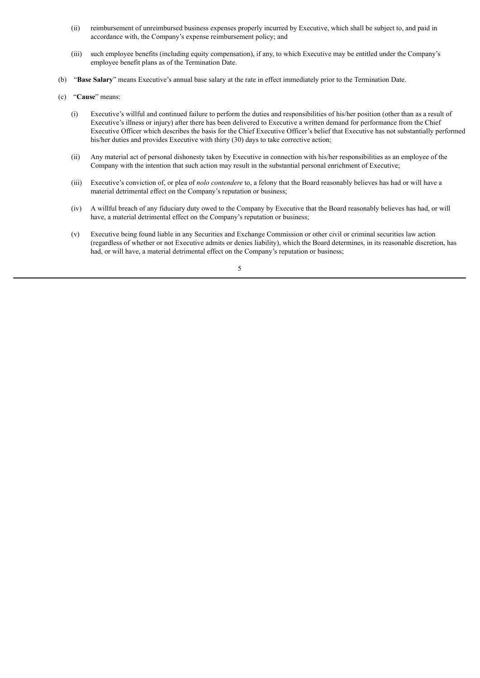- (ii) reimbursement of unreimbursed business expenses properly incurred by Executive, which shall be subject to, and paid in accordance with, the Company's expense reimbursement policy; and
- (iii) such employee benefits (including equity compensation), if any, to which Executive may be entitled under the Company's employee benefit plans as of the Termination Date.
- (b) "**Base Salary**" means Executive's annual base salary at the rate in effect immediately prior to the Termination Date.
- (c) "**Cause**" means:
	- (i) Executive's willful and continued failure to perform the duties and responsibilities of his/her position (other than as a result of Executive's illness or injury) after there has been delivered to Executive a written demand for performance from the Chief Executive Officer which describes the basis for the Chief Executive Officer's belief that Executive has not substantially performed his/her duties and provides Executive with thirty (30) days to take corrective action;
	- (ii) Any material act of personal dishonesty taken by Executive in connection with his/her responsibilities as an employee of the Company with the intention that such action may result in the substantial personal enrichment of Executive;
	- (iii) Executive's conviction of, or plea of *nolo contendere* to, a felony that the Board reasonably believes has had or will have a material detrimental effect on the Company's reputation or business;
	- (iv) A willful breach of any fiduciary duty owed to the Company by Executive that the Board reasonably believes has had, or will have, a material detrimental effect on the Company's reputation or business;
	- (v) Executive being found liable in any Securities and Exchange Commission or other civil or criminal securities law action (regardless of whether or not Executive admits or denies liability), which the Board determines, in its reasonable discretion, has had, or will have, a material detrimental effect on the Company's reputation or business;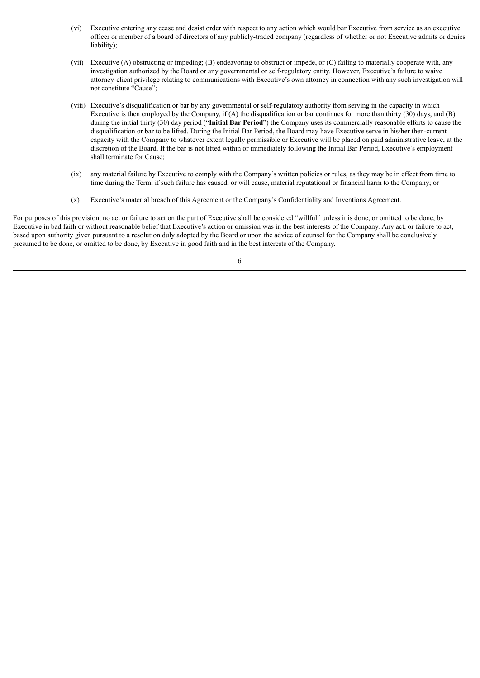- (vi) Executive entering any cease and desist order with respect to any action which would bar Executive from service as an executive officer or member of a board of directors of any publicly-traded company (regardless of whether or not Executive admits or denies liability);
- (vii) Executive (A) obstructing or impeding; (B) endeavoring to obstruct or impede, or (C) failing to materially cooperate with, any investigation authorized by the Board or any governmental or self-regulatory entity. However, Executive's failure to waive attorney-client privilege relating to communications with Executive's own attorney in connection with any such investigation will not constitute "Cause";
- (viii) Executive's disqualification or bar by any governmental or self-regulatory authority from serving in the capacity in which Executive is then employed by the Company, if (A) the disqualification or bar continues for more than thirty (30) days, and (B) during the initial thirty (30) day period ("**Initial Bar Period**") the Company uses its commercially reasonable efforts to cause the disqualification or bar to be lifted. During the Initial Bar Period, the Board may have Executive serve in his/her then-current capacity with the Company to whatever extent legally permissible or Executive will be placed on paid administrative leave, at the discretion of the Board. If the bar is not lifted within or immediately following the Initial Bar Period, Executive's employment shall terminate for Cause;
- (ix) any material failure by Executive to comply with the Company's written policies or rules, as they may be in effect from time to time during the Term, if such failure has caused, or will cause, material reputational or financial harm to the Company; or
- (x) Executive's material breach of this Agreement or the Company's Confidentiality and Inventions Agreement.

For purposes of this provision, no act or failure to act on the part of Executive shall be considered "willful" unless it is done, or omitted to be done, by Executive in bad faith or without reasonable belief that Executive's action or omission was in the best interests of the Company. Any act, or failure to act, based upon authority given pursuant to a resolution duly adopted by the Board or upon the advice of counsel for the Company shall be conclusively presumed to be done, or omitted to be done, by Executive in good faith and in the best interests of the Company.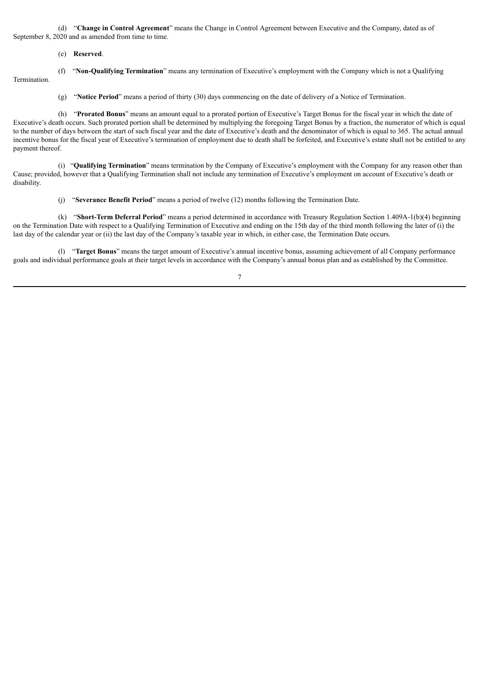(d) "**Change in Control Agreement**" means the Change in Control Agreement between Executive and the Company, dated as of September 8, 2020 and as amended from time to time.

- (e) **Reserved**.
- Termination.

(f) "**Non-Qualifying Termination**" means any termination of Executive's employment with the Company which is not a Qualifying

(g) "**Notice Period**" means a period of thirty (30) days commencing on the date of delivery of a Notice of Termination.

(h) "**Prorated Bonus**" means an amount equal to a prorated portion of Executive's Target Bonus for the fiscal year in which the date of Executive's death occurs. Such prorated portion shall be determined by multiplying the foregoing Target Bonus by a fraction, the numerator of which is equal to the number of days between the start of such fiscal year and the date of Executive's death and the denominator of which is equal to 365. The actual annual incentive bonus for the fiscal year of Executive's termination of employment due to death shall be forfeited, and Executive's estate shall not be entitled to any payment thereof.

(i) "**Qualifying Termination**" means termination by the Company of Executive's employment with the Company for any reason other than Cause; provided, however that a Qualifying Termination shall not include any termination of Executive's employment on account of Executive's death or disability.

(j) "**Severance Benefit Period**" means a period of twelve (12) months following the Termination Date.

(k) "**Short-Term Deferral Period**" means a period determined in accordance with Treasury Regulation Section 1.409A-1(b)(4) beginning on the Termination Date with respect to a Qualifying Termination of Executive and ending on the 15th day of the third month following the later of (i) the last day of the calendar year or (ii) the last day of the Company's taxable year in which, in either case, the Termination Date occurs.

(l) "**Target Bonus**" means the target amount of Executive's annual incentive bonus, assuming achievement of all Company performance goals and individual performance goals at their target levels in accordance with the Company's annual bonus plan and as established by the Committee.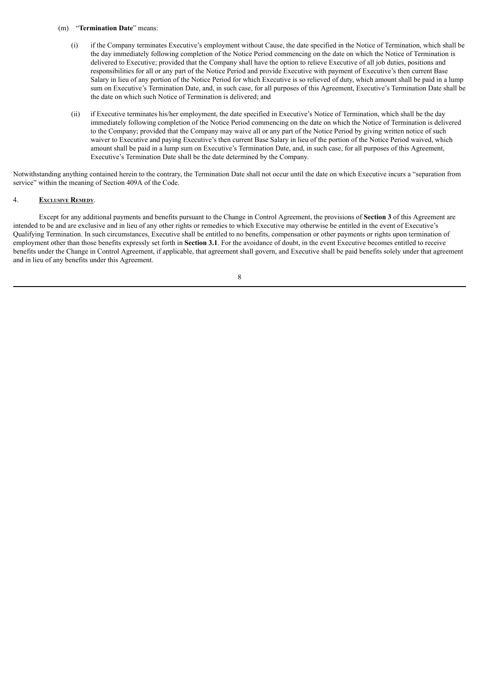#### (m) "**Termination Date**" means:

- (i) if the Company terminates Executive's employment without Cause, the date specified in the Notice of Termination, which shall be the day immediately following completion of the Notice Period commencing on the date on which the Notice of Termination is delivered to Executive; provided that the Company shall have the option to relieve Executive of all job duties, positions and responsibilities for all or any part of the Notice Period and provide Executive with payment of Executive's then current Base Salary in lieu of any portion of the Notice Period for which Executive is so relieved of duty, which amount shall be paid in a lump sum on Executive's Termination Date, and, in such case, for all purposes of this Agreement, Executive's Termination Date shall be the date on which such Notice of Termination is delivered; and
- (ii) if Executive terminates his/her employment, the date specified in Executive's Notice of Termination, which shall be the day immediately following completion of the Notice Period commencing on the date on which the Notice of Termination is delivered to the Company; provided that the Company may waive all or any part of the Notice Period by giving written notice of such waiver to Executive and paying Executive's then current Base Salary in lieu of the portion of the Notice Period waived, which amount shall be paid in a lump sum on Executive's Termination Date, and, in such case, for all purposes of this Agreement, Executive's Termination Date shall be the date determined by the Company.

Notwithstanding anything contained herein to the contrary, the Termination Date shall not occur until the date on which Executive incurs a "separation from service" within the meaning of Section 409A of the Code.

### 4. **Exclusive Remedy**.

Except for any additional payments and benefits pursuant to the Change in Control Agreement, the provisions of **Section 3** of this Agreement are intended to be and are exclusive and in lieu of any other rights or remedies to which Executive may otherwise be entitled in the event of Executive's Qualifying Termination. In such circumstances, Executive shall be entitled to no benefits, compensation or other payments or rights upon termination of employment other than those benefits expressly set forth in **Section 3.1**. For the avoidance of doubt, in the event Executive becomes entitled to receive benefits under the Change in Control Agreement, if applicable, that agreement shall govern, and Executive shall be paid benefits solely under that agreement and in lieu of any benefits under this Agreement.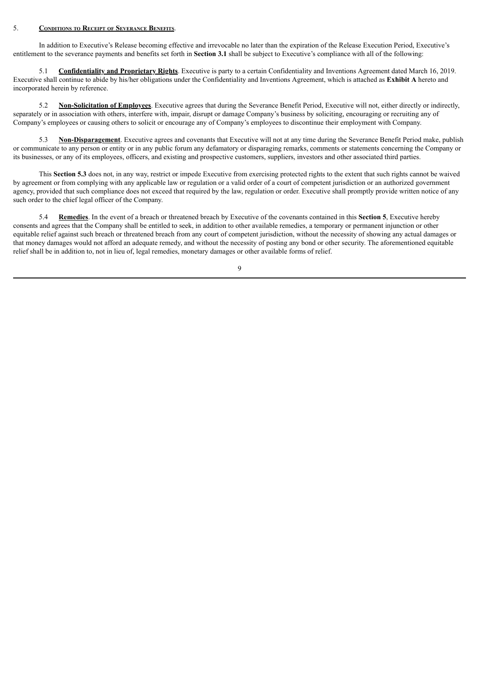#### 5. **Conditions to Receipt of Severance Benefits**.

In addition to Executive's Release becoming effective and irrevocable no later than the expiration of the Release Execution Period, Executive's entitlement to the severance payments and benefits set forth in **Section 3.1** shall be subject to Executive's compliance with all of the following:

5.1 **Confidentiality and Proprietary Rights**. Executive is party to a certain Confidentiality and Inventions Agreement dated March 16, 2019. Executive shall continue to abide by his/her obligations under the Confidentiality and Inventions Agreement, which is attached as **Exhibit A** hereto and incorporated herein by reference.

5.2 **Non-Solicitation of Employees**. Executive agrees that during the Severance Benefit Period, Executive will not, either directly or indirectly, separately or in association with others, interfere with, impair, disrupt or damage Company's business by soliciting, encouraging or recruiting any of Company's employees or causing others to solicit or encourage any of Company's employees to discontinue their employment with Company.

5.3 **Non-Disparagement**. Executive agrees and covenants that Executive will not at any time during the Severance Benefit Period make, publish or communicate to any person or entity or in any public forum any defamatory or disparaging remarks, comments or statements concerning the Company or its businesses, or any of its employees, officers, and existing and prospective customers, suppliers, investors and other associated third parties.

This **Section 5.3** does not, in any way, restrict or impede Executive from exercising protected rights to the extent that such rights cannot be waived by agreement or from complying with any applicable law or regulation or a valid order of a court of competent jurisdiction or an authorized government agency, provided that such compliance does not exceed that required by the law, regulation or order. Executive shall promptly provide written notice of any such order to the chief legal officer of the Company.

5.4 **Remedies**. In the event of a breach or threatened breach by Executive of the covenants contained in this **Section 5**, Executive hereby consents and agrees that the Company shall be entitled to seek, in addition to other available remedies, a temporary or permanent injunction or other equitable relief against such breach or threatened breach from any court of competent jurisdiction, without the necessity of showing any actual damages or that money damages would not afford an adequate remedy, and without the necessity of posting any bond or other security. The aforementioned equitable relief shall be in addition to, not in lieu of, legal remedies, monetary damages or other available forms of relief.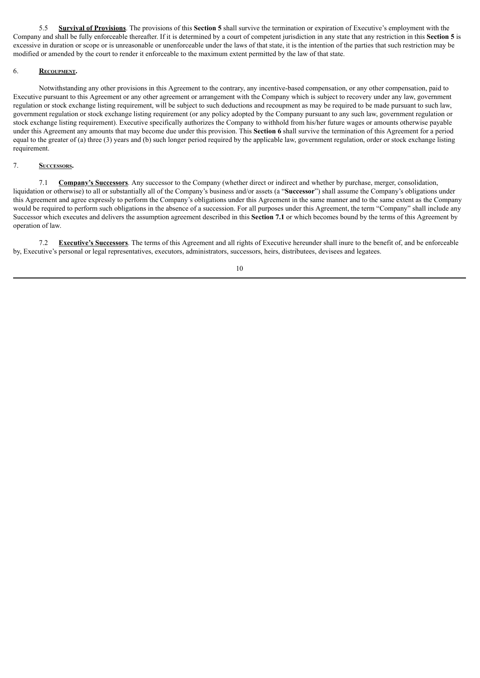5.5 **Survival of Provisions**. The provisions of this **Section 5** shall survive the termination or expiration of Executive's employment with the Company and shall be fully enforceable thereafter. If it is determined by a court of competent jurisdiction in any state that any restriction in this **Section 5** is excessive in duration or scope or is unreasonable or unenforceable under the laws of that state, it is the intention of the parties that such restriction may be modified or amended by the court to render it enforceable to the maximum extent permitted by the law of that state.

## 6. **Recoupment.**

Notwithstanding any other provisions in this Agreement to the contrary, any incentive-based compensation, or any other compensation, paid to Executive pursuant to this Agreement or any other agreement or arrangement with the Company which is subject to recovery under any law, government regulation or stock exchange listing requirement, will be subject to such deductions and recoupment as may be required to be made pursuant to such law, government regulation or stock exchange listing requirement (or any policy adopted by the Company pursuant to any such law, government regulation or stock exchange listing requirement). Executive specifically authorizes the Company to withhold from his/her future wages or amounts otherwise payable under this Agreement any amounts that may become due under this provision. This **Section 6** shall survive the termination of this Agreement for a period equal to the greater of (a) three (3) years and (b) such longer period required by the applicable law, government regulation, order or stock exchange listing requirement.

### 7. **Successors.**

7.1 **Company's Successors**. Any successor to the Company (whether direct or indirect and whether by purchase, merger, consolidation, liquidation or otherwise) to all or substantially all of the Company's business and/or assets (a "**Successor**") shall assume the Company's obligations under this Agreement and agree expressly to perform the Company's obligations under this Agreement in the same manner and to the same extent as the Company would be required to perform such obligations in the absence of a succession. For all purposes under this Agreement, the term "Company" shall include any Successor which executes and delivers the assumption agreement described in this **Section 7.1** or which becomes bound by the terms of this Agreement by operation of law.

7.2 **Executive's Successors**. The terms of this Agreement and all rights of Executive hereunder shall inure to the benefit of, and be enforceable by, Executive's personal or legal representatives, executors, administrators, successors, heirs, distributees, devisees and legatees.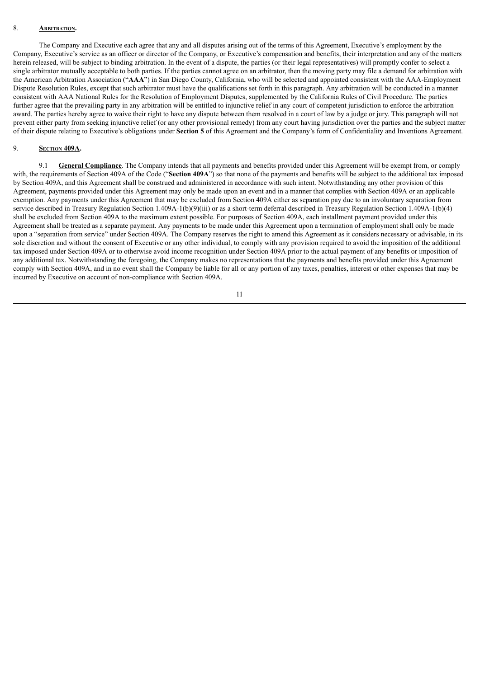## 8. **ARBITRATION**

The Company and Executive each agree that any and all disputes arising out of the terms of this Agreement, Executive's employment by the Company, Executive's service as an officer or director of the Company, or Executive's compensation and benefits, their interpretation and any of the matters herein released, will be subject to binding arbitration. In the event of a dispute, the parties (or their legal representatives) will promptly confer to select a single arbitrator mutually acceptable to both parties. If the parties cannot agree on an arbitrator, then the moving party may file a demand for arbitration with the American Arbitration Association ("**AAA**") in San Diego County, California, who will be selected and appointed consistent with the AAA-Employment Dispute Resolution Rules, except that such arbitrator must have the qualifications set forth in this paragraph. Any arbitration will be conducted in a manner consistent with AAA National Rules for the Resolution of Employment Disputes, supplemented by the California Rules of Civil Procedure. The parties further agree that the prevailing party in any arbitration will be entitled to injunctive relief in any court of competent jurisdiction to enforce the arbitration award. The parties hereby agree to waive their right to have any dispute between them resolved in a court of law by a judge or jury. This paragraph will not prevent either party from seeking injunctive relief (or any other provisional remedy) from any court having jurisdiction over the parties and the subject matter of their dispute relating to Executive's obligations under **Section 5** of this Agreement and the Company's form of Confidentiality and Inventions Agreement.

#### 9. **Section 409A.**

9.1 **General Compliance**. The Company intends that all payments and benefits provided under this Agreement will be exempt from, or comply with, the requirements of Section 409A of the Code ("Section 409A") so that none of the payments and benefits will be subject to the additional tax imposed by Section 409A, and this Agreement shall be construed and administered in accordance with such intent. Notwithstanding any other provision of this Agreement, payments provided under this Agreement may only be made upon an event and in a manner that complies with Section 409A or an applicable exemption. Any payments under this Agreement that may be excluded from Section 409A either as separation pay due to an involuntary separation from service described in Treasury Regulation Section 1.409A-1(b)(9)(iii) or as a short-term deferral described in Treasury Regulation Section 1.409A-1(b)(4) shall be excluded from Section 409A to the maximum extent possible. For purposes of Section 409A, each installment payment provided under this Agreement shall be treated as a separate payment. Any payments to be made under this Agreement upon a termination of employment shall only be made upon a "separation from service" under Section 409A. The Company reserves the right to amend this Agreement as it considers necessary or advisable, in its sole discretion and without the consent of Executive or any other individual, to comply with any provision required to avoid the imposition of the additional tax imposed under Section 409A or to otherwise avoid income recognition under Section 409A prior to the actual payment of any benefits or imposition of any additional tax. Notwithstanding the foregoing, the Company makes no representations that the payments and benefits provided under this Agreement comply with Section 409A, and in no event shall the Company be liable for all or any portion of any taxes, penalties, interest or other expenses that may be incurred by Executive on account of non-compliance with Section 409A.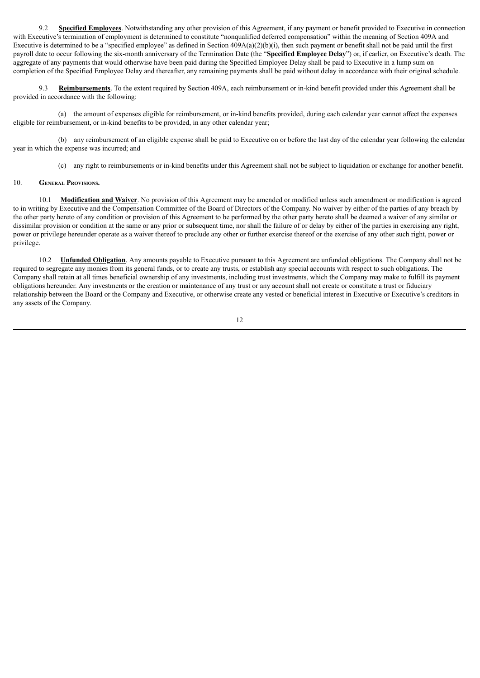9.2 **Specified Employees**. Notwithstanding any other provision of this Agreement, if any payment or benefit provided to Executive in connection with Executive's termination of employment is determined to constitute "nonqualified deferred compensation" within the meaning of Section 409A and Executive is determined to be a "specified employee" as defined in Section  $409A(a)(2)(b)(i)$ , then such payment or benefit shall not be paid until the first payroll date to occur following the six-month anniversary of the Termination Date (the "**Specified Employee Delay**") or, if earlier, on Executive's death. The aggregate of any payments that would otherwise have been paid during the Specified Employee Delay shall be paid to Executive in a lump sum on completion of the Specified Employee Delay and thereafter, any remaining payments shall be paid without delay in accordance with their original schedule.

9.3 **Reimbursements**. To the extent required by Section 409A, each reimbursement or in-kind benefit provided under this Agreement shall be provided in accordance with the following:

(a) the amount of expenses eligible for reimbursement, or in-kind benefits provided, during each calendar year cannot affect the expenses eligible for reimbursement, or in-kind benefits to be provided, in any other calendar year;

(b) any reimbursement of an eligible expense shall be paid to Executive on or before the last day of the calendar year following the calendar year in which the expense was incurred; and

(c) any right to reimbursements or in-kind benefits under this Agreement shall not be subject to liquidation or exchange for another benefit.

### 10. **General Provisions.**

10.1 **Modification and Waiver**. No provision of this Agreement may be amended or modified unless such amendment or modification is agreed to in writing by Executive and the Compensation Committee of the Board of Directors of the Company. No waiver by either of the parties of any breach by the other party hereto of any condition or provision of this Agreement to be performed by the other party hereto shall be deemed a waiver of any similar or dissimilar provision or condition at the same or any prior or subsequent time, nor shall the failure of or delay by either of the parties in exercising any right, power or privilege hereunder operate as a waiver thereof to preclude any other or further exercise thereof or the exercise of any other such right, power or privilege.

10.2 **Unfunded Obligation**. Any amounts payable to Executive pursuant to this Agreement are unfunded obligations. The Company shall not be required to segregate any monies from its general funds, or to create any trusts, or establish any special accounts with respect to such obligations. The Company shall retain at all times beneficial ownership of any investments, including trust investments, which the Company may make to fulfill its payment obligations hereunder. Any investments or the creation or maintenance of any trust or any account shall not create or constitute a trust or fiduciary relationship between the Board or the Company and Executive, or otherwise create any vested or beneficial interest in Executive or Executive's creditors in any assets of the Company.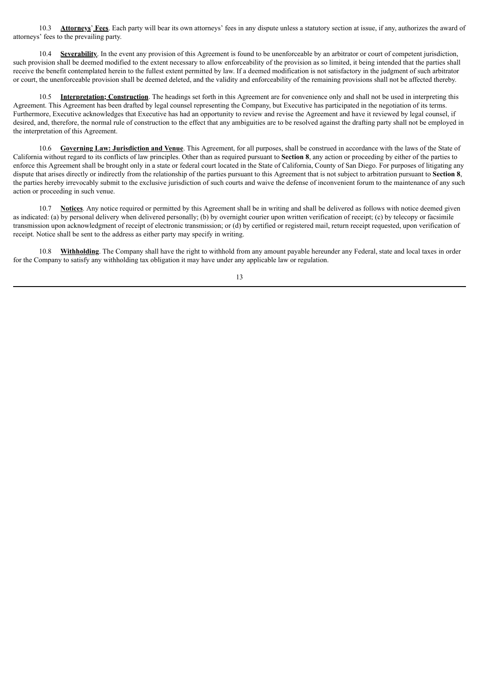10.3 **Attorneys**' **Fees**. Each party will bear its own attorneys' fees in any dispute unless a statutory section at issue, if any, authorizes the award of attorneys' fees to the prevailing party.

10.4 **Severability**. In the event any provision of this Agreement is found to be unenforceable by an arbitrator or court of competent jurisdiction, such provision shall be deemed modified to the extent necessary to allow enforceability of the provision as so limited, it being intended that the parties shall receive the benefit contemplated herein to the fullest extent permitted by law. If a deemed modification is not satisfactory in the judgment of such arbitrator or court, the unenforceable provision shall be deemed deleted, and the validity and enforceability of the remaining provisions shall not be affected thereby.

10.5 **Interpretation; Construction**. The headings set forth in this Agreement are for convenience only and shall not be used in interpreting this Agreement. This Agreement has been drafted by legal counsel representing the Company, but Executive has participated in the negotiation of its terms. Furthermore, Executive acknowledges that Executive has had an opportunity to review and revise the Agreement and have it reviewed by legal counsel, if desired, and, therefore, the normal rule of construction to the effect that any ambiguities are to be resolved against the drafting party shall not be employed in the interpretation of this Agreement.

10.6 **Governing Law: Jurisdiction and Venue**. This Agreement, for all purposes, shall be construed in accordance with the laws of the State of California without regard to its conflicts of law principles. Other than as required pursuant to **Section 8**, any action or proceeding by either of the parties to enforce this Agreement shall be brought only in a state or federal court located in the State of California, County of San Diego. For purposes of litigating any dispute that arises directly or indirectly from the relationship of the parties pursuant to this Agreement that is not subject to arbitration pursuant to **Section 8**, the parties hereby irrevocably submit to the exclusive jurisdiction of such courts and waive the defense of inconvenient forum to the maintenance of any such action or proceeding in such venue.

10.7 **Notices**. Any notice required or permitted by this Agreement shall be in writing and shall be delivered as follows with notice deemed given as indicated: (a) by personal delivery when delivered personally; (b) by overnight courier upon written verification of receipt; (c) by telecopy or facsimile transmission upon acknowledgment of receipt of electronic transmission; or (d) by certified or registered mail, return receipt requested, upon verification of receipt. Notice shall be sent to the address as either party may specify in writing.

10.8 **Withholding**. The Company shall have the right to withhold from any amount payable hereunder any Federal, state and local taxes in order for the Company to satisfy any withholding tax obligation it may have under any applicable law or regulation.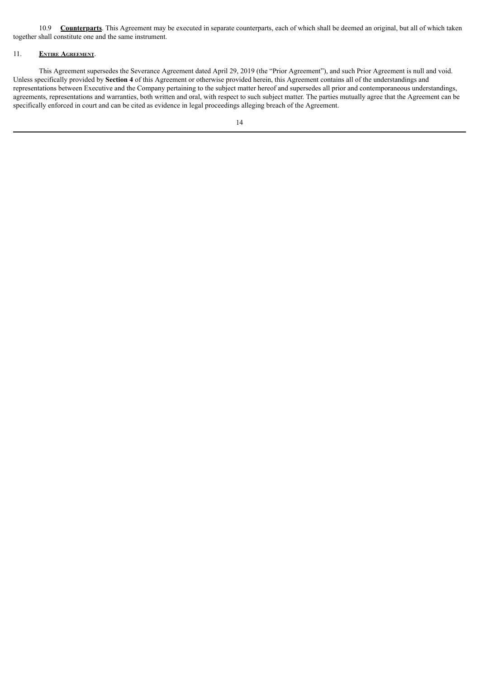10.9 **Counterparts**. This Agreement may be executed in separate counterparts, each of which shall be deemed an original, but all of which taken together shall constitute one and the same instrument.

### 11. **Entire Agreement**.

This Agreement supersedes the Severance Agreement dated April 29, 2019 (the "Prior Agreement"), and such Prior Agreement is null and void. Unless specifically provided by **Section 4** of this Agreement or otherwise provided herein, this Agreement contains all of the understandings and representations between Executive and the Company pertaining to the subject matter hereof and supersedes all prior and contemporaneous understandings, agreements, representations and warranties, both written and oral, with respect to such subject matter. The parties mutually agree that the Agreement can be specifically enforced in court and can be cited as evidence in legal proceedings alleging breach of the Agreement.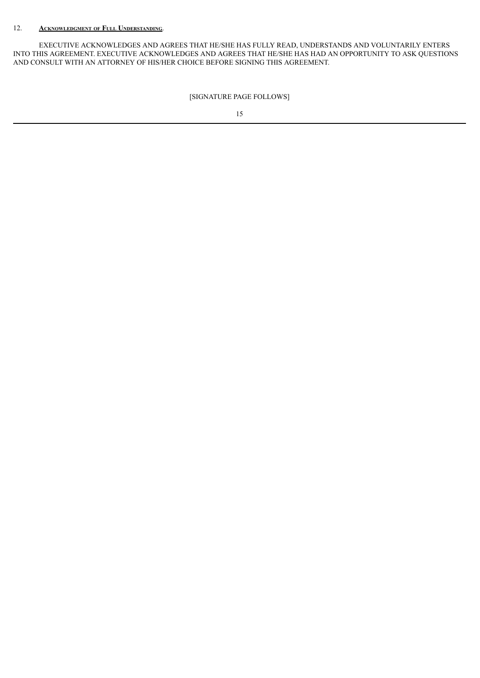## 12. **Acknowledgment of Full Understanding**.

EXECUTIVE ACKNOWLEDGES AND AGREES THAT HE/SHE HAS FULLY READ, UNDERSTANDS AND VOLUNTARILY ENTERS INTO THIS AGREEMENT. EXECUTIVE ACKNOWLEDGES AND AGREES THAT HE/SHE HAS HAD AN OPPORTUNITY TO ASK QUESTIONS AND CONSULT WITH AN ATTORNEY OF HIS/HER CHOICE BEFORE SIGNING THIS AGREEMENT.

[SIGNATURE PAGE FOLLOWS]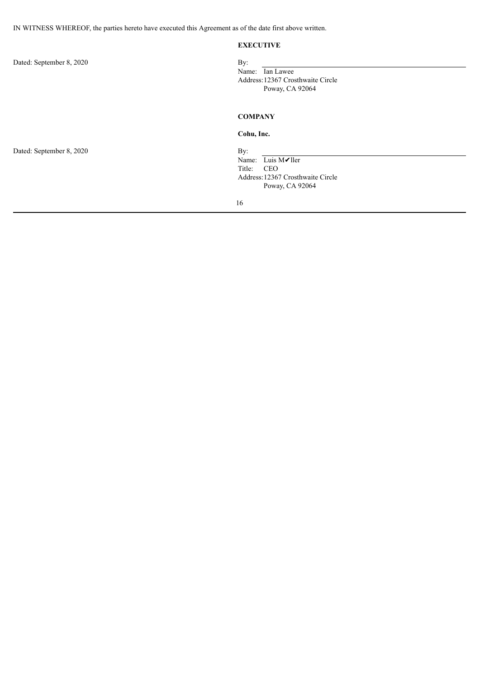### **EXECUTIVE**

Dated: September 8, 2020 By:

## Name: Ian Lawee Address:12367 Crosthwaite Circle Poway, CA 92064

## **COMPANY**

## **Cohu, Inc.**

Name: Luis M✔ller<br>Title: CEO CEO Address:12367 Crosthwaite Circle Poway, CA 92064

16

Dated: September 8, 2020 By: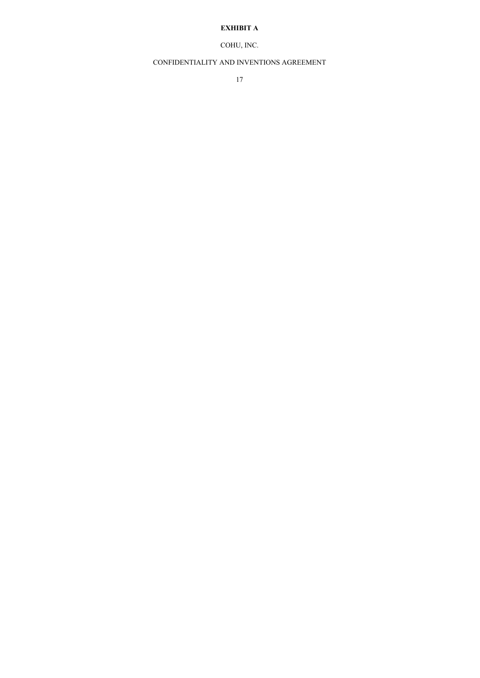## **EXHIBIT A**

# COHU, INC.

## CONFIDENTIALITY AND INVENTIONS AGREEMENT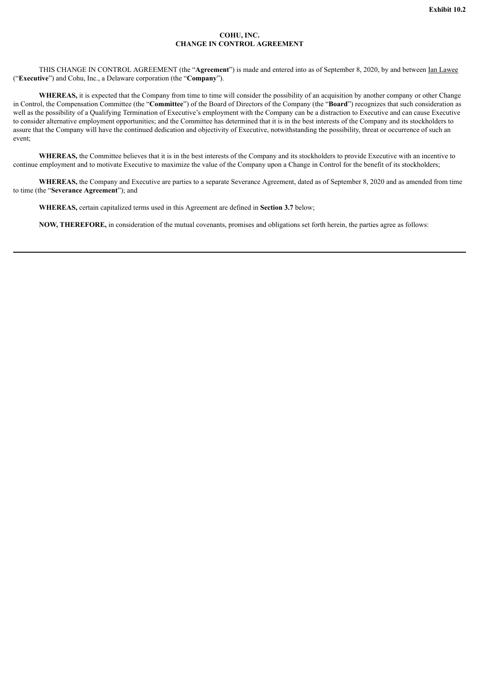#### **COHU, INC. CHANGE IN CONTROL AGREEMENT**

<span id="page-58-0"></span>THIS CHANGE IN CONTROL AGREEMENT (the "**Agreement**") is made and entered into as of September 8, 2020, by and between Ian Lawee ("**Executive**") and Cohu, Inc., a Delaware corporation (the "**Company**").

WHEREAS, it is expected that the Company from time to time will consider the possibility of an acquisition by another company or other Change in Control, the Compensation Committee (the "**Committee**") of the Board of Directors of the Company (the "**Board**") recognizes that such consideration as well as the possibility of a Qualifying Termination of Executive's employment with the Company can be a distraction to Executive and can cause Executive to consider alternative employment opportunities; and the Committee has determined that it is in the best interests of the Company and its stockholders to assure that the Company will have the continued dedication and objectivity of Executive, notwithstanding the possibility, threat or occurrence of such an event;

WHEREAS, the Committee believes that it is in the best interests of the Company and its stockholders to provide Executive with an incentive to continue employment and to motivate Executive to maximize the value of the Company upon a Change in Control for the benefit of its stockholders;

**WHEREAS,** the Company and Executive are parties to a separate Severance Agreement, dated as of September 8, 2020 and as amended from time to time (the "**Severance Agreement**"); and

**WHEREAS,** certain capitalized terms used in this Agreement are defined in **Section 3.7** below;

**NOW, THEREFORE,** in consideration of the mutual covenants, promises and obligations set forth herein, the parties agree as follows: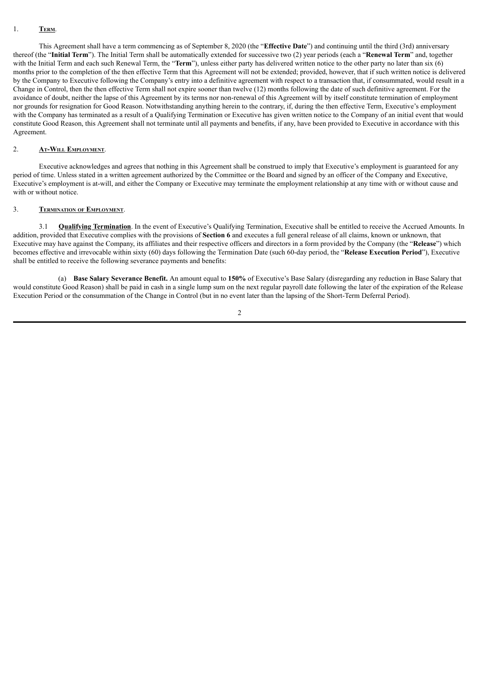### 1. **Term**.

This Agreement shall have a term commencing as of September 8, 2020 (the "**Effective Date**") and continuing until the third (3rd) anniversary thereof (the "**Initial Term**"). The Initial Term shall be automatically extended for successive two (2) year periods (each a "**Renewal Term**" and, together with the Initial Term and each such Renewal Term, the "**Term**"), unless either party has delivered written notice to the other party no later than six (6) months prior to the completion of the then effective Term that this Agreement will not be extended; provided, however, that if such written notice is delivered by the Company to Executive following the Company's entry into a definitive agreement with respect to a transaction that, if consummated, would result in a Change in Control, then the then effective Term shall not expire sooner than twelve (12) months following the date of such definitive agreement. For the avoidance of doubt, neither the lapse of this Agreement by its terms nor non-renewal of this Agreement will by itself constitute termination of employment nor grounds for resignation for Good Reason. Notwithstanding anything herein to the contrary, if, during the then effective Term, Executive's employment with the Company has terminated as a result of a Qualifying Termination or Executive has given written notice to the Company of an initial event that would constitute Good Reason, this Agreement shall not terminate until all payments and benefits, if any, have been provided to Executive in accordance with this Agreement.

#### 2. **At-Will Employment**.

Executive acknowledges and agrees that nothing in this Agreement shall be construed to imply that Executive's employment is guaranteed for any period of time. Unless stated in a written agreement authorized by the Committee or the Board and signed by an officer of the Company and Executive, Executive's employment is at-will, and either the Company or Executive may terminate the employment relationship at any time with or without cause and with or without notice.

#### 3. **Termination of Employment**.

3.1 **Qualifying Termination**. In the event of Executive's Qualifying Termination, Executive shall be entitled to receive the Accrued Amounts. In addition, provided that Executive complies with the provisions of **Section 6** and executes a full general release of all claims, known or unknown, that Executive may have against the Company, its affiliates and their respective officers and directors in a form provided by the Company (the "**Release**") which becomes effective and irrevocable within sixty (60) days following the Termination Date (such 60-day period, the "**Release Execution Period**"), Executive shall be entitled to receive the following severance payments and benefits:

(a) **Base Salary Severance Benefit.** An amount equal to **150%** of Executive's Base Salary (disregarding any reduction in Base Salary that would constitute Good Reason) shall be paid in cash in a single lump sum on the next regular payroll date following the later of the expiration of the Release Execution Period or the consummation of the Change in Control (but in no event later than the lapsing of the Short-Term Deferral Period).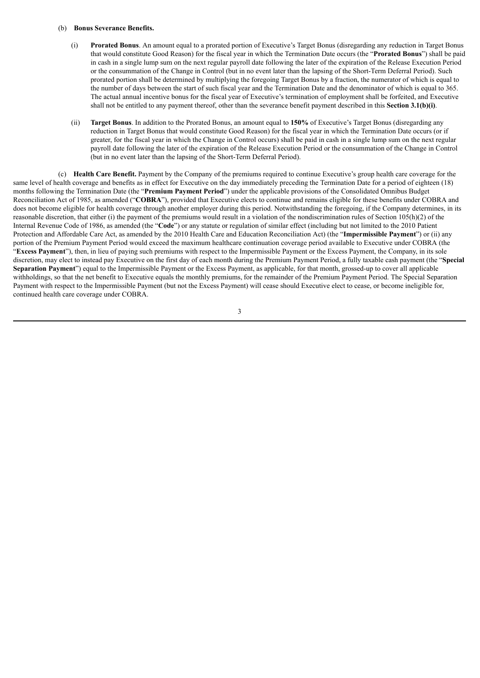#### (b) **Bonus Severance Benefits.**

- (i) **Prorated Bonus**. An amount equal to a prorated portion of Executive's Target Bonus (disregarding any reduction in Target Bonus that would constitute Good Reason) for the fiscal year in which the Termination Date occurs (the "**Prorated Bonus**") shall be paid in cash in a single lump sum on the next regular payroll date following the later of the expiration of the Release Execution Period or the consummation of the Change in Control (but in no event later than the lapsing of the Short-Term Deferral Period). Such prorated portion shall be determined by multiplying the foregoing Target Bonus by a fraction, the numerator of which is equal to the number of days between the start of such fiscal year and the Termination Date and the denominator of which is equal to 365. The actual annual incentive bonus for the fiscal year of Executive's termination of employment shall be forfeited, and Executive shall not be entitled to any payment thereof, other than the severance benefit payment described in this **Section 3.1(b)(i)**.
- (ii) **Target Bonus**. In addition to the Prorated Bonus, an amount equal to **150%** of Executive's Target Bonus (disregarding any reduction in Target Bonus that would constitute Good Reason) for the fiscal year in which the Termination Date occurs (or if greater, for the fiscal year in which the Change in Control occurs) shall be paid in cash in a single lump sum on the next regular payroll date following the later of the expiration of the Release Execution Period or the consummation of the Change in Control (but in no event later than the lapsing of the Short-Term Deferral Period).

(c) **Health Care Benefit.** Payment by the Company of the premiums required to continue Executive's group health care coverage for the same level of health coverage and benefits as in effect for Executive on the day immediately preceding the Termination Date for a period of eighteen (18) months following the Termination Date (the "**Premium Payment Period**") under the applicable provisions of the Consolidated Omnibus Budget Reconciliation Act of 1985, as amended ("**COBRA**"), provided that Executive elects to continue and remains eligible for these benefits under COBRA and does not become eligible for health coverage through another employer during this period. Notwithstanding the foregoing, if the Company determines, in its reasonable discretion, that either (i) the payment of the premiums would result in a violation of the nondiscrimination rules of Section 105(h)(2) of the Internal Revenue Code of 1986, as amended (the "**Code**") or any statute or regulation of similar effect (including but not limited to the 2010 Patient Protection and Affordable Care Act, as amended by the 2010 Health Care and Education Reconciliation Act) (the "**Impermissible Payment**") or (ii) any portion of the Premium Payment Period would exceed the maximum healthcare continuation coverage period available to Executive under COBRA (the "**Excess Payment**"), then, in lieu of paying such premiums with respect to the Impermissible Payment or the Excess Payment, the Company, in its sole discretion, may elect to instead pay Executive on the first day of each month during the Premium Payment Period, a fully taxable cash payment (the "**Special Separation Payment**") equal to the Impermissible Payment or the Excess Payment, as applicable, for that month, grossed-up to cover all applicable withholdings, so that the net benefit to Executive equals the monthly premiums, for the remainder of the Premium Payment Period. The Special Separation Payment with respect to the Impermissible Payment (but not the Excess Payment) will cease should Executive elect to cease, or become ineligible for, continued health care coverage under COBRA.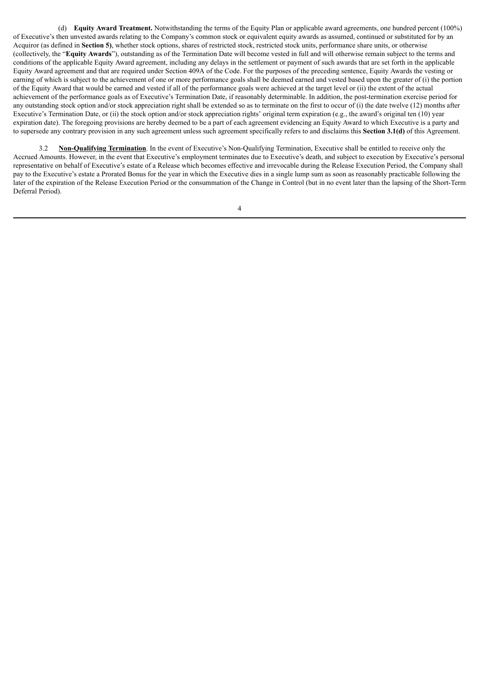(d) **Equity Award Treatment.** Notwithstanding the terms of the Equity Plan or applicable award agreements, one hundred percent (100%) of Executive's then unvested awards relating to the Company's common stock or equivalent equity awards as assumed, continued or substituted for by an Acquiror (as defined in **Section 5)**, whether stock options, shares of restricted stock, restricted stock units, performance share units, or otherwise (collectively, the "**Equity Awards**"), outstanding as of the Termination Date will become vested in full and will otherwise remain subject to the terms and conditions of the applicable Equity Award agreement, including any delays in the settlement or payment of such awards that are set forth in the applicable Equity Award agreement and that are required under Section 409A of the Code. For the purposes of the preceding sentence, Equity Awards the vesting or earning of which is subject to the achievement of one or more performance goals shall be deemed earned and vested based upon the greater of (i) the portion of the Equity Award that would be earned and vested if all of the performance goals were achieved at the target level or (ii) the extent of the actual achievement of the performance goals as of Executive's Termination Date, if reasonably determinable. In addition, the post-termination exercise period for any outstanding stock option and/or stock appreciation right shall be extended so as to terminate on the first to occur of (i) the date twelve (12) months after Executive's Termination Date, or (ii) the stock option and/or stock appreciation rights' original term expiration (e.g., the award's original ten (10) year expiration date). The foregoing provisions are hereby deemed to be a part of each agreement evidencing an Equity Award to which Executive is a party and to supersede any contrary provision in any such agreement unless such agreement specifically refers to and disclaims this **Section 3.1(d)** of this Agreement.

3.2 **Non-Qualifying Termination**. In the event of Executive's Non-Qualifying Termination, Executive shall be entitled to receive only the Accrued Amounts. However, in the event that Executive's employment terminates due to Executive's death, and subject to execution by Executive's personal representative on behalf of Executive's estate of a Release which becomes effective and irrevocable during the Release Execution Period, the Company shall pay to the Executive's estate a Prorated Bonus for the year in which the Executive dies in a single lump sum as soon as reasonably practicable following the later of the expiration of the Release Execution Period or the consummation of the Change in Control (but in no event later than the lapsing of the Short-Term Deferral Period).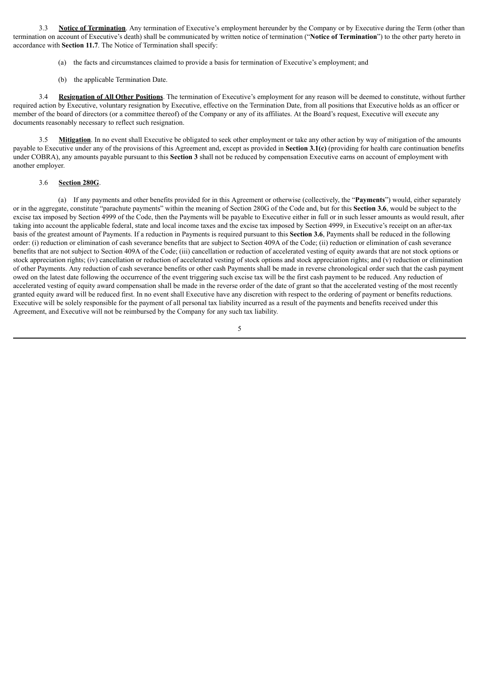3.3 **Notice of Termination**. Any termination of Executive's employment hereunder by the Company or by Executive during the Term (other than termination on account of Executive's death) shall be communicated by written notice of termination ("**Notice of Termination**") to the other party hereto in accordance with **Section 11.7**. The Notice of Termination shall specify:

- (a) the facts and circumstances claimed to provide a basis for termination of Executive's employment; and
- (b) the applicable Termination Date.

3.4 **Resignation of All Other Positions**. The termination of Executive's employment for any reason will be deemed to constitute, without further required action by Executive, voluntary resignation by Executive, effective on the Termination Date, from all positions that Executive holds as an officer or member of the board of directors (or a committee thereof) of the Company or any of its affiliates. At the Board's request, Executive will execute any documents reasonably necessary to reflect such resignation.

3.5 **Mitigation**. In no event shall Executive be obligated to seek other employment or take any other action by way of mitigation of the amounts payable to Executive under any of the provisions of this Agreement and, except as provided in **Section 3.1(c)** (providing for health care continuation benefits under COBRA), any amounts payable pursuant to this **Section 3** shall not be reduced by compensation Executive earns on account of employment with another employer.

#### 3.6 **Section 280G**.

(a) If any payments and other benefits provided for in this Agreement or otherwise (collectively, the "**Payments**") would, either separately or in the aggregate, constitute "parachute payments" within the meaning of Section 280G of the Code and, but for this **Section 3.6**, would be subject to the excise tax imposed by Section 4999 of the Code, then the Payments will be payable to Executive either in full or in such lesser amounts as would result, after taking into account the applicable federal, state and local income taxes and the excise tax imposed by Section 4999, in Executive's receipt on an after-tax basis of the greatest amount of Payments. If a reduction in Payments is required pursuant to this **Section 3.6**, Payments shall be reduced in the following order: (i) reduction or elimination of cash severance benefits that are subject to Section 409A of the Code; (ii) reduction or elimination of cash severance benefits that are not subject to Section 409A of the Code; (iii) cancellation or reduction of accelerated vesting of equity awards that are not stock options or stock appreciation rights; (iv) cancellation or reduction of accelerated vesting of stock options and stock appreciation rights; and (v) reduction or elimination of other Payments. Any reduction of cash severance benefits or other cash Payments shall be made in reverse chronological order such that the cash payment owed on the latest date following the occurrence of the event triggering such excise tax will be the first cash payment to be reduced. Any reduction of accelerated vesting of equity award compensation shall be made in the reverse order of the date of grant so that the accelerated vesting of the most recently granted equity award will be reduced first. In no event shall Executive have any discretion with respect to the ordering of payment or benefits reductions. Executive will be solely responsible for the payment of all personal tax liability incurred as a result of the payments and benefits received under this Agreement, and Executive will not be reimbursed by the Company for any such tax liability.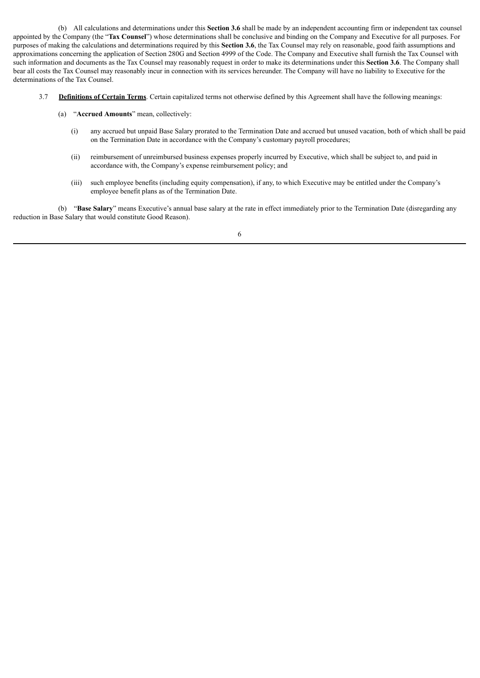(b) All calculations and determinations under this **Section 3.6** shall be made by an independent accounting firm or independent tax counsel appointed by the Company (the "**Tax Counsel**") whose determinations shall be conclusive and binding on the Company and Executive for all purposes. For purposes of making the calculations and determinations required by this **Section 3.6**, the Tax Counsel may rely on reasonable, good faith assumptions and approximations concerning the application of Section 280G and Section 4999 of the Code. The Company and Executive shall furnish the Tax Counsel with such information and documents as the Tax Counsel may reasonably request in order to make its determinations under this **Section 3.6**. The Company shall bear all costs the Tax Counsel may reasonably incur in connection with its services hereunder. The Company will have no liability to Executive for the determinations of the Tax Counsel.

- 3.7 **Definitions of Certain Terms**. Certain capitalized terms not otherwise defined by this Agreement shall have the following meanings:
	- (a) "**Accrued Amounts**" mean, collectively:
		- (i) any accrued but unpaid Base Salary prorated to the Termination Date and accrued but unused vacation, both of which shall be paid on the Termination Date in accordance with the Company's customary payroll procedures;
		- (ii) reimbursement of unreimbursed business expenses properly incurred by Executive, which shall be subject to, and paid in accordance with, the Company's expense reimbursement policy; and
		- (iii) such employee benefits (including equity compensation), if any, to which Executive may be entitled under the Company's employee benefit plans as of the Termination Date.

(b) "**Base Salary**" means Executive's annual base salary at the rate in effect immediately prior to the Termination Date (disregarding any reduction in Base Salary that would constitute Good Reason).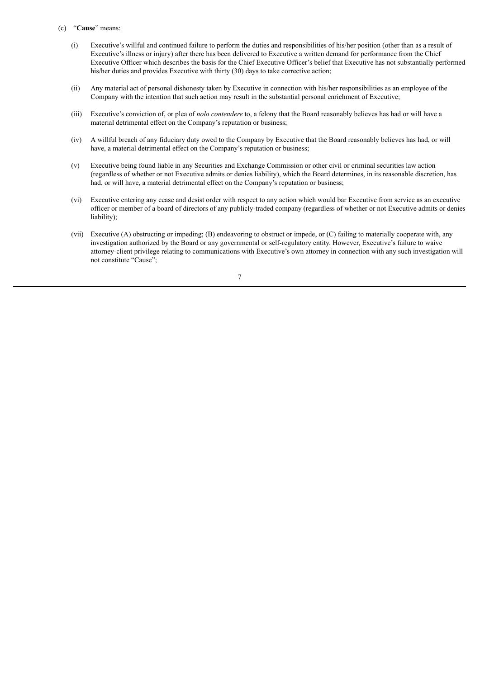- (c) "**Cause**" means:
	- (i) Executive's willful and continued failure to perform the duties and responsibilities of his/her position (other than as a result of Executive's illness or injury) after there has been delivered to Executive a written demand for performance from the Chief Executive Officer which describes the basis for the Chief Executive Officer's belief that Executive has not substantially performed his/her duties and provides Executive with thirty (30) days to take corrective action;
	- (ii) Any material act of personal dishonesty taken by Executive in connection with his/her responsibilities as an employee of the Company with the intention that such action may result in the substantial personal enrichment of Executive;
	- (iii) Executive's conviction of, or plea of *nolo contendere* to, a felony that the Board reasonably believes has had or will have a material detrimental effect on the Company's reputation or business;
	- (iv) A willful breach of any fiduciary duty owed to the Company by Executive that the Board reasonably believes has had, or will have, a material detrimental effect on the Company's reputation or business;
	- (v) Executive being found liable in any Securities and Exchange Commission or other civil or criminal securities law action (regardless of whether or not Executive admits or denies liability), which the Board determines, in its reasonable discretion, has had, or will have, a material detrimental effect on the Company's reputation or business;
	- (vi) Executive entering any cease and desist order with respect to any action which would bar Executive from service as an executive officer or member of a board of directors of any publicly-traded company (regardless of whether or not Executive admits or denies liability);
	- (vii) Executive (A) obstructing or impeding; (B) endeavoring to obstruct or impede, or (C) failing to materially cooperate with, any investigation authorized by the Board or any governmental or self-regulatory entity. However, Executive's failure to waive attorney-client privilege relating to communications with Executive's own attorney in connection with any such investigation will not constitute "Cause";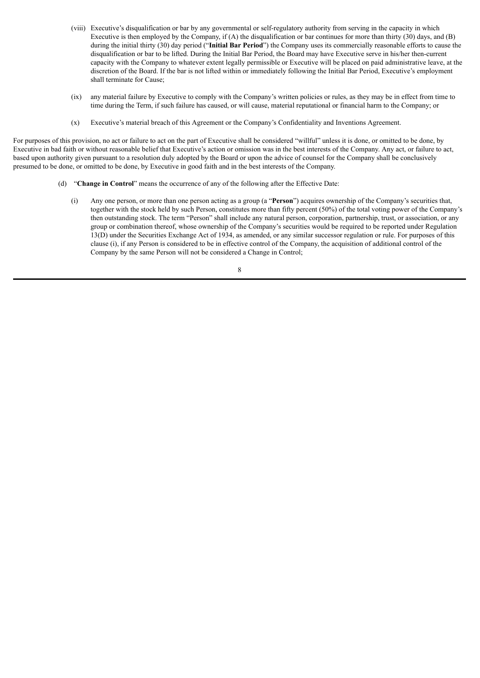- (viii) Executive's disqualification or bar by any governmental or self-regulatory authority from serving in the capacity in which Executive is then employed by the Company, if (A) the disqualification or bar continues for more than thirty (30) days, and (B) during the initial thirty (30) day period ("**Initial Bar Period**") the Company uses its commercially reasonable efforts to cause the disqualification or bar to be lifted. During the Initial Bar Period, the Board may have Executive serve in his/her then-current capacity with the Company to whatever extent legally permissible or Executive will be placed on paid administrative leave, at the discretion of the Board. If the bar is not lifted within or immediately following the Initial Bar Period, Executive's employment shall terminate for Cause;
- (ix) any material failure by Executive to comply with the Company's written policies or rules, as they may be in effect from time to time during the Term, if such failure has caused, or will cause, material reputational or financial harm to the Company; or
- (x) Executive's material breach of this Agreement or the Company's Confidentiality and Inventions Agreement.

For purposes of this provision, no act or failure to act on the part of Executive shall be considered "willful" unless it is done, or omitted to be done, by Executive in bad faith or without reasonable belief that Executive's action or omission was in the best interests of the Company. Any act, or failure to act, based upon authority given pursuant to a resolution duly adopted by the Board or upon the advice of counsel for the Company shall be conclusively presumed to be done, or omitted to be done, by Executive in good faith and in the best interests of the Company.

- (d) "**Change in Control**" means the occurrence of any of the following after the Effective Date:
	- (i) Any one person, or more than one person acting as a group (a "**Person**") acquires ownership of the Company's securities that, together with the stock held by such Person, constitutes more than fifty percent (50%) of the total voting power of the Company's then outstanding stock. The term "Person" shall include any natural person, corporation, partnership, trust, or association, or any group or combination thereof, whose ownership of the Company's securities would be required to be reported under Regulation 13(D) under the Securities Exchange Act of 1934, as amended, or any similar successor regulation or rule. For purposes of this clause (i), if any Person is considered to be in effective control of the Company, the acquisition of additional control of the Company by the same Person will not be considered a Change in Control;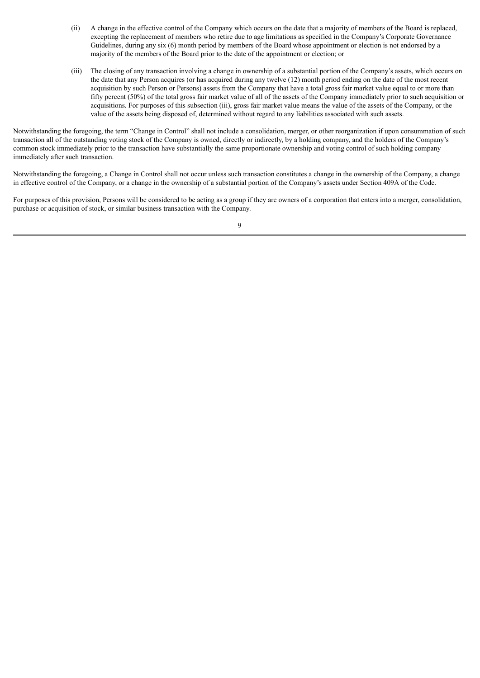- (ii) A change in the effective control of the Company which occurs on the date that a majority of members of the Board is replaced, excepting the replacement of members who retire due to age limitations as specified in the Company's Corporate Governance Guidelines, during any six (6) month period by members of the Board whose appointment or election is not endorsed by a majority of the members of the Board prior to the date of the appointment or election; or
- (iii) The closing of any transaction involving a change in ownership of a substantial portion of the Company's assets, which occurs on the date that any Person acquires (or has acquired during any twelve (12) month period ending on the date of the most recent acquisition by such Person or Persons) assets from the Company that have a total gross fair market value equal to or more than fifty percent (50%) of the total gross fair market value of all of the assets of the Company immediately prior to such acquisition or acquisitions. For purposes of this subsection (iii), gross fair market value means the value of the assets of the Company, or the value of the assets being disposed of, determined without regard to any liabilities associated with such assets.

Notwithstanding the foregoing, the term "Change in Control" shall not include a consolidation, merger, or other reorganization if upon consummation of such transaction all of the outstanding voting stock of the Company is owned, directly or indirectly, by a holding company, and the holders of the Company's common stock immediately prior to the transaction have substantially the same proportionate ownership and voting control of such holding company immediately after such transaction.

Notwithstanding the foregoing, a Change in Control shall not occur unless such transaction constitutes a change in the ownership of the Company, a change in effective control of the Company, or a change in the ownership of a substantial portion of the Company's assets under Section 409A of the Code.

For purposes of this provision, Persons will be considered to be acting as a group if they are owners of a corporation that enters into a merger, consolidation, purchase or acquisition of stock, or similar business transaction with the Company.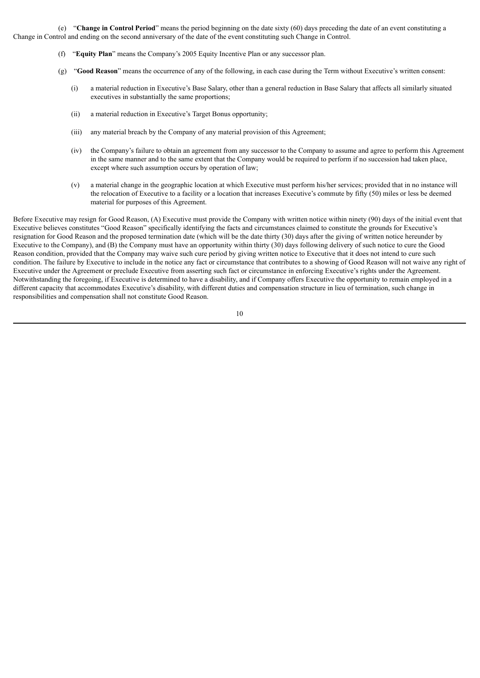(e) "**Change in Control Period**" means the period beginning on the date sixty (60) days preceding the date of an event constituting a Change in Control and ending on the second anniversary of the date of the event constituting such Change in Control.

- (f) "**Equity Plan**" means the Company's 2005 Equity Incentive Plan or any successor plan.
- (g) "**Good Reason**" means the occurrence of any of the following, in each case during the Term without Executive's written consent:
	- (i) a material reduction in Executive's Base Salary, other than a general reduction in Base Salary that affects all similarly situated executives in substantially the same proportions;
	- (ii) a material reduction in Executive's Target Bonus opportunity;
	- (iii) any material breach by the Company of any material provision of this Agreement;
	- (iv) the Company's failure to obtain an agreement from any successor to the Company to assume and agree to perform this Agreement in the same manner and to the same extent that the Company would be required to perform if no succession had taken place, except where such assumption occurs by operation of law;
	- (v) a material change in the geographic location at which Executive must perform his/her services; provided that in no instance will the relocation of Executive to a facility or a location that increases Executive's commute by fifty (50) miles or less be deemed material for purposes of this Agreement.

Before Executive may resign for Good Reason, (A) Executive must provide the Company with written notice within ninety (90) days of the initial event that Executive believes constitutes "Good Reason" specifically identifying the facts and circumstances claimed to constitute the grounds for Executive's resignation for Good Reason and the proposed termination date (which will be the date thirty (30) days after the giving of written notice hereunder by Executive to the Company), and (B) the Company must have an opportunity within thirty (30) days following delivery of such notice to cure the Good Reason condition, provided that the Company may waive such cure period by giving written notice to Executive that it does not intend to cure such condition. The failure by Executive to include in the notice any fact or circumstance that contributes to a showing of Good Reason will not waive any right of Executive under the Agreement or preclude Executive from asserting such fact or circumstance in enforcing Executive's rights under the Agreement. Notwithstanding the foregoing, if Executive is determined to have a disability, and if Company offers Executive the opportunity to remain employed in a different capacity that accommodates Executive's disability, with different duties and compensation structure in lieu of termination, such change in responsibilities and compensation shall not constitute Good Reason.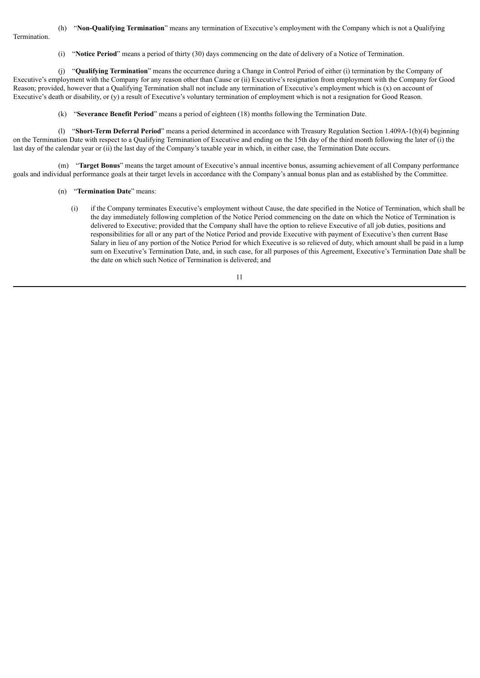### (h) "**Non-Qualifying Termination**" means any termination of Executive's employment with the Company which is not a Qualifying

**Termination** 

(i) "**Notice Period**" means a period of thirty (30) days commencing on the date of delivery of a Notice of Termination.

(j) "**Qualifying Termination**" means the occurrence during a Change in Control Period of either (i) termination by the Company of Executive's employment with the Company for any reason other than Cause or (ii) Executive's resignation from employment with the Company for Good Reason; provided, however that a Qualifying Termination shall not include any termination of Executive's employment which is  $(x)$  on account of Executive's death or disability, or (y) a result of Executive's voluntary termination of employment which is not a resignation for Good Reason.

(k) "**Severance Benefit Period**" means a period of eighteen (18) months following the Termination Date.

(l) "**Short-Term Deferral Period**" means a period determined in accordance with Treasury Regulation Section 1.409A-1(b)(4) beginning on the Termination Date with respect to a Qualifying Termination of Executive and ending on the 15th day of the third month following the later of (i) the last day of the calendar year or (ii) the last day of the Company's taxable year in which, in either case, the Termination Date occurs.

(m) "**Target Bonus**" means the target amount of Executive's annual incentive bonus, assuming achievement of all Company performance goals and individual performance goals at their target levels in accordance with the Company's annual bonus plan and as established by the Committee.

- (n) "**Termination Date**" means:
	- (i) if the Company terminates Executive's employment without Cause, the date specified in the Notice of Termination, which shall be the day immediately following completion of the Notice Period commencing on the date on which the Notice of Termination is delivered to Executive; provided that the Company shall have the option to relieve Executive of all job duties, positions and responsibilities for all or any part of the Notice Period and provide Executive with payment of Executive's then current Base Salary in lieu of any portion of the Notice Period for which Executive is so relieved of duty, which amount shall be paid in a lump sum on Executive's Termination Date, and, in such case, for all purposes of this Agreement, Executive's Termination Date shall be the date on which such Notice of Termination is delivered; and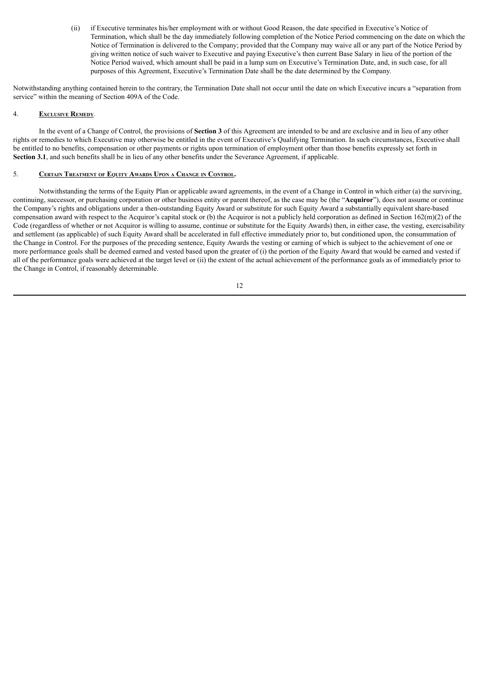(ii) if Executive terminates his/her employment with or without Good Reason, the date specified in Executive's Notice of Termination, which shall be the day immediately following completion of the Notice Period commencing on the date on which the Notice of Termination is delivered to the Company; provided that the Company may waive all or any part of the Notice Period by giving written notice of such waiver to Executive and paying Executive's then current Base Salary in lieu of the portion of the Notice Period waived, which amount shall be paid in a lump sum on Executive's Termination Date, and, in such case, for all purposes of this Agreement, Executive's Termination Date shall be the date determined by the Company.

Notwithstanding anything contained herein to the contrary, the Termination Date shall not occur until the date on which Executive incurs a "separation from service" within the meaning of Section 409A of the Code.

#### 4. **Exclusive Remedy**.

In the event of a Change of Control, the provisions of **Section 3** of this Agreement are intended to be and are exclusive and in lieu of any other rights or remedies to which Executive may otherwise be entitled in the event of Executive's Qualifying Termination. In such circumstances, Executive shall be entitled to no benefits, compensation or other payments or rights upon termination of employment other than those benefits expressly set forth in **Section 3.1**, and such benefits shall be in lieu of any other benefits under the Severance Agreement, if applicable.

#### 5. **Certain Treatment of Equity Awards Upon <sup>a</sup> Change in Control.**

Notwithstanding the terms of the Equity Plan or applicable award agreements, in the event of a Change in Control in which either (a) the surviving, continuing, successor, or purchasing corporation or other business entity or parent thereof, as the case may be (the "**Acquiror**"), does not assume or continue the Company's rights and obligations under a then-outstanding Equity Award or substitute for such Equity Award a substantially equivalent share-based compensation award with respect to the Acquiror's capital stock or (b) the Acquiror is not a publicly held corporation as defined in Section 162(m)(2) of the Code (regardless of whether or not Acquiror is willing to assume, continue or substitute for the Equity Awards) then, in either case, the vesting, exercisability and settlement (as applicable) of such Equity Award shall be accelerated in full effective immediately prior to, but conditioned upon, the consummation of the Change in Control. For the purposes of the preceding sentence, Equity Awards the vesting or earning of which is subject to the achievement of one or more performance goals shall be deemed earned and vested based upon the greater of (i) the portion of the Equity Award that would be earned and vested if all of the performance goals were achieved at the target level or (ii) the extent of the actual achievement of the performance goals as of immediately prior to the Change in Control, if reasonably determinable.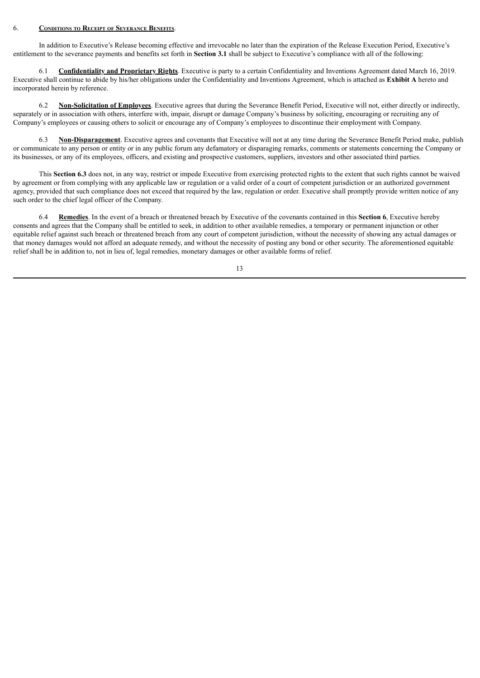#### 6. **Conditions to Receipt of Severance Benefits**.

In addition to Executive's Release becoming effective and irrevocable no later than the expiration of the Release Execution Period, Executive's entitlement to the severance payments and benefits set forth in **Section 3.1** shall be subject to Executive's compliance with all of the following:

6.1 **Confidentiality and Proprietary Rights**. Executive is party to a certain Confidentiality and Inventions Agreement dated March 16, 2019. Executive shall continue to abide by his/her obligations under the Confidentiality and Inventions Agreement, which is attached as **Exhibit A** hereto and incorporated herein by reference.

6.2 **Non-Solicitation of Employees**. Executive agrees that during the Severance Benefit Period, Executive will not, either directly or indirectly, separately or in association with others, interfere with, impair, disrupt or damage Company's business by soliciting, encouraging or recruiting any of Company's employees or causing others to solicit or encourage any of Company's employees to discontinue their employment with Company.

6.3 **Non-Disparagement**. Executive agrees and covenants that Executive will not at any time during the Severance Benefit Period make, publish or communicate to any person or entity or in any public forum any defamatory or disparaging remarks, comments or statements concerning the Company or its businesses, or any of its employees, officers, and existing and prospective customers, suppliers, investors and other associated third parties.

This **Section 6.3** does not, in any way, restrict or impede Executive from exercising protected rights to the extent that such rights cannot be waived by agreement or from complying with any applicable law or regulation or a valid order of a court of competent jurisdiction or an authorized government agency, provided that such compliance does not exceed that required by the law, regulation or order. Executive shall promptly provide written notice of any such order to the chief legal officer of the Company.

6.4 **Remedies**. In the event of a breach or threatened breach by Executive of the covenants contained in this **Section 6**, Executive hereby consents and agrees that the Company shall be entitled to seek, in addition to other available remedies, a temporary or permanent injunction or other equitable relief against such breach or threatened breach from any court of competent jurisdiction, without the necessity of showing any actual damages or that money damages would not afford an adequate remedy, and without the necessity of posting any bond or other security. The aforementioned equitable relief shall be in addition to, not in lieu of, legal remedies, monetary damages or other available forms of relief.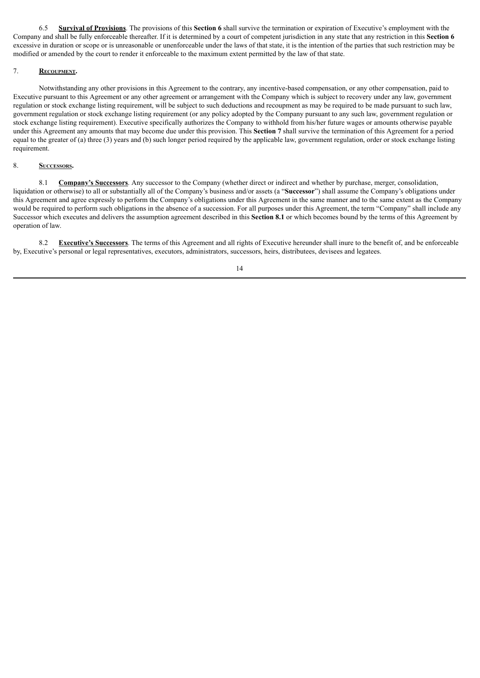6.5 **Survival of Provisions**. The provisions of this **Section 6** shall survive the termination or expiration of Executive's employment with the Company and shall be fully enforceable thereafter. If it is determined by a court of competent jurisdiction in any state that any restriction in this **Section 6** excessive in duration or scope or is unreasonable or unenforceable under the laws of that state, it is the intention of the parties that such restriction may be modified or amended by the court to render it enforceable to the maximum extent permitted by the law of that state.

### 7. **Recoupment.**

Notwithstanding any other provisions in this Agreement to the contrary, any incentive-based compensation, or any other compensation, paid to Executive pursuant to this Agreement or any other agreement or arrangement with the Company which is subject to recovery under any law, government regulation or stock exchange listing requirement, will be subject to such deductions and recoupment as may be required to be made pursuant to such law, government regulation or stock exchange listing requirement (or any policy adopted by the Company pursuant to any such law, government regulation or stock exchange listing requirement). Executive specifically authorizes the Company to withhold from his/her future wages or amounts otherwise payable under this Agreement any amounts that may become due under this provision. This **Section 7** shall survive the termination of this Agreement for a period equal to the greater of (a) three (3) years and (b) such longer period required by the applicable law, government regulation, order or stock exchange listing requirement.

### 8. **Successors.**

8.1 **Company's Successors**. Any successor to the Company (whether direct or indirect and whether by purchase, merger, consolidation, liquidation or otherwise) to all or substantially all of the Company's business and/or assets (a "**Successor**") shall assume the Company's obligations under this Agreement and agree expressly to perform the Company's obligations under this Agreement in the same manner and to the same extent as the Company would be required to perform such obligations in the absence of a succession. For all purposes under this Agreement, the term "Company" shall include any Successor which executes and delivers the assumption agreement described in this **Section 8.1** or which becomes bound by the terms of this Agreement by operation of law.

8.2 **Executive's Successors**. The terms of this Agreement and all rights of Executive hereunder shall inure to the benefit of, and be enforceable by, Executive's personal or legal representatives, executors, administrators, successors, heirs, distributees, devisees and legatees.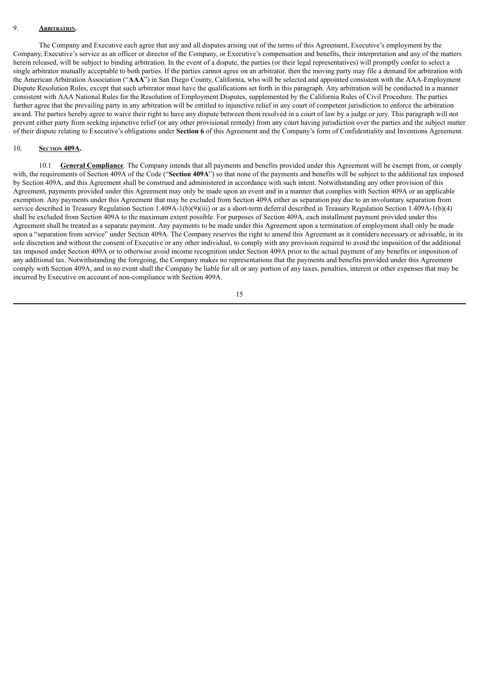### 9. **Arbitration.**

The Company and Executive each agree that any and all disputes arising out of the terms of this Agreement, Executive's employment by the Company, Executive's service as an officer or director of the Company, or Executive's compensation and benefits, their interpretation and any of the matters herein released, will be subject to binding arbitration. In the event of a dispute, the parties (or their legal representatives) will promptly confer to select a single arbitrator mutually acceptable to both parties. If the parties cannot agree on an arbitrator, then the moving party may file a demand for arbitration with the American Arbitration Association ("**AAA**") in San Diego County, California, who will be selected and appointed consistent with the AAA-Employment Dispute Resolution Rules, except that such arbitrator must have the qualifications set forth in this paragraph. Any arbitration will be conducted in a manner consistent with AAA National Rules for the Resolution of Employment Disputes, supplemented by the California Rules of Civil Procedure. The parties further agree that the prevailing party in any arbitration will be entitled to injunctive relief in any court of competent jurisdiction to enforce the arbitration award. The parties hereby agree to waive their right to have any dispute between them resolved in a court of law by a judge or jury. This paragraph will not prevent either party from seeking injunctive relief (or any other provisional remedy) from any court having jurisdiction over the parties and the subject matter of their dispute relating to Executive's obligations under **Section 6** of this Agreement and the Company's form of Confidentiality and Inventions Agreement.

#### 10. **Section 409A.**

10.1 **General Compliance**. The Company intends that all payments and benefits provided under this Agreement will be exempt from, or comply with, the requirements of Section 409A of the Code ("Section 409A") so that none of the payments and benefits will be subject to the additional tax imposed by Section 409A, and this Agreement shall be construed and administered in accordance with such intent. Notwithstanding any other provision of this Agreement, payments provided under this Agreement may only be made upon an event and in a manner that complies with Section 409A or an applicable exemption. Any payments under this Agreement that may be excluded from Section 409A either as separation pay due to an involuntary separation from service described in Treasury Regulation Section 1.409A-1(b)(9)(iii) or as a short-term deferral described in Treasury Regulation Section 1.409A-1(b)(4) shall be excluded from Section 409A to the maximum extent possible. For purposes of Section 409A, each installment payment provided under this Agreement shall be treated as a separate payment. Any payments to be made under this Agreement upon a termination of employment shall only be made upon a "separation from service" under Section 409A. The Company reserves the right to amend this Agreement as it considers necessary or advisable, in its sole discretion and without the consent of Executive or any other individual, to comply with any provision required to avoid the imposition of the additional tax imposed under Section 409A or to otherwise avoid income recognition under Section 409A prior to the actual payment of any benefits or imposition of any additional tax. Notwithstanding the foregoing, the Company makes no representations that the payments and benefits provided under this Agreement comply with Section 409A, and in no event shall the Company be liable for all or any portion of any taxes, penalties, interest or other expenses that may be incurred by Executive on account of non-compliance with Section 409A.

15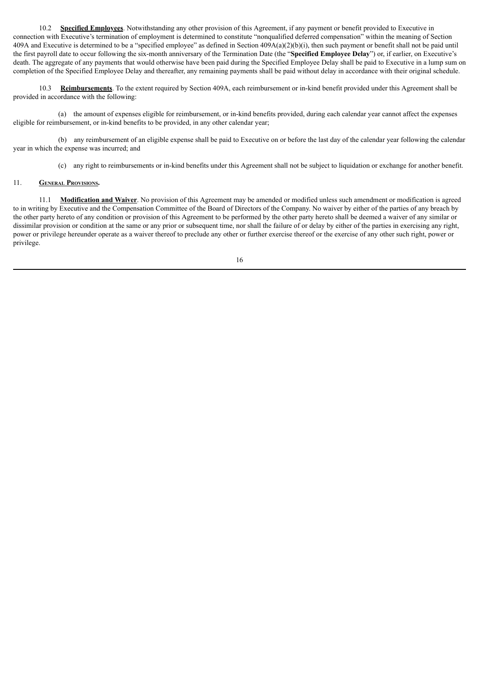10.2 **Specified Employees**. Notwithstanding any other provision of this Agreement, if any payment or benefit provided to Executive in connection with Executive's termination of employment is determined to constitute "nonqualified deferred compensation" within the meaning of Section 409A and Executive is determined to be a "specified employee" as defined in Section  $409A(a)(2)(b)(i)$ , then such payment or benefit shall not be paid until the first payroll date to occur following the six-month anniversary of the Termination Date (the "**Specified Employee Delay**") or, if earlier, on Executive's death. The aggregate of any payments that would otherwise have been paid during the Specified Employee Delay shall be paid to Executive in a lump sum on completion of the Specified Employee Delay and thereafter, any remaining payments shall be paid without delay in accordance with their original schedule.

10.3 **Reimbursements**. To the extent required by Section 409A, each reimbursement or in-kind benefit provided under this Agreement shall be provided in accordance with the following:

(a) the amount of expenses eligible for reimbursement, or in-kind benefits provided, during each calendar year cannot affect the expenses eligible for reimbursement, or in-kind benefits to be provided, in any other calendar year;

(b) any reimbursement of an eligible expense shall be paid to Executive on or before the last day of the calendar year following the calendar year in which the expense was incurred; and

(c) any right to reimbursements or in-kind benefits under this Agreement shall not be subject to liquidation or exchange for another benefit.

### 11. **General Provisions.**

11.1 **Modification and Waiver**. No provision of this Agreement may be amended or modified unless such amendment or modification is agreed to in writing by Executive and the Compensation Committee of the Board of Directors of the Company. No waiver by either of the parties of any breach by the other party hereto of any condition or provision of this Agreement to be performed by the other party hereto shall be deemed a waiver of any similar or dissimilar provision or condition at the same or any prior or subsequent time, nor shall the failure of or delay by either of the parties in exercising any right, power or privilege hereunder operate as a waiver thereof to preclude any other or further exercise thereof or the exercise of any other such right, power or privilege.

16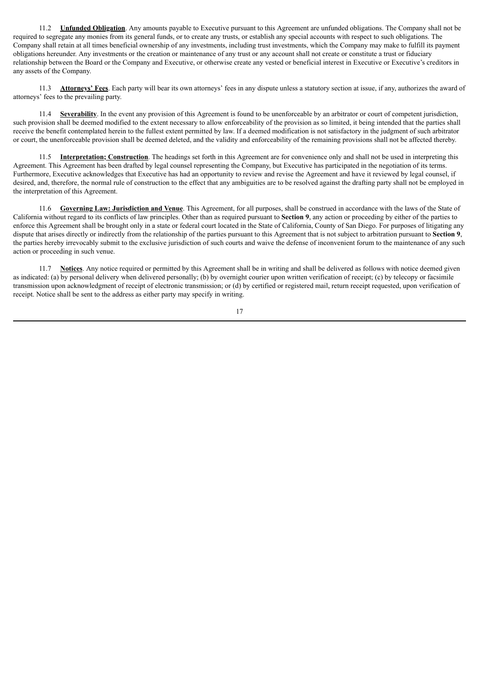11.2 **Unfunded Obligation**. Any amounts payable to Executive pursuant to this Agreement are unfunded obligations. The Company shall not be required to segregate any monies from its general funds, or to create any trusts, or establish any special accounts with respect to such obligations. The Company shall retain at all times beneficial ownership of any investments, including trust investments, which the Company may make to fulfill its payment obligations hereunder. Any investments or the creation or maintenance of any trust or any account shall not create or constitute a trust or fiduciary relationship between the Board or the Company and Executive, or otherwise create any vested or beneficial interest in Executive or Executive's creditors in any assets of the Company.

11.3 **Attorneys' Fees**. Each party will bear its own attorneys' fees in any dispute unless a statutory section at issue, if any, authorizes the award of attorneys' fees to the prevailing party.

11.4 **Severability**. In the event any provision of this Agreement is found to be unenforceable by an arbitrator or court of competent jurisdiction, such provision shall be deemed modified to the extent necessary to allow enforceability of the provision as so limited, it being intended that the parties shall receive the benefit contemplated herein to the fullest extent permitted by law. If a deemed modification is not satisfactory in the judgment of such arbitrator or court, the unenforceable provision shall be deemed deleted, and the validity and enforceability of the remaining provisions shall not be affected thereby.

11.5 **Interpretation; Construction**. The headings set forth in this Agreement are for convenience only and shall not be used in interpreting this Agreement. This Agreement has been drafted by legal counsel representing the Company, but Executive has participated in the negotiation of its terms. Furthermore, Executive acknowledges that Executive has had an opportunity to review and revise the Agreement and have it reviewed by legal counsel, if desired, and, therefore, the normal rule of construction to the effect that any ambiguities are to be resolved against the drafting party shall not be employed in the interpretation of this Agreement.

11.6 **Governing Law: Jurisdiction and Venue**. This Agreement, for all purposes, shall be construed in accordance with the laws of the State of California without regard to its conflicts of law principles. Other than as required pursuant to **Section 9**, any action or proceeding by either of the parties to enforce this Agreement shall be brought only in a state or federal court located in the State of California, County of San Diego. For purposes of litigating any dispute that arises directly or indirectly from the relationship of the parties pursuant to this Agreement that is not subject to arbitration pursuant to **Section 9**, the parties hereby irrevocably submit to the exclusive jurisdiction of such courts and waive the defense of inconvenient forum to the maintenance of any such action or proceeding in such venue.

11.7 **Notices**. Any notice required or permitted by this Agreement shall be in writing and shall be delivered as follows with notice deemed given as indicated: (a) by personal delivery when delivered personally; (b) by overnight courier upon written verification of receipt; (c) by telecopy or facsimile transmission upon acknowledgment of receipt of electronic transmission; or (d) by certified or registered mail, return receipt requested, upon verification of receipt. Notice shall be sent to the address as either party may specify in writing.

17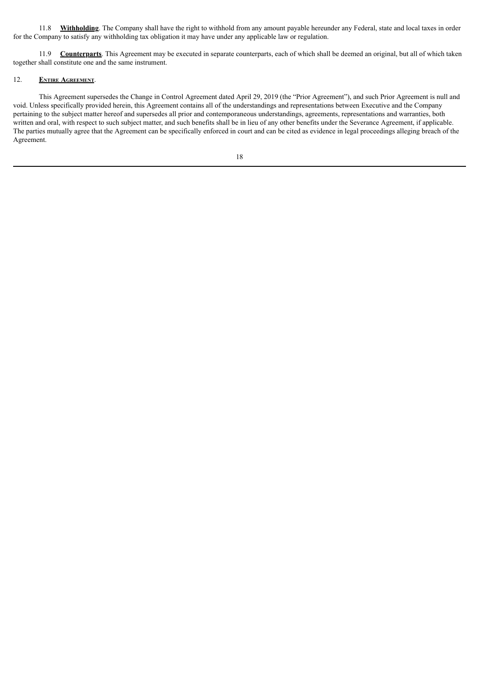11.8 **Withholding**. The Company shall have the right to withhold from any amount payable hereunder any Federal, state and local taxes in order for the Company to satisfy any withholding tax obligation it may have under any applicable law or regulation.

11.9 **Counterparts**. This Agreement may be executed in separate counterparts, each of which shall be deemed an original, but all of which taken together shall constitute one and the same instrument.

### 12. **Entire Agreement**.

This Agreement supersedes the Change in Control Agreement dated April 29, 2019 (the "Prior Agreement"), and such Prior Agreement is null and void. Unless specifically provided herein, this Agreement contains all of the understandings and representations between Executive and the Company pertaining to the subject matter hereof and supersedes all prior and contemporaneous understandings, agreements, representations and warranties, both written and oral, with respect to such subject matter, and such benefits shall be in lieu of any other benefits under the Severance Agreement, if applicable. The parties mutually agree that the Agreement can be specifically enforced in court and can be cited as evidence in legal proceedings alleging breach of the Agreement.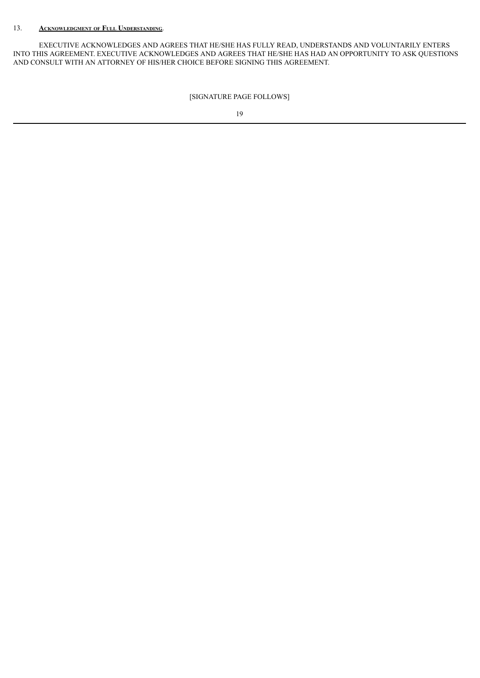# 13. **Acknowledgment of Full Understanding**.

EXECUTIVE ACKNOWLEDGES AND AGREES THAT HE/SHE HAS FULLY READ, UNDERSTANDS AND VOLUNTARILY ENTERS INTO THIS AGREEMENT. EXECUTIVE ACKNOWLEDGES AND AGREES THAT HE/SHE HAS HAD AN OPPORTUNITY TO ASK QUESTIONS AND CONSULT WITH AN ATTORNEY OF HIS/HER CHOICE BEFORE SIGNING THIS AGREEMENT.

[SIGNATURE PAGE FOLLOWS]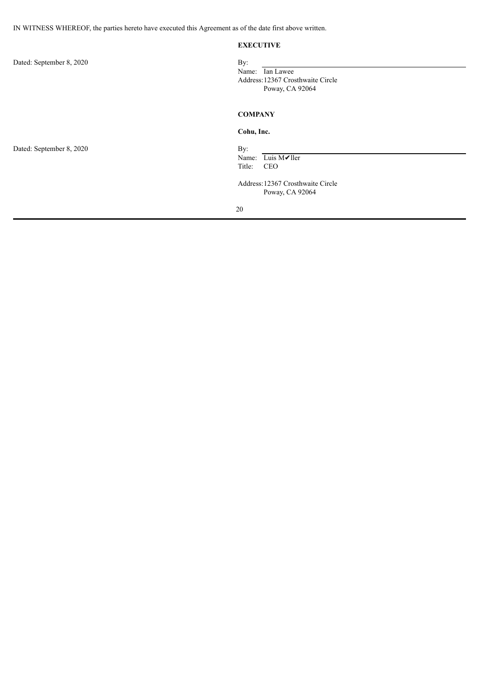IN WITNESS WHEREOF, the parties hereto have executed this Agreement as of the date first above written.

### **EXECUTIVE**

| Dated: September 8, 2020 | By:<br>Name: Ian Lawee<br>Address: 12367 Crosthwaite Circle<br>Poway, CA 92064                           |  |
|--------------------------|----------------------------------------------------------------------------------------------------------|--|
|                          | <b>COMPANY</b>                                                                                           |  |
|                          | Cohu, Inc.                                                                                               |  |
| Dated: September 8, 2020 | By:<br>Name: Luis M√ller<br>Title:<br><b>CEO</b><br>Address: 12367 Crosthwaite Circle<br>Poway, CA 92064 |  |
|                          | 20                                                                                                       |  |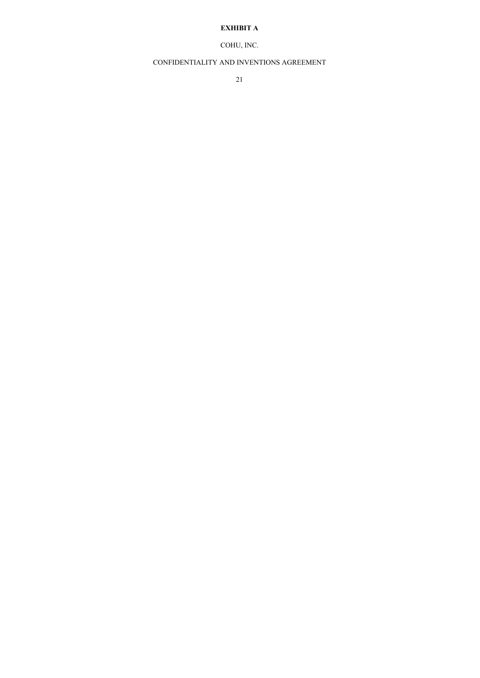# **EXHIBIT A**

# COHU, INC.

# CONFIDENTIALITY AND INVENTIONS AGREEMENT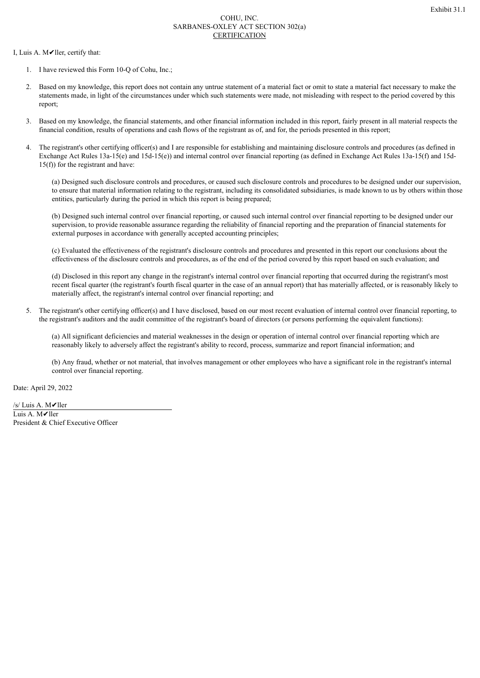### COHU, INC. SARBANES-OXLEY ACT SECTION 302(a) CERTIFICATION

I, Luis A. M✔ller, certify that:

- 1. I have reviewed this Form 10-Q of Cohu, Inc.;
- 2. Based on my knowledge, this report does not contain any untrue statement of a material fact or omit to state a material fact necessary to make the statements made, in light of the circumstances under which such statements were made, not misleading with respect to the period covered by this report;
- 3. Based on my knowledge, the financial statements, and other financial information included in this report, fairly present in all material respects the financial condition, results of operations and cash flows of the registrant as of, and for, the periods presented in this report;
- 4. The registrant's other certifying officer(s) and I are responsible for establishing and maintaining disclosure controls and procedures (as defined in Exchange Act Rules 13a-15(e) and 15d-15(e)) and internal control over financial reporting (as defined in Exchange Act Rules 13a-15(f) and 15d-15(f)) for the registrant and have:

(a) Designed such disclosure controls and procedures, or caused such disclosure controls and procedures to be designed under our supervision, to ensure that material information relating to the registrant, including its consolidated subsidiaries, is made known to us by others within those entities, particularly during the period in which this report is being prepared;

(b) Designed such internal control over financial reporting, or caused such internal control over financial reporting to be designed under our supervision, to provide reasonable assurance regarding the reliability of financial reporting and the preparation of financial statements for external purposes in accordance with generally accepted accounting principles;

(c) Evaluated the effectiveness of the registrant's disclosure controls and procedures and presented in this report our conclusions about the effectiveness of the disclosure controls and procedures, as of the end of the period covered by this report based on such evaluation; and

(d) Disclosed in this report any change in the registrant's internal control over financial reporting that occurred during the registrant's most recent fiscal quarter (the registrant's fourth fiscal quarter in the case of an annual report) that has materially affected, or is reasonably likely to materially affect, the registrant's internal control over financial reporting; and

5. The registrant's other certifying officer(s) and I have disclosed, based on our most recent evaluation of internal control over financial reporting, to the registrant's auditors and the audit committee of the registrant's board of directors (or persons performing the equivalent functions):

(a) All significant deficiencies and material weaknesses in the design or operation of internal control over financial reporting which are reasonably likely to adversely affect the registrant's ability to record, process, summarize and report financial information; and

(b) Any fraud, whether or not material, that involves management or other employees who have a significant role in the registrant's internal control over financial reporting.

Date: April 29, 2022

/s/ Luis A. M✔ller Luis A. M✔ller President & Chief Executive Officer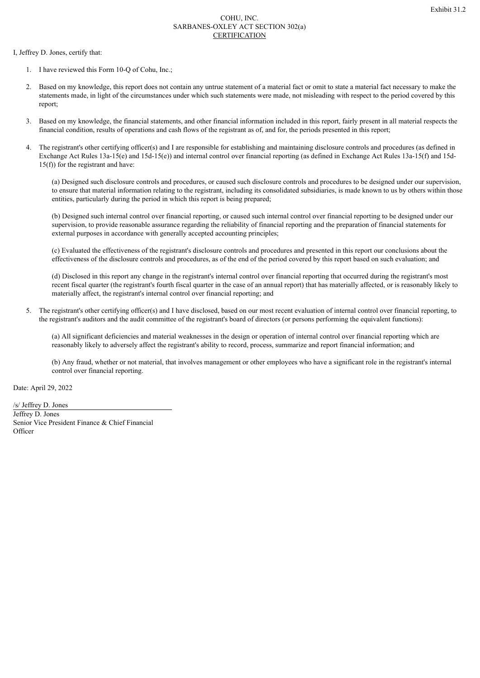### COHU, INC. SARBANES-OXLEY ACT SECTION 302(a) CERTIFICATION

I, Jeffrey D. Jones, certify that:

- 1. I have reviewed this Form 10-Q of Cohu, Inc.;
- 2. Based on my knowledge, this report does not contain any untrue statement of a material fact or omit to state a material fact necessary to make the statements made, in light of the circumstances under which such statements were made, not misleading with respect to the period covered by this report;
- 3. Based on my knowledge, the financial statements, and other financial information included in this report, fairly present in all material respects the financial condition, results of operations and cash flows of the registrant as of, and for, the periods presented in this report;
- 4. The registrant's other certifying officer(s) and I are responsible for establishing and maintaining disclosure controls and procedures (as defined in Exchange Act Rules 13a-15(e) and 15d-15(e)) and internal control over financial reporting (as defined in Exchange Act Rules 13a-15(f) and 15d-15(f)) for the registrant and have:

(a) Designed such disclosure controls and procedures, or caused such disclosure controls and procedures to be designed under our supervision, to ensure that material information relating to the registrant, including its consolidated subsidiaries, is made known to us by others within those entities, particularly during the period in which this report is being prepared;

(b) Designed such internal control over financial reporting, or caused such internal control over financial reporting to be designed under our supervision, to provide reasonable assurance regarding the reliability of financial reporting and the preparation of financial statements for external purposes in accordance with generally accepted accounting principles;

(c) Evaluated the effectiveness of the registrant's disclosure controls and procedures and presented in this report our conclusions about the effectiveness of the disclosure controls and procedures, as of the end of the period covered by this report based on such evaluation; and

(d) Disclosed in this report any change in the registrant's internal control over financial reporting that occurred during the registrant's most recent fiscal quarter (the registrant's fourth fiscal quarter in the case of an annual report) that has materially affected, or is reasonably likely to materially affect, the registrant's internal control over financial reporting; and

5. The registrant's other certifying officer(s) and I have disclosed, based on our most recent evaluation of internal control over financial reporting, to the registrant's auditors and the audit committee of the registrant's board of directors (or persons performing the equivalent functions):

(a) All significant deficiencies and material weaknesses in the design or operation of internal control over financial reporting which are reasonably likely to adversely affect the registrant's ability to record, process, summarize and report financial information; and

(b) Any fraud, whether or not material, that involves management or other employees who have a significant role in the registrant's internal control over financial reporting.

Date: April 29, 2022

/s/ Jeffrey D. Jones Jeffrey D. Jones Senior Vice President Finance & Chief Financial **Officer**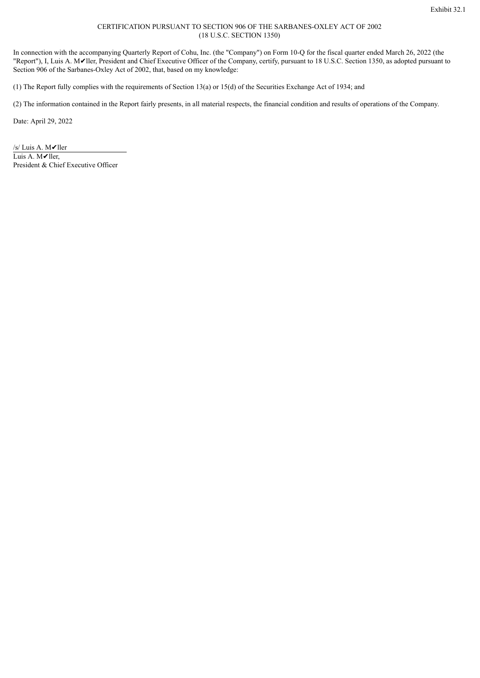### CERTIFICATION PURSUANT TO SECTION 906 OF THE SARBANES-OXLEY ACT OF 2002 (18 U.S.C. SECTION 1350)

In connection with the accompanying Quarterly Report of Cohu, Inc. (the "Company") on Form 10-Q for the fiscal quarter ended March 26, 2022 (the "Report"), I, Luis A. M✔ller, President and Chief Executive Officer of the Company, certify, pursuant to 18 U.S.C. Section 1350, as adopted pursuant to Section 906 of the Sarbanes-Oxley Act of 2002, that, based on my knowledge:

(1) The Report fully complies with the requirements of Section 13(a) or 15(d) of the Securities Exchange Act of 1934; and

(2) The information contained in the Report fairly presents, in all material respects, the financial condition and results of operations of the Company.

Date: April 29, 2022

/s/ Luis A. M✔ller Luis A. M✔ller, President & Chief Executive Officer